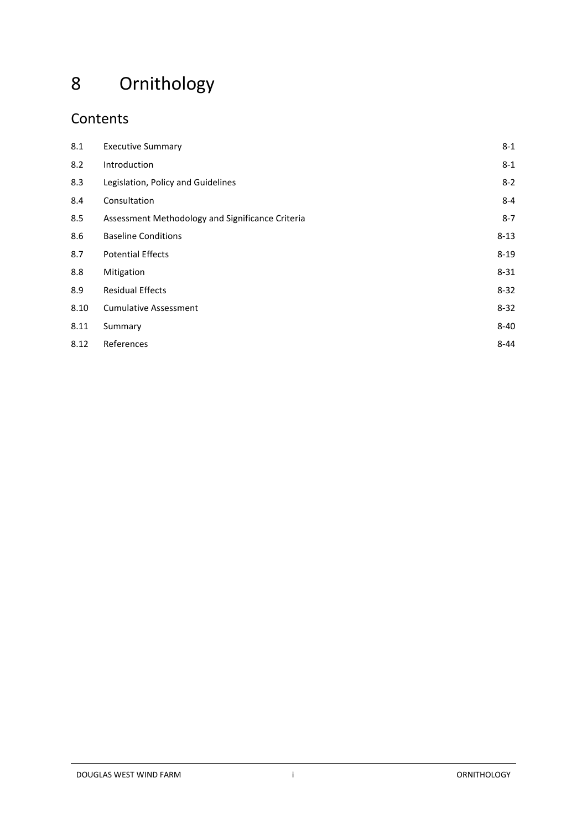# 8 Ornithology

# **Contents**

| 8.1  | <b>Executive Summary</b>                         | $8 - 1$  |
|------|--------------------------------------------------|----------|
| 8.2  | Introduction                                     | $8 - 1$  |
| 8.3  | Legislation, Policy and Guidelines               | $8 - 2$  |
| 8.4  | Consultation                                     | $8 - 4$  |
| 8.5  | Assessment Methodology and Significance Criteria | $8 - 7$  |
| 8.6  | <b>Baseline Conditions</b>                       | $8 - 13$ |
| 8.7  | <b>Potential Effects</b>                         | $8 - 19$ |
| 8.8  | Mitigation                                       | $8 - 31$ |
| 8.9  | <b>Residual Effects</b>                          | $8 - 32$ |
| 8.10 | <b>Cumulative Assessment</b>                     | $8 - 32$ |
| 8.11 | Summary                                          | $8 - 40$ |
| 8.12 | References                                       | $8 - 44$ |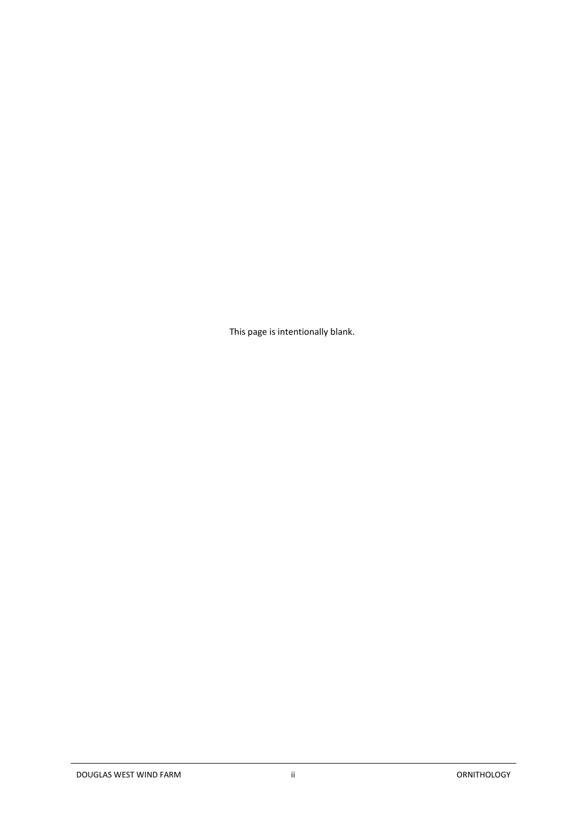This page is intentionally blank.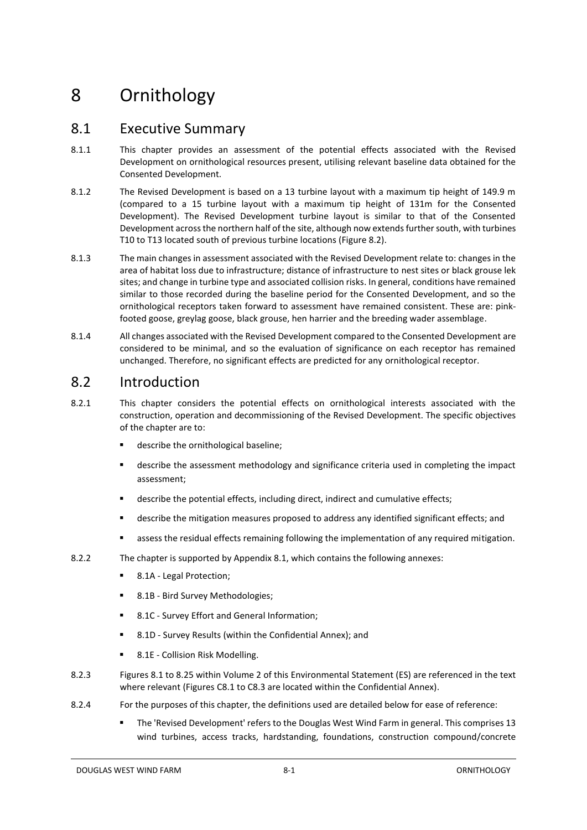# 8 Ornithology

# <span id="page-2-0"></span>8.1 Executive Summary

- 8.1.1 This chapter provides an assessment of the potential effects associated with the Revised Development on ornithological resources present, utilising relevant baseline data obtained for the Consented Development.
- 8.1.2 The Revised Development is based on a 13 turbine layout with a maximum tip height of 149.9 m (compared to a 15 turbine layout with a maximum tip height of 131m for the Consented Development). The Revised Development turbine layout is similar to that of the Consented Development across the northern half of the site, although now extends further south, with turbines T10 to T13 located south of previous turbine locations (Figure 8.2).
- 8.1.3 The main changes in assessment associated with the Revised Development relate to: changes in the area of habitat loss due to infrastructure; distance of infrastructure to nest sites or black grouse lek sites; and change in turbine type and associated collision risks. In general, conditions have remained similar to those recorded during the baseline period for the Consented Development, and so the ornithological receptors taken forward to assessment have remained consistent. These are: pinkfooted goose, greylag goose, black grouse, hen harrier and the breeding wader assemblage.
- 8.1.4 All changes associated with the Revised Development compared to the Consented Development are considered to be minimal, and so the evaluation of significance on each receptor has remained unchanged. Therefore, no significant effects are predicted for any ornithological receptor.

# <span id="page-2-1"></span>8.2 Introduction

- 8.2.1 This chapter considers the potential effects on ornithological interests associated with the construction, operation and decommissioning of the Revised Development. The specific objectives of the chapter are to:
	- describe the ornithological baseline;
	- describe the assessment methodology and significance criteria used in completing the impact assessment;
	- describe the potential effects, including direct, indirect and cumulative effects;
	- **EXECT** describe the mitigation measures proposed to address any identified significant effects; and
	- **EXECTS 25 In assess the residual effects remaining following the implementation of any required mitigation.**
- 8.2.2 The chapter is supported by Appendix 8.1, which contains the following annexes:
	- 8.1A Legal Protection;
	- 8.1B Bird Survey Methodologies:
	- **B.1C Survey Effort and General Information;**
	- 8.1D Survey Results (within the Confidential Annex); and
	- 8.1E Collision Risk Modelling.
- 8.2.3 Figures 8.1 to 8.25 within Volume 2 of this Environmental Statement (ES) are referenced in the text where relevant (Figures C8.1 to C8.3 are located within the Confidential Annex).
- 8.2.4 For the purposes of this chapter, the definitions used are detailed below for ease of reference:
	- The 'Revised Development' refers to the Douglas West Wind Farm in general. This comprises 13 wind turbines, access tracks, hardstanding, foundations, construction compound/concrete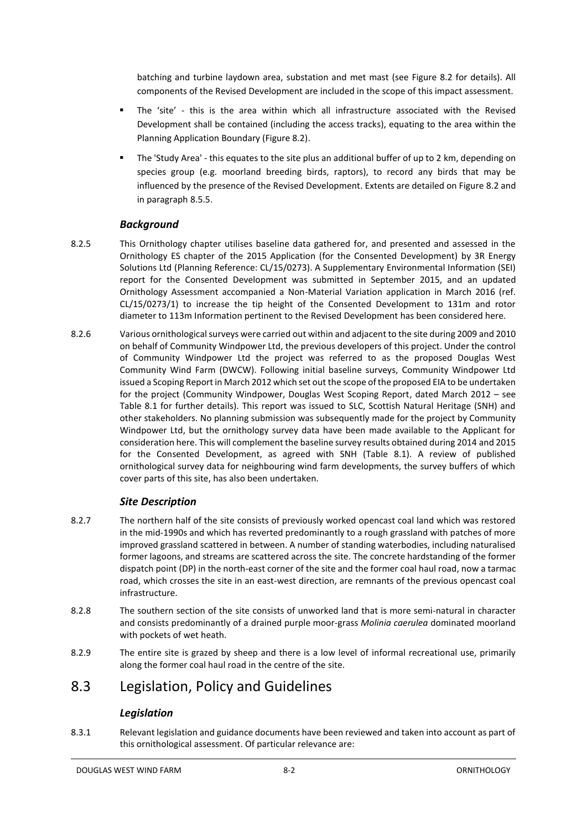batching and turbine laydown area, substation and met mast (see Figure 8.2 for details). All components of the Revised Development are included in the scope of this impact assessment.

- The 'site' this is the area within which all infrastructure associated with the Revised Development shall be contained (including the access tracks), equating to the area within the Planning Application Boundary (Figure 8.2).
- The 'Study Area' this equates to the site plus an additional buffer of up to 2 km, depending on species group (e.g. moorland breeding birds, raptors), to record any birds that may be influenced by the presence of the Revised Development. Extents are detailed on Figure 8.2 and in paragraph [8.5.5.](#page-8-1)

## *Background*

- 8.2.5 This Ornithology chapter utilises baseline data gathered for, and presented and assessed in the Ornithology ES chapter of the 2015 Application (for the Consented Development) by 3R Energy Solutions Ltd (Planning Reference: CL/15/0273). A Supplementary Environmental Information (SEI) report for the Consented Development was submitted in September 2015, and an updated Ornithology Assessment accompanied a Non-Material Variation application in March 2016 (ref. CL/15/0273/1) to increase the tip height of the Consented Development to 131m and rotor diameter to 113m Information pertinent to the Revised Development has been considered here.
- 8.2.6 Various ornithological surveys were carried out within and adjacent to the site during 2009 and 2010 on behalf of Community Windpower Ltd, the previous developers of this project. Under the control of Community Windpower Ltd the project was referred to as the proposed Douglas West Community Wind Farm (DWCW). Following initial baseline surveys, Community Windpower Ltd issued a Scoping Report in March 2012 which set out the scope of the proposed EIA to be undertaken for the project (Community Windpower, Douglas West Scoping Report, dated March 2012 – see Table 8.1 for further details). This report was issued to SLC, Scottish Natural Heritage (SNH) and other stakeholders. No planning submission was subsequently made for the project by Community Windpower Ltd, but the ornithology survey data have been made available to the Applicant for consideration here. This will complement the baseline survey results obtained during 2014 and 2015 for the Consented Development, as agreed with SNH [\(Table 8.1\)](#page-6-0). A review of published ornithological survey data for neighbouring wind farm developments, the survey buffers of which cover parts of this site, has also been undertaken.

# *Site Description*

- 8.2.7 The northern half of the site consists of previously worked opencast coal land which was restored in the mid-1990s and which has reverted predominantly to a rough grassland with patches of more improved grassland scattered in between. A number of standing waterbodies, including naturalised former lagoons, and streams are scattered across the site. The concrete hardstanding of the former dispatch point (DP) in the north-east corner of the site and the former coal haul road, now a tarmac road, which crosses the site in an east-west direction, are remnants of the previous opencast coal infrastructure.
- 8.2.8 The southern section of the site consists of unworked land that is more semi-natural in character and consists predominantly of a drained purple moor-grass *Molinia caerulea* dominated moorland with pockets of wet heath.
- 8.2.9 The entire site is grazed by sheep and there is a low level of informal recreational use, primarily along the former coal haul road in the centre of the site.

# <span id="page-3-0"></span>8.3 Legislation, Policy and Guidelines

# *Legislation*

8.3.1 Relevant legislation and guidance documents have been reviewed and taken into account as part of this ornithological assessment. Of particular relevance are: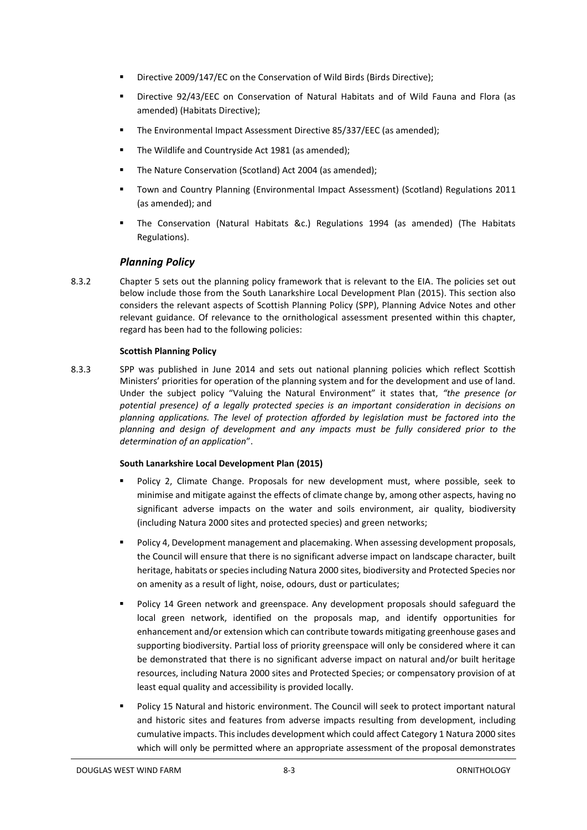- Directive 2009/147/EC on the Conservation of Wild Birds (Birds Directive);
- Directive 92/43/EEC on Conservation of Natural Habitats and of Wild Fauna and Flora (as amended) (Habitats Directive);
- The Environmental Impact Assessment Directive 85/337/EEC (as amended);
- **The Wildlife and Countryside Act 1981 (as amended);**
- The Nature Conservation (Scotland) Act 2004 (as amended):
- Town and Country Planning (Environmental Impact Assessment) (Scotland) Regulations 2011 (as amended); and
- The Conservation (Natural Habitats &c.) Regulations 1994 (as amended) (The Habitats Regulations).

# *Planning Policy*

8.3.2 Chapter 5 sets out the planning policy framework that is relevant to the EIA. The policies set out below include those from the South Lanarkshire Local Development Plan (2015). This section also considers the relevant aspects of Scottish Planning Policy (SPP), Planning Advice Notes and other relevant guidance. Of relevance to the ornithological assessment presented within this chapter, regard has been had to the following policies:

### **Scottish Planning Policy**

8.3.3 SPP was published in June 2014 and sets out national planning policies which reflect Scottish Ministers' priorities for operation of the planning system and for the development and use of land. Under the subject policy "Valuing the Natural Environment" it states that, *"the presence (or potential presence) of a legally protected species is an important consideration in decisions on planning applications. The level of protection afforded by legislation must be factored into the planning and design of development and any impacts must be fully considered prior to the determination of an application*".

### **South Lanarkshire Local Development Plan (2015)**

- Policy 2, Climate Change. Proposals for new development must, where possible, seek to minimise and mitigate against the effects of climate change by, among other aspects, having no significant adverse impacts on the water and soils environment, air quality, biodiversity (including Natura 2000 sites and protected species) and green networks;
- **Policy 4, Development management and placemaking. When assessing development proposals,** the Council will ensure that there is no significant adverse impact on landscape character, built heritage, habitats or species including Natura 2000 sites, biodiversity and Protected Species nor on amenity as a result of light, noise, odours, dust or particulates;
- Policy 14 Green network and greenspace. Any development proposals should safeguard the local green network, identified on the proposals map, and identify opportunities for enhancement and/or extension which can contribute towards mitigating greenhouse gases and supporting biodiversity. Partial loss of priority greenspace will only be considered where it can be demonstrated that there is no significant adverse impact on natural and/or built heritage resources, including Natura 2000 sites and Protected Species; or compensatory provision of at least equal quality and accessibility is provided locally.
- Policy 15 Natural and historic environment. The Council will seek to protect important natural and historic sites and features from adverse impacts resulting from development, including cumulative impacts. This includes development which could affect Category 1 Natura 2000 sites which will only be permitted where an appropriate assessment of the proposal demonstrates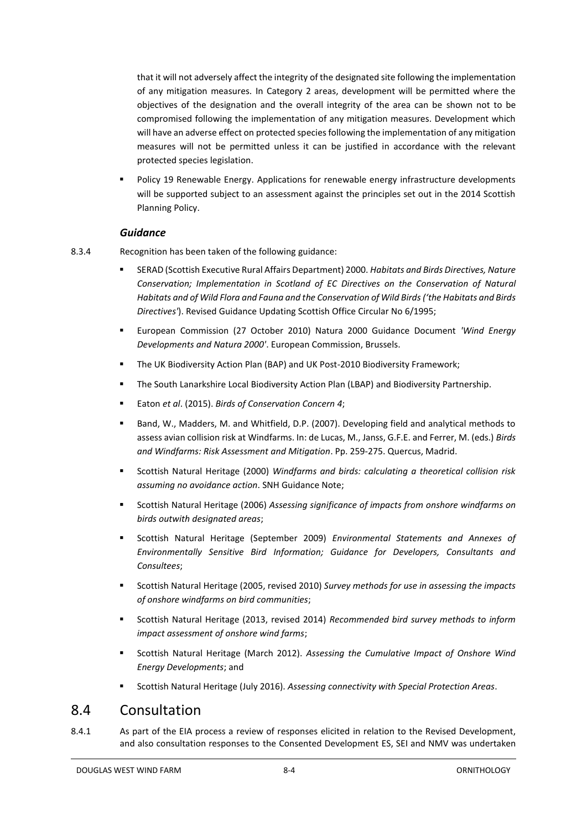that it will not adversely affect the integrity of the designated site following the implementation of any mitigation measures. In Category 2 areas, development will be permitted where the objectives of the designation and the overall integrity of the area can be shown not to be compromised following the implementation of any mitigation measures. Development which will have an adverse effect on protected species following the implementation of any mitigation measures will not be permitted unless it can be justified in accordance with the relevant protected species legislation.

 Policy 19 Renewable Energy. Applications for renewable energy infrastructure developments will be supported subject to an assessment against the principles set out in the 2014 Scottish Planning Policy.

## *Guidance*

- 8.3.4 Recognition has been taken of the following guidance:
	- SERAD (Scottish Executive Rural Affairs Department) 2000. *Habitats and Birds Directives, Nature Conservation; Implementation in Scotland of EC Directives on the Conservation of Natural Habitats and of Wild Flora and Fauna and the Conservation of Wild Birds ('the Habitats and Birds Directives'*). Revised Guidance Updating Scottish Office Circular No 6/1995;
	- European Commission (27 October 2010) Natura 2000 Guidance Document *'Wind Energy Developments and Natura 2000'*. European Commission, Brussels.
	- The UK Biodiversity Action Plan (BAP) and UK Post-2010 Biodiversity Framework;
	- The South Lanarkshire Local Biodiversity Action Plan (LBAP) and Biodiversity Partnership.
	- Eaton *et al*. (2015). *Birds of Conservation Concern 4*;
	- Band, W., Madders, M. and Whitfield, D.P. (2007). Developing field and analytical methods to assess avian collision risk at Windfarms. In: de Lucas, M., Janss, G.F.E. and Ferrer, M. (eds.) *Birds and Windfarms: Risk Assessment and Mitigation*. Pp. 259-275. Quercus, Madrid.
	- Scottish Natural Heritage (2000) *Windfarms and birds: calculating a theoretical collision risk assuming no avoidance action*. SNH Guidance Note;
	- Scottish Natural Heritage (2006) *Assessing significance of impacts from onshore windfarms on birds outwith designated areas*;
	- Scottish Natural Heritage (September 2009) *Environmental Statements and Annexes of Environmentally Sensitive Bird Information; Guidance for Developers, Consultants and Consultees*;
	- Scottish Natural Heritage (2005, revised 2010) *Survey methods for use in assessing the impacts of onshore windfarms on bird communities*;
	- Scottish Natural Heritage (2013, revised 2014) *Recommended bird survey methods to inform impact assessment of onshore wind farms*;
	- Scottish Natural Heritage (March 2012). *Assessing the Cumulative Impact of Onshore Wind Energy Developments*; and
	- Scottish Natural Heritage (July 2016). *Assessing connectivity with Special Protection Areas*.

# <span id="page-5-0"></span>8.4 Consultation

8.4.1 As part of the EIA process a review of responses elicited in relation to the Revised Development, and also consultation responses to the Consented Development ES, SEI and NMV was undertaken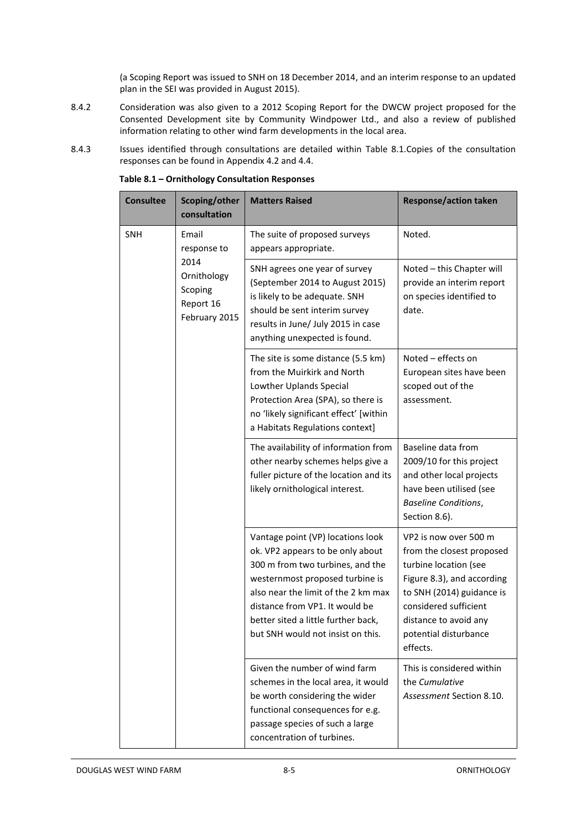(a Scoping Report was issued to SNH on 18 December 2014, and an interim response to an updated plan in the SEI was provided in August 2015).

- 8.4.2 Consideration was also given to a 2012 Scoping Report for the DWCW project proposed for the Consented Development site by Community Windpower Ltd., and also a review of published information relating to other wind farm developments in the local area.
- <span id="page-6-0"></span>8.4.3 Issues identified through consultations are detailed within [Table 8.1.](#page-6-0) Copies of the consultation responses can be found in Appendix 4.2 and 4.4.

| <b>Consultee</b>                                                                                   | Scoping/other<br>consultation                                                                                                                                                                                   | <b>Matters Raised</b>                                                                                                                                                                                                                                                                             | <b>Response/action taken</b>                                                                                                                                                                                                  |
|----------------------------------------------------------------------------------------------------|-----------------------------------------------------------------------------------------------------------------------------------------------------------------------------------------------------------------|---------------------------------------------------------------------------------------------------------------------------------------------------------------------------------------------------------------------------------------------------------------------------------------------------|-------------------------------------------------------------------------------------------------------------------------------------------------------------------------------------------------------------------------------|
| <b>SNH</b><br>Email<br>response to<br>2014<br>Ornithology<br>Scoping<br>Report 16<br>February 2015 |                                                                                                                                                                                                                 | The suite of proposed surveys<br>appears appropriate.                                                                                                                                                                                                                                             | Noted.                                                                                                                                                                                                                        |
|                                                                                                    |                                                                                                                                                                                                                 | SNH agrees one year of survey<br>(September 2014 to August 2015)<br>is likely to be adequate. SNH<br>should be sent interim survey<br>results in June/ July 2015 in case<br>anything unexpected is found.                                                                                         | Noted - this Chapter will<br>provide an interim report<br>on species identified to<br>date.                                                                                                                                   |
|                                                                                                    | The site is some distance (5.5 km)<br>from the Muirkirk and North<br>Lowther Uplands Special<br>Protection Area (SPA), so there is<br>no 'likely significant effect' [within<br>a Habitats Regulations context] | Noted - effects on<br>European sites have been<br>scoped out of the<br>assessment.                                                                                                                                                                                                                |                                                                                                                                                                                                                               |
|                                                                                                    | The availability of information from<br>other nearby schemes helps give a<br>fuller picture of the location and its<br>likely ornithological interest.                                                          | Baseline data from<br>2009/10 for this project<br>and other local projects<br>have been utilised (see<br><b>Baseline Conditions,</b><br>Section 8.6).                                                                                                                                             |                                                                                                                                                                                                                               |
|                                                                                                    |                                                                                                                                                                                                                 | Vantage point (VP) locations look<br>ok. VP2 appears to be only about<br>300 m from two turbines, and the<br>westernmost proposed turbine is<br>also near the limit of the 2 km max<br>distance from VP1. It would be<br>better sited a little further back,<br>but SNH would not insist on this. | VP2 is now over 500 m<br>from the closest proposed<br>turbine location (see<br>Figure 8.3), and according<br>to SNH (2014) guidance is<br>considered sufficient<br>distance to avoid any<br>potential disturbance<br>effects. |
|                                                                                                    |                                                                                                                                                                                                                 | Given the number of wind farm<br>schemes in the local area, it would<br>be worth considering the wider<br>functional consequences for e.g.<br>passage species of such a large<br>concentration of turbines.                                                                                       | This is considered within<br>the Cumulative<br>Assessment Section 8.10.                                                                                                                                                       |

**Table 8.1 – Ornithology Consultation Responses**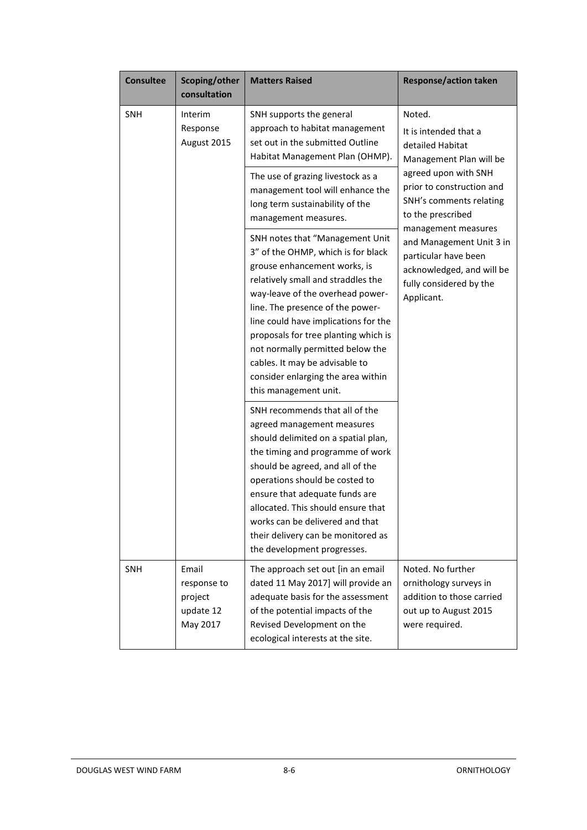| <b>Consultee</b> | Scoping/other<br>consultation                            | <b>Matters Raised</b>                                                                                                                                                                                                                                                                                                                                                                                                                    | <b>Response/action taken</b>                                                                                                                  |  |
|------------------|----------------------------------------------------------|------------------------------------------------------------------------------------------------------------------------------------------------------------------------------------------------------------------------------------------------------------------------------------------------------------------------------------------------------------------------------------------------------------------------------------------|-----------------------------------------------------------------------------------------------------------------------------------------------|--|
| SNH              | Interim<br>Response<br>August 2015                       | SNH supports the general<br>approach to habitat management<br>set out in the submitted Outline<br>Habitat Management Plan (OHMP).                                                                                                                                                                                                                                                                                                        | Noted.<br>It is intended that a<br>detailed Habitat<br>Management Plan will be                                                                |  |
|                  |                                                          | The use of grazing livestock as a<br>management tool will enhance the<br>long term sustainability of the<br>management measures.                                                                                                                                                                                                                                                                                                         | agreed upon with SNH<br>prior to construction and<br>SNH's comments relating<br>to the prescribed                                             |  |
|                  |                                                          | SNH notes that "Management Unit<br>3" of the OHMP, which is for black<br>grouse enhancement works, is<br>relatively small and straddles the<br>way-leave of the overhead power-<br>line. The presence of the power-<br>line could have implications for the<br>proposals for tree planting which is<br>not normally permitted below the<br>cables. It may be advisable to<br>consider enlarging the area within<br>this management unit. | management measures<br>and Management Unit 3 in<br>particular have been<br>acknowledged, and will be<br>fully considered by the<br>Applicant. |  |
|                  |                                                          | SNH recommends that all of the<br>agreed management measures<br>should delimited on a spatial plan,<br>the timing and programme of work<br>should be agreed, and all of the<br>operations should be costed to<br>ensure that adequate funds are<br>allocated. This should ensure that<br>works can be delivered and that<br>their delivery can be monitored as<br>the development progresses.                                            |                                                                                                                                               |  |
| SNH              | Email<br>response to<br>project<br>update 12<br>May 2017 | The approach set out [in an email<br>dated 11 May 2017] will provide an<br>adequate basis for the assessment<br>of the potential impacts of the<br>Revised Development on the<br>ecological interests at the site.                                                                                                                                                                                                                       | Noted. No further<br>ornithology surveys in<br>addition to those carried<br>out up to August 2015<br>were required.                           |  |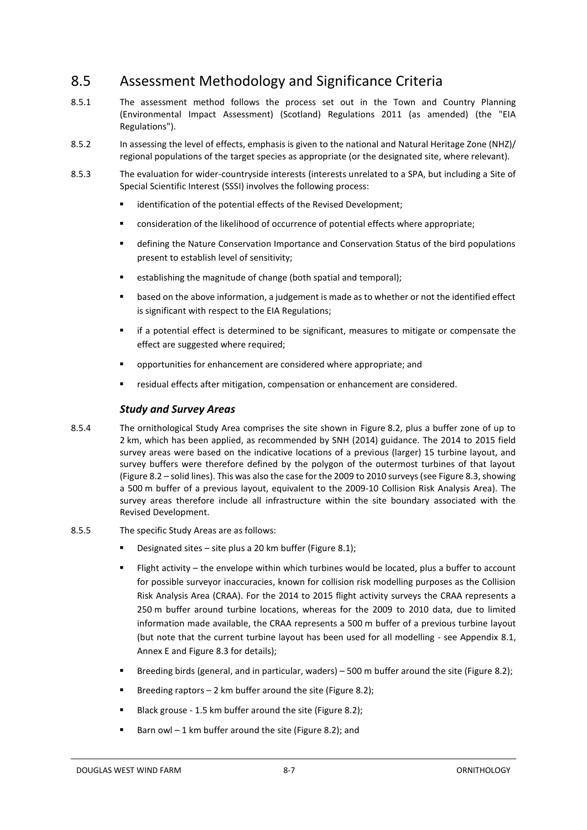# <span id="page-8-0"></span>8.5 Assessment Methodology and Significance Criteria

- 8.5.1 The assessment method follows the process set out in the Town and Country Planning (Environmental Impact Assessment) (Scotland) Regulations 2011 (as amended) (the "EIA Regulations").
- 8.5.2 In assessing the level of effects, emphasis is given to the national and Natural Heritage Zone (NHZ)/ regional populations of the target species as appropriate (or the designated site, where relevant).
- 8.5.3 The evaluation for wider-countryside interests (interests unrelated to a SPA, but including a Site of Special Scientific Interest (SSSI) involves the following process:
	- identification of the potential effects of the Revised Development;
	- **EXECT** consideration of the likelihood of occurrence of potential effects where appropriate;
	- defining the Nature Conservation Importance and Conservation Status of the bird populations present to establish level of sensitivity;
	- establishing the magnitude of change (both spatial and temporal);
	- based on the above information, a judgement is made as to whether or not the identified effect is significant with respect to the EIA Regulations;
	- if a potential effect is determined to be significant, measures to mitigate or compensate the effect are suggested where required;
	- opportunities for enhancement are considered where appropriate; and
	- residual effects after mitigation, compensation or enhancement are considered.

### *Study and Survey Areas*

- 8.5.4 The ornithological Study Area comprises the site shown in Figure 8.2, plus a buffer zone of up to 2 km, which has been applied, as recommended by SNH (2014) guidance. The 2014 to 2015 field survey areas were based on the indicative locations of a previous (larger) 15 turbine layout, and survey buffers were therefore defined by the polygon of the outermost turbines of that layout (Figure 8.2 – solid lines). This was also the case for the 2009 to 2010 surveys (see Figure 8.3, showing a 500 m buffer of a previous layout, equivalent to the 2009-10 Collision Risk Analysis Area). The survey areas therefore include all infrastructure within the site boundary associated with the Revised Development.
- <span id="page-8-1"></span>8.5.5 The specific Study Areas are as follows:
	- Designated sites site plus a 20 km buffer (Figure 8.1);
	- Flight activity the envelope within which turbines would be located, plus a buffer to account for possible surveyor inaccuracies, known for collision risk modelling purposes as the Collision Risk Analysis Area (CRAA). For the 2014 to 2015 flight activity surveys the CRAA represents a 250 m buffer around turbine locations, whereas for the 2009 to 2010 data, due to limited information made available, the CRAA represents a 500 m buffer of a previous turbine layout (but note that the current turbine layout has been used for all modelling - see Appendix 8.1, Annex E and Figure 8.3 for details);
	- Breeding birds (general, and in particular, waders) 500 m buffer around the site (Figure 8.2);
	- **Breeding raptors 2 km buffer around the site (Figure 8.2);**
	- Black grouse 1.5 km buffer around the site (Figure 8.2);
	- Barn owl  $-1$  km buffer around the site (Figure 8.2); and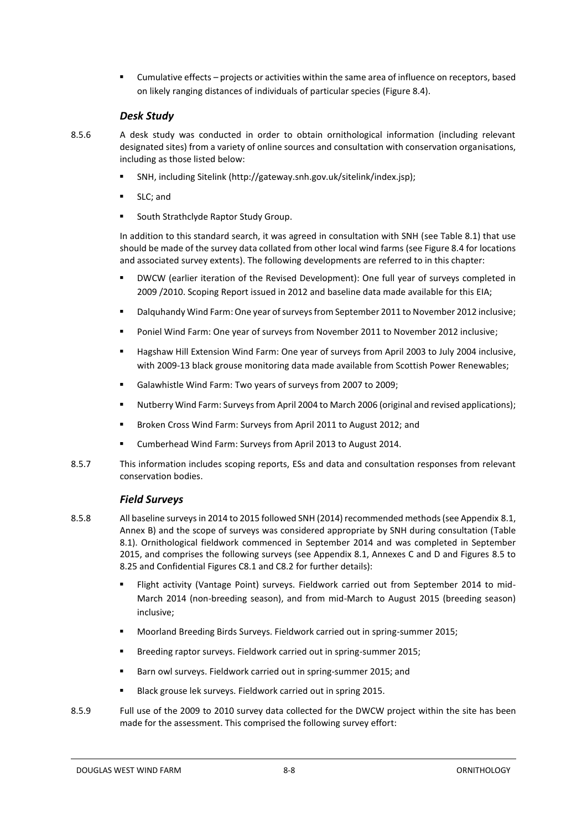Cumulative effects – projects or activities within the same area of influence on receptors, based on likely ranging distances of individuals of particular species (Figure 8.4).

## *Desk Study*

8.5.6 A desk study was conducted in order to obtain ornithological information (including relevant designated sites) from a variety of online sources and consultation with conservation organisations, including as those listed below:

- SNH, including Sitelink (http://gateway.snh.gov.uk/sitelink/index.jsp);
- SLC; and
- South Strathclyde Raptor Study Group.

In addition to this standard search, it was agreed in consultation with SNH (see [Table 8.1\)](#page-6-0) that use should be made of the survey data collated from other local wind farms (see Figure 8.4 for locations and associated survey extents). The following developments are referred to in this chapter:

- DWCW (earlier iteration of the Revised Development): One full year of surveys completed in 2009 /2010. Scoping Report issued in 2012 and baseline data made available for this EIA;
- Dalquhandy Wind Farm: One year of surveys from September 2011 to November 2012 inclusive;
- Poniel Wind Farm: One year of surveys from November 2011 to November 2012 inclusive;
- Hagshaw Hill Extension Wind Farm: One year of surveys from April 2003 to July 2004 inclusive, with 2009-13 black grouse monitoring data made available from Scottish Power Renewables;
- Galawhistle Wind Farm: Two years of surveys from 2007 to 2009;
- Nutberry Wind Farm: Surveys from April 2004 to March 2006 (original and revised applications);
- **Broken Cross Wind Farm: Surveys from April 2011 to August 2012; and**
- Cumberhead Wind Farm: Surveys from April 2013 to August 2014.
- 8.5.7 This information includes scoping reports, ESs and data and consultation responses from relevant conservation bodies.

# *Field Surveys*

- 8.5.8 All baseline surveys in 2014 to 2015 followed SNH (2014) recommended methods (see Appendix 8.1, Annex B) and the scope of surveys was considered appropriate by SNH during consultation [\(Table](#page-6-0)  [8.1\)](#page-6-0). Ornithological fieldwork commenced in September 2014 and was completed in September 2015, and comprises the following surveys (see Appendix 8.1, Annexes C and D and Figures 8.5 to 8.25 and Confidential Figures C8.1 and C8.2 for further details):
	- Flight activity (Vantage Point) surveys. Fieldwork carried out from September 2014 to mid-March 2014 (non-breeding season), and from mid-March to August 2015 (breeding season) inclusive;
	- Moorland Breeding Birds Surveys. Fieldwork carried out in spring-summer 2015;
	- **Breeding raptor surveys. Fieldwork carried out in spring-summer 2015;**
	- Barn owl surveys. Fieldwork carried out in spring-summer 2015; and
	- Black grouse lek surveys. Fieldwork carried out in spring 2015.
- 8.5.9 Full use of the 2009 to 2010 survey data collected for the DWCW project within the site has been made for the assessment. This comprised the following survey effort: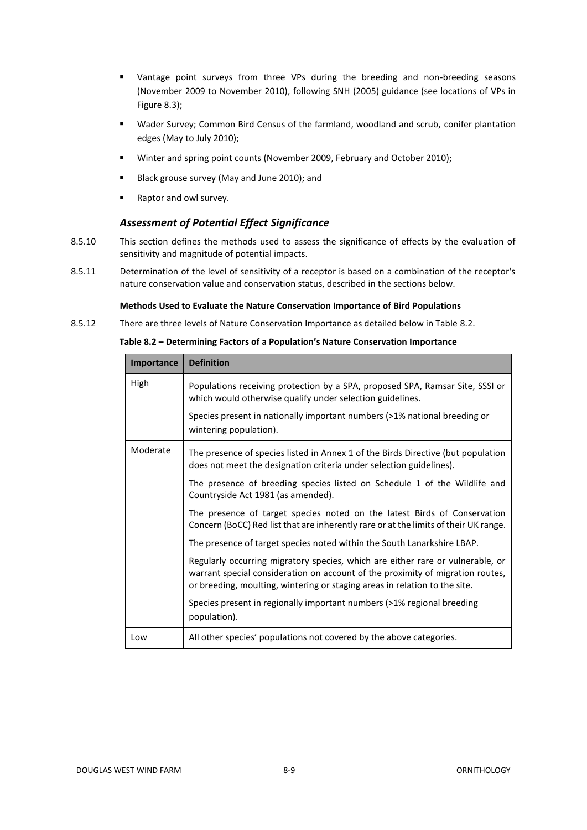- Vantage point surveys from three VPs during the breeding and non-breeding seasons (November 2009 to November 2010), following SNH (2005) guidance (see locations of VPs in Figure 8.3);
- Wader Survey; Common Bird Census of the farmland, woodland and scrub, conifer plantation edges (May to July 2010);
- Winter and spring point counts (November 2009, February and October 2010);
- Black grouse survey (May and June 2010); and
- Raptor and owl survey.

# *Assessment of Potential Effect Significance*

- 8.5.10 This section defines the methods used to assess the significance of effects by the evaluation of sensitivity and magnitude of potential impacts.
- 8.5.11 Determination of the level of sensitivity of a receptor is based on a combination of the receptor's nature conservation value and conservation status, described in the sections below.

#### **Methods Used to Evaluate the Nature Conservation Importance of Bird Populations**

8.5.12 There are three levels of Nature Conservation Importance as detailed below in Table 8.2.

| <b>Importance</b> | <b>Definition</b>                                                                                                                                                                                                                              |
|-------------------|------------------------------------------------------------------------------------------------------------------------------------------------------------------------------------------------------------------------------------------------|
| High              | Populations receiving protection by a SPA, proposed SPA, Ramsar Site, SSSI or<br>which would otherwise qualify under selection guidelines.                                                                                                     |
|                   | Species present in nationally important numbers (>1% national breeding or<br>wintering population).                                                                                                                                            |
| Moderate          | The presence of species listed in Annex 1 of the Birds Directive (but population<br>does not meet the designation criteria under selection guidelines).                                                                                        |
|                   | The presence of breeding species listed on Schedule 1 of the Wildlife and<br>Countryside Act 1981 (as amended).                                                                                                                                |
|                   | The presence of target species noted on the latest Birds of Conservation<br>Concern (BoCC) Red list that are inherently rare or at the limits of their UK range.                                                                               |
|                   | The presence of target species noted within the South Lanarkshire LBAP.                                                                                                                                                                        |
|                   | Regularly occurring migratory species, which are either rare or vulnerable, or<br>warrant special consideration on account of the proximity of migration routes,<br>or breeding, moulting, wintering or staging areas in relation to the site. |
|                   | Species present in regionally important numbers (>1% regional breeding<br>population).                                                                                                                                                         |
| Low               | All other species' populations not covered by the above categories.                                                                                                                                                                            |

**Table 8.2 – Determining Factors of a Population's Nature Conservation Importance**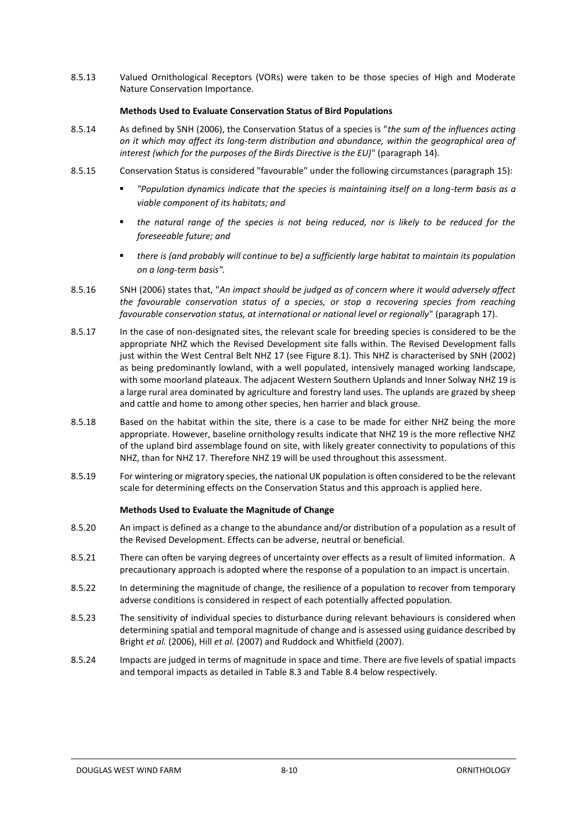8.5.13 Valued Ornithological Receptors (VORs) were taken to be those species of High and Moderate Nature Conservation Importance.

#### **Methods Used to Evaluate Conservation Status of Bird Populations**

- 8.5.14 As defined by SNH (2006), the Conservation Status of a species is "*the sum of the influences acting on it which may affect its long-term distribution and abundance, within the geographical area of interest (which for the purposes of the Birds Directive is the EU)*" (paragraph 14).
- 8.5.15 Conservation Status is considered "favourable" under the following circumstances (paragraph 15):
	- *"Population dynamics indicate that the species is maintaining itself on a long-term basis as a viable component of its habitats; and*
	- *the natural range of the species is not being reduced, nor is likely to be reduced for the foreseeable future; and*
	- *there is (and probably will continue to be) a sufficiently large habitat to maintain its population on a long-term basis".*
- 8.5.16 SNH (2006) states that, "*An impact should be judged as of concern where it would adversely affect the favourable conservation status of a species, or stop a recovering species from reaching favourable conservation status, at international or national level or regionally*" (paragraph 17).
- 8.5.17 In the case of non-designated sites, the relevant scale for breeding species is considered to be the appropriate NHZ which the Revised Development site falls within. The Revised Development falls just within the West Central Belt NHZ 17 (see Figure 8.1). This NHZ is characterised by SNH (2002) as being predominantly lowland, with a well populated, intensively managed working landscape, with some moorland plateaux. The adjacent Western Southern Uplands and Inner Solway NHZ 19 is a large rural area dominated by agriculture and forestry land uses. The uplands are grazed by sheep and cattle and home to among other species, hen harrier and black grouse.
- 8.5.18 Based on the habitat within the site, there is a case to be made for either NHZ being the more appropriate. However, baseline ornithology results indicate that NHZ 19 is the more reflective NHZ of the upland bird assemblage found on site, with likely greater connectivity to populations of this NHZ, than for NHZ 17. Therefore NHZ 19 will be used throughout this assessment.
- 8.5.19 For wintering or migratory species, the national UK population is often considered to be the relevant scale for determining effects on the Conservation Status and this approach is applied here.

#### **Methods Used to Evaluate the Magnitude of Change**

- 8.5.20 An impact is defined as a change to the abundance and/or distribution of a population as a result of the Revised Development. Effects can be adverse, neutral or beneficial.
- 8.5.21 There can often be varying degrees of uncertainty over effects as a result of limited information. A precautionary approach is adopted where the response of a population to an impact is uncertain.
- 8.5.22 In determining the magnitude of change, the resilience of a population to recover from temporary adverse conditions is considered in respect of each potentially affected population.
- 8.5.23 The sensitivity of individual species to disturbance during relevant behaviours is considered when determining spatial and temporal magnitude of change and is assessed using guidance described by Bright *et al.* (2006), Hill *et al.* (2007) and Ruddock and Whitfield (2007).
- 8.5.24 Impacts are judged in terms of magnitude in space and time. There are five levels of spatial impacts and temporal impacts as detailed in Table 8.3 and Table 8.4 below respectively.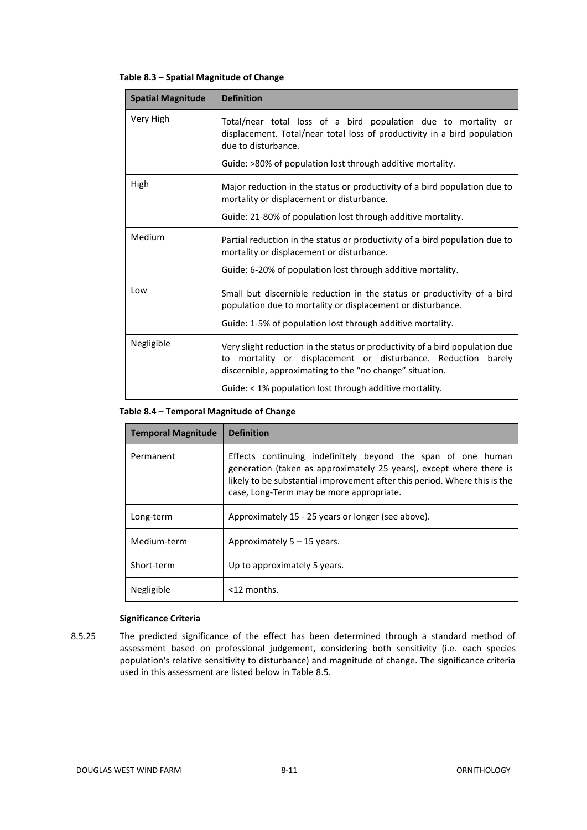| <b>Spatial Magnitude</b> | <b>Definition</b>                                                                                                                                                                                            |  |
|--------------------------|--------------------------------------------------------------------------------------------------------------------------------------------------------------------------------------------------------------|--|
| Very High                | Total/near total loss of a bird population due to mortality or<br>displacement. Total/near total loss of productivity in a bird population<br>due to disturbance.                                            |  |
|                          | Guide: >80% of population lost through additive mortality.                                                                                                                                                   |  |
| High                     | Major reduction in the status or productivity of a bird population due to<br>mortality or displacement or disturbance.                                                                                       |  |
|                          | Guide: 21-80% of population lost through additive mortality.                                                                                                                                                 |  |
| Medium                   | Partial reduction in the status or productivity of a bird population due to<br>mortality or displacement or disturbance.                                                                                     |  |
|                          | Guide: 6-20% of population lost through additive mortality.                                                                                                                                                  |  |
| Low                      | Small but discernible reduction in the status or productivity of a bird<br>population due to mortality or displacement or disturbance.                                                                       |  |
|                          | Guide: 1-5% of population lost through additive mortality.                                                                                                                                                   |  |
| Negligible               | Very slight reduction in the status or productivity of a bird population due<br>to mortality or displacement or disturbance. Reduction<br>barely<br>discernible, approximating to the "no change" situation. |  |
|                          | Guide: < 1% population lost through additive mortality.                                                                                                                                                      |  |

#### **Table 8.3 – Spatial Magnitude of Change**

#### **Table 8.4 – Temporal Magnitude of Change**

| <b>Temporal Magnitude</b> | <b>Definition</b>                                                                                                                                                                                                                                            |
|---------------------------|--------------------------------------------------------------------------------------------------------------------------------------------------------------------------------------------------------------------------------------------------------------|
| Permanent                 | Effects continuing indefinitely beyond the span of one human<br>generation (taken as approximately 25 years), except where there is<br>likely to be substantial improvement after this period. Where this is the<br>case, Long-Term may be more appropriate. |
| Long-term                 | Approximately 15 - 25 years or longer (see above).                                                                                                                                                                                                           |
| Medium-term               | Approximately 5 - 15 years.                                                                                                                                                                                                                                  |
| Short-term                | Up to approximately 5 years.                                                                                                                                                                                                                                 |
| Negligible                | $<$ 12 months.                                                                                                                                                                                                                                               |

### **Significance Criteria**

8.5.25 The predicted significance of the effect has been determined through a standard method of assessment based on professional judgement, considering both sensitivity (i.e. each species population's relative sensitivity to disturbance) and magnitude of change. The significance criteria used in this assessment are listed below in Table 8.5.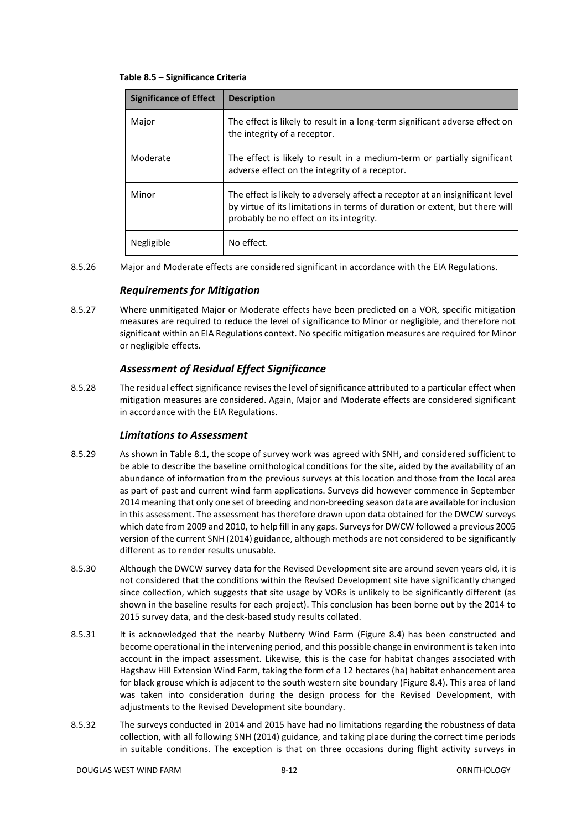#### **Table 8.5 – Significance Criteria**

| <b>Significance of Effect</b> | <b>Description</b>                                                                                                                                                                                      |
|-------------------------------|---------------------------------------------------------------------------------------------------------------------------------------------------------------------------------------------------------|
| Major                         | The effect is likely to result in a long-term significant adverse effect on<br>the integrity of a receptor.                                                                                             |
| Moderate                      | The effect is likely to result in a medium-term or partially significant<br>adverse effect on the integrity of a receptor.                                                                              |
| Minor                         | The effect is likely to adversely affect a receptor at an insignificant level<br>by virtue of its limitations in terms of duration or extent, but there will<br>probably be no effect on its integrity. |
| Negligible                    | No effect.                                                                                                                                                                                              |

8.5.26 Major and Moderate effects are considered significant in accordance with the EIA Regulations.

# *Requirements for Mitigation*

8.5.27 Where unmitigated Major or Moderate effects have been predicted on a VOR, specific mitigation measures are required to reduce the level of significance to Minor or negligible, and therefore not significant within an EIA Regulations context. No specific mitigation measures are required for Minor or negligible effects.

# *Assessment of Residual Effect Significance*

8.5.28 The residual effect significance revises the level of significance attributed to a particular effect when mitigation measures are considered. Again, Major and Moderate effects are considered significant in accordance with the EIA Regulations.

# *Limitations to Assessment*

- 8.5.29 As shown i[n Table 8.1,](#page-6-0) the scope of survey work was agreed with SNH, and considered sufficient to be able to describe the baseline ornithological conditions for the site, aided by the availability of an abundance of information from the previous surveys at this location and those from the local area as part of past and current wind farm applications. Surveys did however commence in September 2014 meaning that only one set of breeding and non-breeding season data are available for inclusion in this assessment. The assessment has therefore drawn upon data obtained for the DWCW surveys which date from 2009 and 2010, to help fill in any gaps. Surveys for DWCW followed a previous 2005 version of the current SNH (2014) guidance, although methods are not considered to be significantly different as to render results unusable.
- 8.5.30 Although the DWCW survey data for the Revised Development site are around seven years old, it is not considered that the conditions within the Revised Development site have significantly changed since collection, which suggests that site usage by VORs is unlikely to be significantly different (as shown in the baseline results for each project). This conclusion has been borne out by the 2014 to 2015 survey data, and the desk-based study results collated.
- 8.5.31 It is acknowledged that the nearby Nutberry Wind Farm (Figure 8.4) has been constructed and become operational in the intervening period, and this possible change in environment is taken into account in the impact assessment. Likewise, this is the case for habitat changes associated with Hagshaw Hill Extension Wind Farm, taking the form of a 12 hectares (ha) habitat enhancement area for black grouse which is adjacent to the south western site boundary (Figure 8.4). This area of land was taken into consideration during the design process for the Revised Development, with adjustments to the Revised Development site boundary.
- 8.5.32 The surveys conducted in 2014 and 2015 have had no limitations regarding the robustness of data collection, with all following SNH (2014) guidance, and taking place during the correct time periods in suitable conditions. The exception is that on three occasions during flight activity surveys in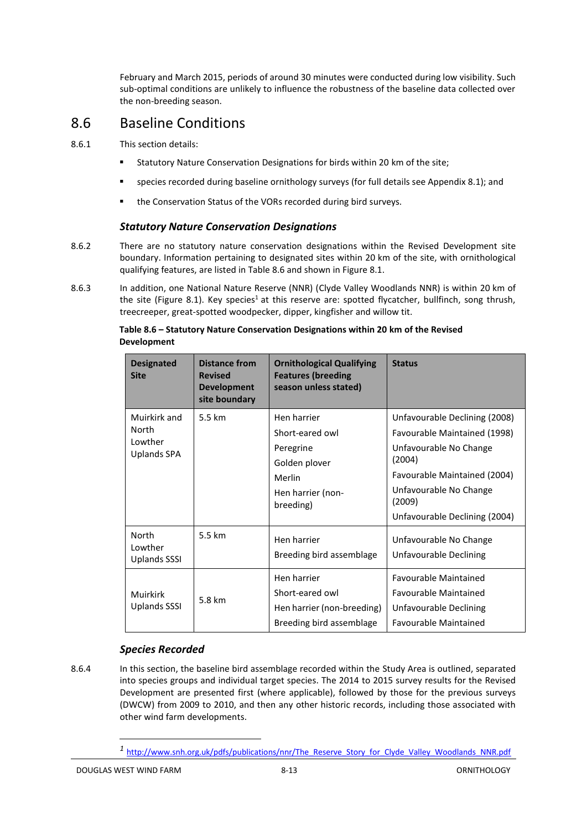February and March 2015, periods of around 30 minutes were conducted during low visibility. Such sub-optimal conditions are unlikely to influence the robustness of the baseline data collected over the non-breeding season.

# <span id="page-14-0"></span>8.6 Baseline Conditions

- 8.6.1 This section details:
	- **EXECT** Statutory Nature Conservation Designations for birds within 20 km of the site;
	- species recorded during baseline ornithology surveys (for full details see Appendix 8.1); and
	- the Conservation Status of the VORs recorded during bird surveys.

# *Statutory Nature Conservation Designations*

- 8.6.2 There are no statutory nature conservation designations within the Revised Development site boundary. Information pertaining to designated sites within 20 km of the site, with ornithological qualifying features, are listed in Table 8.6 and shown in Figure 8.1.
- 8.6.3 In addition, one National Nature Reserve (NNR) (Clyde Valley Woodlands NNR) is within 20 km of the site (Figure 8.1). Key species<sup>1</sup> at this reserve are: spotted flycatcher, bullfinch, song thrush, treecreeper, great-spotted woodpecker, dipper, kingfisher and willow tit.

| <b>Designated</b><br><b>Site</b>                       | <b>Distance from</b><br><b>Revised</b><br><b>Development</b><br>site boundary | <b>Ornithological Qualifying</b><br><b>Features (breeding</b><br>season unless stated)                   | <b>Status</b>                                                                                                                                                                                          |
|--------------------------------------------------------|-------------------------------------------------------------------------------|----------------------------------------------------------------------------------------------------------|--------------------------------------------------------------------------------------------------------------------------------------------------------------------------------------------------------|
| Muirkirk and<br>North<br>Lowther<br><b>Uplands SPA</b> | 5.5 km                                                                        | Hen harrier<br>Short-eared owl<br>Peregrine<br>Golden plover<br>Merlin<br>Hen harrier (non-<br>breeding) | Unfavourable Declining (2008)<br>Favourable Maintained (1998)<br>Unfavourable No Change<br>(2004)<br>Favourable Maintained (2004)<br>Unfavourable No Change<br>(2009)<br>Unfavourable Declining (2004) |
| North<br>Lowther<br><b>Uplands SSSI</b>                | 5.5 km                                                                        | Hen harrier<br>Breeding bird assemblage                                                                  | Unfavourable No Change<br>Unfavourable Declining                                                                                                                                                       |
| Muirkirk<br><b>Uplands SSSI</b>                        | 5.8 km                                                                        | Hen harrier<br>Short-eared owl<br>Hen harrier (non-breeding)<br>Breeding bird assemblage                 | <b>Favourable Maintained</b><br><b>Favourable Maintained</b><br>Unfavourable Declining<br><b>Favourable Maintained</b>                                                                                 |

#### **Table 8.6 – Statutory Nature Conservation Designations within 20 km of the Revised Development**

# *Species Recorded*

8.6.4 In this section, the baseline bird assemblage recorded within the Study Area is outlined, separated into species groups and individual target species. The 2014 to 2015 survey results for the Revised Development are presented first (where applicable), followed by those for the previous surveys (DWCW) from 2009 to 2010, and then any other historic records, including those associated with other wind farm developments.

<sup>&</sup>lt;sup>1</sup> [http://www.snh.org.uk/pdfs/publications/nnr/The\\_Reserve\\_Story\\_for\\_Clyde\\_Valley\\_Woodlands\\_NNR.pdf](http://www.snh.org.uk/pdfs/publications/nnr/The_Reserve_Story_for_Clyde_Valley_Woodlands_NNR.pdf)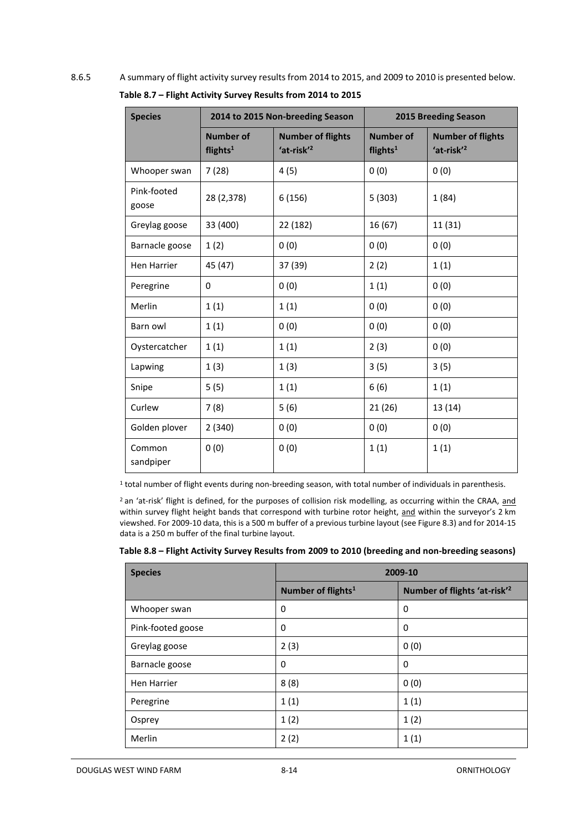8.6.5 A summary of flight activity survey results from 2014 to 2015, and 2009 to 2010 is presented below.

| <b>Species</b>       | 2014 to 2015 Non-breeding Season |                                                    | 2015 Breeding Season            |                                                    |
|----------------------|----------------------------------|----------------------------------------------------|---------------------------------|----------------------------------------------------|
|                      | <b>Number of</b><br>flights $1$  | <b>Number of flights</b><br>'at-risk' <sup>2</sup> | <b>Number of</b><br>flights $1$ | <b>Number of flights</b><br>'at-risk' <sup>2</sup> |
| Whooper swan         | 7(28)                            | 4(5)                                               | 0(0)                            | 0(0)                                               |
| Pink-footed<br>goose | 28 (2,378)                       | 6(156)                                             | 5(303)                          | 1(84)                                              |
| Greylag goose        | 33 (400)                         | 22 (182)                                           | 16 (67)                         | 11 (31)                                            |
| Barnacle goose       | 1(2)                             | 0(0)                                               | 0(0)                            | 0(0)                                               |
| <b>Hen Harrier</b>   | 45 (47)                          | 37 (39)                                            | 2(2)                            | 1(1)                                               |
| Peregrine            | 0                                | 0(0)                                               | 1(1)                            | 0(0)                                               |
| Merlin               | 1(1)                             | 1(1)                                               | 0(0)                            | 0(0)                                               |
| Barn owl             | 1(1)                             | 0(0)                                               | 0(0)                            | 0(0)                                               |
| Oystercatcher        | 1(1)                             | 1(1)                                               | 2(3)                            | 0(0)                                               |
| Lapwing              | 1(3)                             | 1(3)                                               | 3(5)                            | 3(5)                                               |
| Snipe                | 5(5)                             | 1(1)                                               | 6(6)                            | 1(1)                                               |
| Curlew               | 7(8)                             | 5(6)                                               | 21(26)                          | 13 (14)                                            |
| Golden plover        | 2(340)                           | 0(0)                                               | 0(0)                            | 0(0)                                               |
| Common<br>sandpiper  | 0(0)                             | 0(0)                                               | 1(1)                            | 1(1)                                               |

**Table 8.7 – Flight Activity Survey Results from 2014 to 2015** 

1 total number of flight events during non-breeding season, with total number of individuals in parenthesis.

<sup>2</sup> an 'at-risk' flight is defined, for the purposes of collision risk modelling, as occurring within the CRAA, and within survey flight height bands that correspond with turbine rotor height, and within the surveyor's 2 km viewshed. For 2009-10 data, this is a 500 m buffer of a previous turbine layout (see Figure 8.3) and for 2014-15 data is a 250 m buffer of the final turbine layout.

| <b>Species</b>     | 2009-10                        |                                          |  |
|--------------------|--------------------------------|------------------------------------------|--|
|                    | Number of flights <sup>1</sup> | Number of flights 'at-risk' <sup>2</sup> |  |
| Whooper swan       | 0                              | 0                                        |  |
| Pink-footed goose  | $\Omega$                       | 0                                        |  |
| Greylag goose      | 2(3)                           | 0(0)                                     |  |
| Barnacle goose     | $\Omega$                       | 0                                        |  |
| <b>Hen Harrier</b> | 8(8)                           | 0(0)                                     |  |
| Peregrine          | 1(1)                           | 1(1)                                     |  |
| Osprey             | 1(2)                           | 1(2)                                     |  |
| Merlin             | 2(2)                           | 1(1)                                     |  |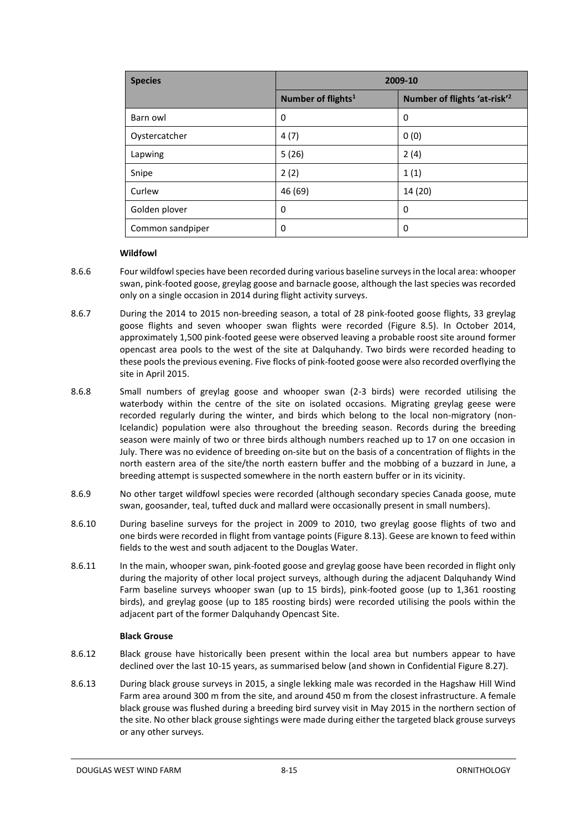| <b>Species</b>   | 2009-10                        |                                          |  |
|------------------|--------------------------------|------------------------------------------|--|
|                  | Number of flights <sup>1</sup> | Number of flights 'at-risk' <sup>2</sup> |  |
| Barn owl         | 0                              | 0                                        |  |
| Oystercatcher    | 4(7)                           | 0(0)                                     |  |
| Lapwing          | 5(26)                          | 2(4)                                     |  |
| Snipe            | 2(2)                           | 1(1)                                     |  |
| Curlew           | 46 (69)                        | 14 (20)                                  |  |
| Golden plover    | $\Omega$                       | 0                                        |  |
| Common sandpiper | 0                              | 0                                        |  |

#### **Wildfowl**

- 8.6.6 Four wildfowl species have been recorded during various baseline surveys in the local area: whooper swan, pink-footed goose, greylag goose and barnacle goose, although the last species was recorded only on a single occasion in 2014 during flight activity surveys.
- 8.6.7 During the 2014 to 2015 non-breeding season, a total of 28 pink-footed goose flights, 33 greylag goose flights and seven whooper swan flights were recorded (Figure 8.5). In October 2014, approximately 1,500 pink-footed geese were observed leaving a probable roost site around former opencast area pools to the west of the site at Dalquhandy. Two birds were recorded heading to these pools the previous evening. Five flocks of pink-footed goose were also recorded overflying the site in April 2015.
- 8.6.8 Small numbers of greylag goose and whooper swan (2-3 birds) were recorded utilising the waterbody within the centre of the site on isolated occasions. Migrating greylag geese were recorded regularly during the winter, and birds which belong to the local non-migratory (non-Icelandic) population were also throughout the breeding season. Records during the breeding season were mainly of two or three birds although numbers reached up to 17 on one occasion in July. There was no evidence of breeding on-site but on the basis of a concentration of flights in the north eastern area of the site/the north eastern buffer and the mobbing of a buzzard in June, a breeding attempt is suspected somewhere in the north eastern buffer or in its vicinity.
- 8.6.9 No other target wildfowl species were recorded (although secondary species Canada goose, mute swan, goosander, teal, tufted duck and mallard were occasionally present in small numbers).
- 8.6.10 During baseline surveys for the project in 2009 to 2010, two greylag goose flights of two and one birds were recorded in flight from vantage points (Figure 8.13). Geese are known to feed within fields to the west and south adjacent to the Douglas Water.
- 8.6.11 In the main, whooper swan, pink-footed goose and greylag goose have been recorded in flight only during the majority of other local project surveys, although during the adjacent Dalquhandy Wind Farm baseline surveys whooper swan (up to 15 birds), pink-footed goose (up to 1,361 roosting birds), and greylag goose (up to 185 roosting birds) were recorded utilising the pools within the adjacent part of the former Dalquhandy Opencast Site.

#### **Black Grouse**

- 8.6.12 Black grouse have historically been present within the local area but numbers appear to have declined over the last 10-15 years, as summarised below (and shown in Confidential Figure 8.27).
- 8.6.13 During black grouse surveys in 2015, a single lekking male was recorded in the Hagshaw Hill Wind Farm area around 300 m from the site, and around 450 m from the closest infrastructure. A female black grouse was flushed during a breeding bird survey visit in May 2015 in the northern section of the site. No other black grouse sightings were made during either the targeted black grouse surveys or any other surveys.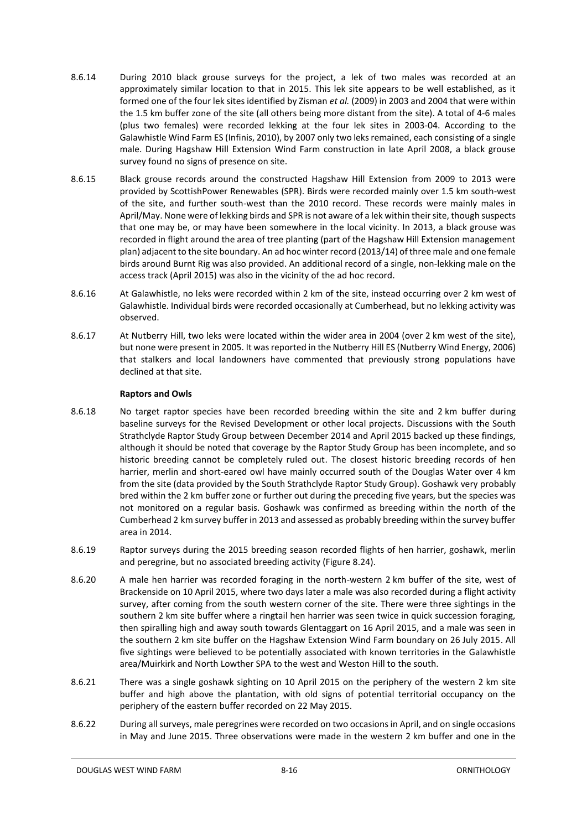- 8.6.14 During 2010 black grouse surveys for the project, a lek of two males was recorded at an approximately similar location to that in 2015. This lek site appears to be well established, as it formed one of the four lek sites identified by Zisman *et al.* (2009) in 2003 and 2004 that were within the 1.5 km buffer zone of the site (all others being more distant from the site). A total of 4-6 males (plus two females) were recorded lekking at the four lek sites in 2003-04. According to the Galawhistle Wind Farm ES (Infinis, 2010), by 2007 only two leks remained, each consisting of a single male. During Hagshaw Hill Extension Wind Farm construction in late April 2008, a black grouse survey found no signs of presence on site.
- 8.6.15 Black grouse records around the constructed Hagshaw Hill Extension from 2009 to 2013 were provided by ScottishPower Renewables (SPR). Birds were recorded mainly over 1.5 km south-west of the site, and further south-west than the 2010 record. These records were mainly males in April/May. None were of lekking birds and SPR is not aware of a lek within their site, though suspects that one may be, or may have been somewhere in the local vicinity. In 2013, a black grouse was recorded in flight around the area of tree planting (part of the Hagshaw Hill Extension management plan) adjacent to the site boundary. An ad hoc winterrecord (2013/14) ofthree male and one female birds around Burnt Rig was also provided. An additional record of a single, non-lekking male on the access track (April 2015) was also in the vicinity of the ad hoc record.
- 8.6.16 At Galawhistle, no leks were recorded within 2 km of the site, instead occurring over 2 km west of Galawhistle. Individual birds were recorded occasionally at Cumberhead, but no lekking activity was observed.
- 8.6.17 At Nutberry Hill, two leks were located within the wider area in 2004 (over 2 km west of the site), but none were present in 2005. It was reported in the Nutberry Hill ES (Nutberry Wind Energy, 2006) that stalkers and local landowners have commented that previously strong populations have declined at that site.

#### **Raptors and Owls**

- 8.6.18 No target raptor species have been recorded breeding within the site and 2 km buffer during baseline surveys for the Revised Development or other local projects. Discussions with the South Strathclyde Raptor Study Group between December 2014 and April 2015 backed up these findings, although it should be noted that coverage by the Raptor Study Group has been incomplete, and so historic breeding cannot be completely ruled out. The closest historic breeding records of hen harrier, merlin and short-eared owl have mainly occurred south of the Douglas Water over 4 km from the site (data provided by the South Strathclyde Raptor Study Group). Goshawk very probably bred within the 2 km buffer zone or further out during the preceding five years, but the species was not monitored on a regular basis. Goshawk was confirmed as breeding within the north of the Cumberhead 2 km survey buffer in 2013 and assessed as probably breeding within the survey buffer area in 2014.
- 8.6.19 Raptor surveys during the 2015 breeding season recorded flights of hen harrier, goshawk, merlin and peregrine, but no associated breeding activity (Figure 8.24).
- 8.6.20 A male hen harrier was recorded foraging in the north-western 2 km buffer of the site, west of Brackenside on 10 April 2015, where two days later a male was also recorded during a flight activity survey, after coming from the south western corner of the site. There were three sightings in the southern 2 km site buffer where a ringtail hen harrier was seen twice in quick succession foraging, then spiralling high and away south towards Glentaggart on 16 April 2015, and a male was seen in the southern 2 km site buffer on the Hagshaw Extension Wind Farm boundary on 26 July 2015. All five sightings were believed to be potentially associated with known territories in the Galawhistle area/Muirkirk and North Lowther SPA to the west and Weston Hill to the south.
- 8.6.21 There was a single goshawk sighting on 10 April 2015 on the periphery of the western 2 km site buffer and high above the plantation, with old signs of potential territorial occupancy on the periphery of the eastern buffer recorded on 22 May 2015.
- 8.6.22 During all surveys, male peregrines were recorded on two occasions in April, and on single occasions in May and June 2015. Three observations were made in the western 2 km buffer and one in the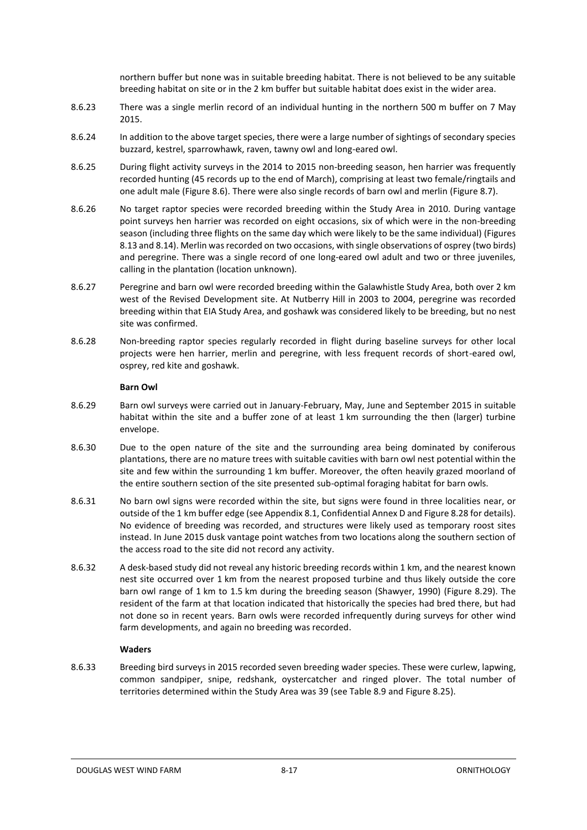northern buffer but none was in suitable breeding habitat. There is not believed to be any suitable breeding habitat on site or in the 2 km buffer but suitable habitat does exist in the wider area.

- 8.6.23 There was a single merlin record of an individual hunting in the northern 500 m buffer on 7 May 2015.
- 8.6.24 In addition to the above target species, there were a large number of sightings of secondary species buzzard, kestrel, sparrowhawk, raven, tawny owl and long-eared owl.
- 8.6.25 During flight activity surveys in the 2014 to 2015 non-breeding season, hen harrier was frequently recorded hunting (45 records up to the end of March), comprising at least two female/ringtails and one adult male (Figure 8.6). There were also single records of barn owl and merlin (Figure 8.7).
- 8.6.26 No target raptor species were recorded breeding within the Study Area in 2010. During vantage point surveys hen harrier was recorded on eight occasions, six of which were in the non-breeding season (including three flights on the same day which were likely to be the same individual) (Figures 8.13 and 8.14). Merlin was recorded on two occasions, with single observations of osprey (two birds) and peregrine. There was a single record of one long-eared owl adult and two or three juveniles, calling in the plantation (location unknown).
- 8.6.27 Peregrine and barn owl were recorded breeding within the Galawhistle Study Area, both over 2 km west of the Revised Development site. At Nutberry Hill in 2003 to 2004, peregrine was recorded breeding within that EIA Study Area, and goshawk was considered likely to be breeding, but no nest site was confirmed.
- 8.6.28 Non-breeding raptor species regularly recorded in flight during baseline surveys for other local projects were hen harrier, merlin and peregrine, with less frequent records of short-eared owl, osprey, red kite and goshawk.

#### **Barn Owl**

- 8.6.29 Barn owl surveys were carried out in January-February, May, June and September 2015 in suitable habitat within the site and a buffer zone of at least 1 km surrounding the then (larger) turbine envelope.
- 8.6.30 Due to the open nature of the site and the surrounding area being dominated by coniferous plantations, there are no mature trees with suitable cavities with barn owl nest potential within the site and few within the surrounding 1 km buffer. Moreover, the often heavily grazed moorland of the entire southern section of the site presented sub-optimal foraging habitat for barn owls.
- 8.6.31 No barn owl signs were recorded within the site, but signs were found in three localities near, or outside of the 1 km buffer edge (see Appendix 8.1, Confidential Annex D and Figure 8.28 for details). No evidence of breeding was recorded, and structures were likely used as temporary roost sites instead. In June 2015 dusk vantage point watches from two locations along the southern section of the access road to the site did not record any activity.
- 8.6.32 A desk-based study did not reveal any historic breeding records within 1 km, and the nearest known nest site occurred over 1 km from the nearest proposed turbine and thus likely outside the core barn owl range of 1 km to 1.5 km during the breeding season (Shawyer, 1990) (Figure 8.29). The resident of the farm at that location indicated that historically the species had bred there, but had not done so in recent years. Barn owls were recorded infrequently during surveys for other wind farm developments, and again no breeding was recorded.

#### **Waders**

8.6.33 Breeding bird surveys in 2015 recorded seven breeding wader species. These were curlew, lapwing, common sandpiper, snipe, redshank, oystercatcher and ringed plover. The total number of territories determined within the Study Area was 39 (see Table 8.9 and Figure 8.25).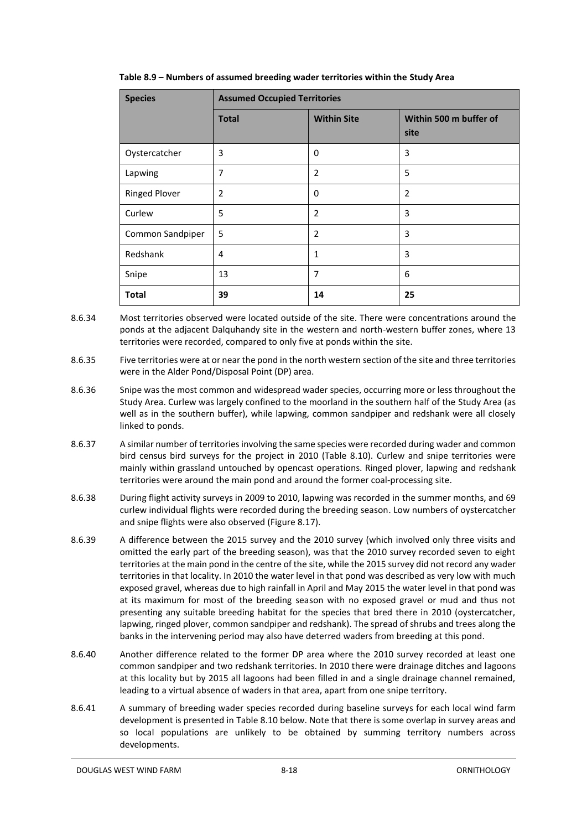| <b>Species</b>       | <b>Assumed Occupied Territories</b> |                    |                                |  |
|----------------------|-------------------------------------|--------------------|--------------------------------|--|
|                      | <b>Total</b>                        | <b>Within Site</b> | Within 500 m buffer of<br>site |  |
| Oystercatcher        | 3                                   | $\Omega$           | 3                              |  |
| Lapwing              | 7                                   | $\overline{2}$     | 5                              |  |
| <b>Ringed Plover</b> | $\overline{2}$                      | $\Omega$           | $\overline{2}$                 |  |
| Curlew               | 5                                   | $\overline{2}$     | 3                              |  |
| Common Sandpiper     | 5                                   | $\overline{2}$     | 3                              |  |
| Redshank             | 4                                   | $\mathbf{1}$       | 3                              |  |
| Snipe                | 13                                  | 7                  | 6                              |  |
| <b>Total</b>         | 39                                  | 14                 | 25                             |  |

**Table 8.9 – Numbers of assumed breeding wader territories within the Study Area**

- 8.6.34 Most territories observed were located outside of the site. There were concentrations around the ponds at the adjacent Dalquhandy site in the western and north-western buffer zones, where 13 territories were recorded, compared to only five at ponds within the site.
- 8.6.35 Five territories were at or near the pond in the north western section of the site and three territories were in the Alder Pond/Disposal Point (DP) area.
- 8.6.36 Snipe was the most common and widespread wader species, occurring more or less throughout the Study Area. Curlew was largely confined to the moorland in the southern half of the Study Area (as well as in the southern buffer), while lapwing, common sandpiper and redshank were all closely linked to ponds.
- 8.6.37 A similar number of territories involving the same species were recorded during wader and common bird census bird surveys for the project in 2010 (Table 8.10). Curlew and snipe territories were mainly within grassland untouched by opencast operations. Ringed plover, lapwing and redshank territories were around the main pond and around the former coal-processing site.
- 8.6.38 During flight activity surveys in 2009 to 2010, lapwing was recorded in the summer months, and 69 curlew individual flights were recorded during the breeding season. Low numbers of oystercatcher and snipe flights were also observed (Figure 8.17).
- 8.6.39 A difference between the 2015 survey and the 2010 survey (which involved only three visits and omitted the early part of the breeding season), was that the 2010 survey recorded seven to eight territories at the main pond in the centre of the site, while the 2015 survey did not record any wader territories in that locality. In 2010 the water level in that pond was described as very low with much exposed gravel, whereas due to high rainfall in April and May 2015 the water level in that pond was at its maximum for most of the breeding season with no exposed gravel or mud and thus not presenting any suitable breeding habitat for the species that bred there in 2010 (oystercatcher, lapwing, ringed plover, common sandpiper and redshank). The spread of shrubs and trees along the banks in the intervening period may also have deterred waders from breeding at this pond.
- 8.6.40 Another difference related to the former DP area where the 2010 survey recorded at least one common sandpiper and two redshank territories. In 2010 there were drainage ditches and lagoons at this locality but by 2015 all lagoons had been filled in and a single drainage channel remained, leading to a virtual absence of waders in that area, apart from one snipe territory.
- 8.6.41 A summary of breeding wader species recorded during baseline surveys for each local wind farm development is presented in Table 8.10 below. Note that there is some overlap in survey areas and so local populations are unlikely to be obtained by summing territory numbers across developments.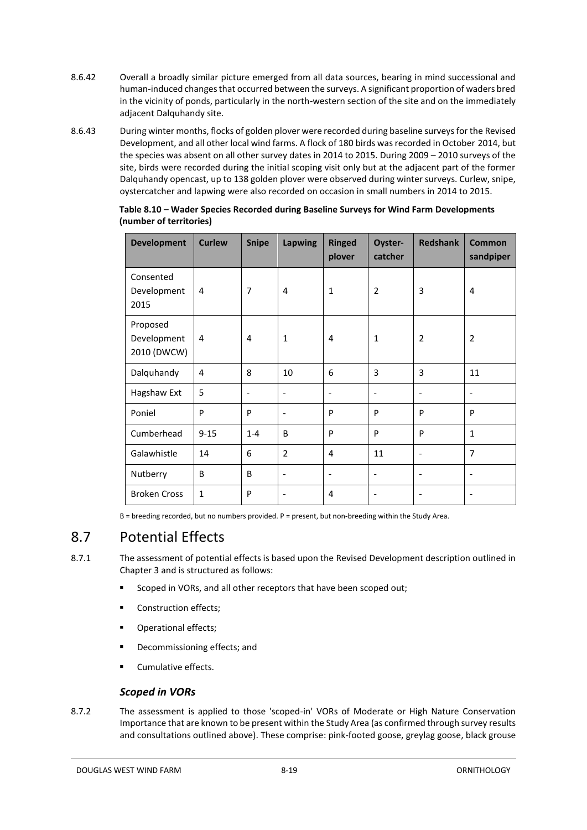- 8.6.42 Overall a broadly similar picture emerged from all data sources, bearing in mind successional and human-induced changes that occurred between the surveys. A significant proportion of waders bred in the vicinity of ponds, particularly in the north-western section of the site and on the immediately adjacent Dalquhandy site.
- 8.6.43 During winter months, flocks of golden plover were recorded during baseline surveys for the Revised Development, and all other local wind farms. A flock of 180 birds was recorded in October 2014, but the species was absent on all other survey dates in 2014 to 2015. During 2009 – 2010 surveys of the site, birds were recorded during the initial scoping visit only but at the adjacent part of the former Dalquhandy opencast, up to 138 golden plover were observed during winter surveys. Curlew, snipe, oystercatcher and lapwing were also recorded on occasion in small numbers in 2014 to 2015.

| <b>Development</b>                     | <b>Curlew</b>  | <b>Snipe</b>             | Lapwing                  | <b>Ringed</b><br>plover      | Oyster-<br>catcher       | <b>Redshank</b>          | <b>Common</b><br>sandpiper |
|----------------------------------------|----------------|--------------------------|--------------------------|------------------------------|--------------------------|--------------------------|----------------------------|
| Consented<br>Development<br>2015       | $\overline{4}$ | 7                        | 4                        | $\mathbf{1}$                 | $\overline{2}$           | 3                        | 4                          |
| Proposed<br>Development<br>2010 (DWCW) | $\overline{4}$ | 4                        | $\mathbf{1}$             | 4                            | 1                        | 2                        | $\overline{2}$             |
| Dalquhandy                             | 4              | 8                        | 10                       | 6                            | 3                        | 3                        | 11                         |
| Hagshaw Ext                            | 5              | $\overline{\phantom{a}}$ | $\overline{\phantom{a}}$ | $\qquad \qquad \blacksquare$ | $\overline{\phantom{0}}$ | $\overline{\phantom{a}}$ | $\overline{\phantom{a}}$   |
| Poniel                                 | P              | P                        | $\overline{\phantom{a}}$ | P                            | P                        | P                        | P                          |
| Cumberhead                             | $9 - 15$       | $1 - 4$                  | B                        | P                            | P                        | P                        | $\mathbf{1}$               |
| Galawhistle                            | 14             | 6                        | $\overline{2}$           | 4                            | 11                       | $\overline{\phantom{a}}$ | $\overline{7}$             |
| Nutberry                               | B              | B                        | $\overline{\phantom{a}}$ | $\overline{\phantom{a}}$     | $\overline{\phantom{a}}$ | $\overline{\phantom{a}}$ | $\overline{\phantom{a}}$   |
| <b>Broken Cross</b>                    | $\mathbf{1}$   | P                        | $\overline{\phantom{a}}$ | 4                            |                          | $\overline{\phantom{a}}$ |                            |

**Table 8.10 – Wader Species Recorded during Baseline Surveys for Wind Farm Developments (number of territories)**

B = breeding recorded, but no numbers provided. P = present, but non-breeding within the Study Area.

# <span id="page-20-0"></span>8.7 Potential Effects

- 8.7.1 The assessment of potential effects is based upon the Revised Development description outlined in Chapter 3 and is structured as follows:
	- **Scoped in VORs, and all other receptors that have been scoped out;**
	- **Construction effects;**
	- **•** Operational effects;
	- Decommissioning effects: and
	- Cumulative effects.

# *Scoped in VORs*

8.7.2 The assessment is applied to those 'scoped-in' VORs of Moderate or High Nature Conservation Importance that are known to be present within the Study Area (as confirmed through survey results and consultations outlined above). These comprise: pink-footed goose, greylag goose, black grouse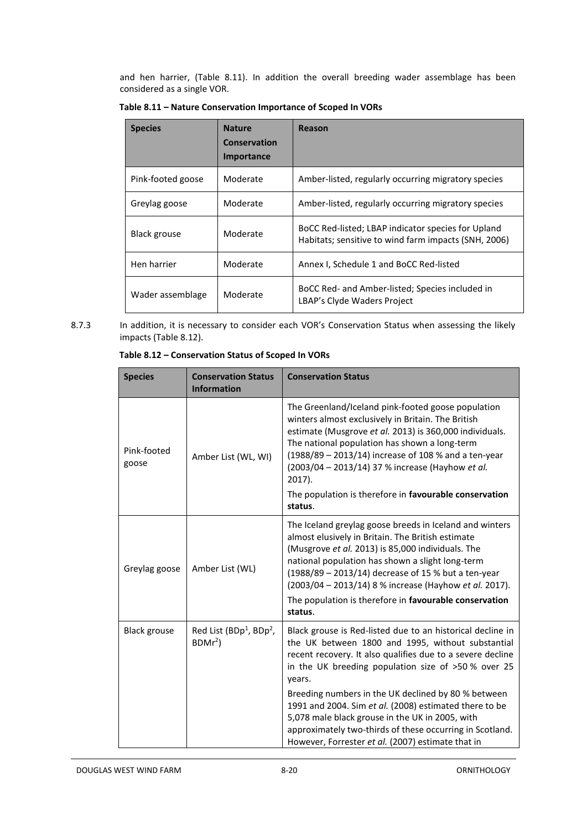and hen harrier, (Table 8.11). In addition the overall breeding wader assemblage has been considered as a single VOR.

| <b>Species</b>    | <b>Nature</b><br><b>Conservation</b><br><b>Importance</b> | Reason                                                                                                     |
|-------------------|-----------------------------------------------------------|------------------------------------------------------------------------------------------------------------|
| Pink-footed goose | Moderate                                                  | Amber-listed, regularly occurring migratory species                                                        |
| Greylag goose     | Moderate                                                  | Amber-listed, regularly occurring migratory species                                                        |
| Black grouse      | Moderate                                                  | BoCC Red-listed; LBAP indicator species for Upland<br>Habitats; sensitive to wind farm impacts (SNH, 2006) |
| Hen harrier       | Moderate                                                  | Annex I, Schedule 1 and BoCC Red-listed                                                                    |
| Wader assemblage  | Moderate                                                  | BoCC Red- and Amber-listed; Species included in<br>LBAP's Clyde Waders Project                             |

**Table 8.11 – Nature Conservation Importance of Scoped In VORs**

<span id="page-21-0"></span>8.7.3 In addition, it is necessary to consider each VOR's Conservation Status when assessing the likely impacts [\(Table 8.12\)](#page-21-0).

|  | Table 8.12 – Conservation Status of Scoped In VORs |
|--|----------------------------------------------------|
|--|----------------------------------------------------|

| <b>Species</b>       | <b>Conservation Status</b><br><b>Information</b> | <b>Conservation Status</b>                                                                                                                                                                                                                                                                                                                                                                                         |
|----------------------|--------------------------------------------------|--------------------------------------------------------------------------------------------------------------------------------------------------------------------------------------------------------------------------------------------------------------------------------------------------------------------------------------------------------------------------------------------------------------------|
| Pink-footed<br>goose | Amber List (WL, WI)                              | The Greenland/Iceland pink-footed goose population<br>winters almost exclusively in Britain. The British<br>estimate (Musgrove et al. 2013) is 360,000 individuals.<br>The national population has shown a long-term<br>(1988/89 - 2013/14) increase of 108 % and a ten-year<br>(2003/04 - 2013/14) 37 % increase (Hayhow et al.<br>$2017$ ).<br>The population is therefore in favourable conservation<br>status. |
| Greylag goose        | Amber List (WL)                                  | The Iceland greylag goose breeds in Iceland and winters<br>almost elusively in Britain. The British estimate<br>(Musgrove et al. 2013) is 85,000 individuals. The<br>national population has shown a slight long-term<br>(1988/89 - 2013/14) decrease of 15 % but a ten-year<br>(2003/04 - 2013/14) 8 % increase (Hayhow et al. 2017).<br>The population is therefore in favourable conservation<br>status.        |
| <b>Black grouse</b>  | Red List $(BDp1, BDp2)$ ,<br>BDMr <sup>2</sup>   | Black grouse is Red-listed due to an historical decline in<br>the UK between 1800 and 1995, without substantial<br>recent recovery. It also qualifies due to a severe decline<br>in the UK breeding population size of >50 % over 25<br>years.                                                                                                                                                                     |
|                      |                                                  | Breeding numbers in the UK declined by 80 % between<br>1991 and 2004. Sim et al. (2008) estimated there to be<br>5,078 male black grouse in the UK in 2005, with<br>approximately two-thirds of these occurring in Scotland.<br>However, Forrester et al. (2007) estimate that in                                                                                                                                  |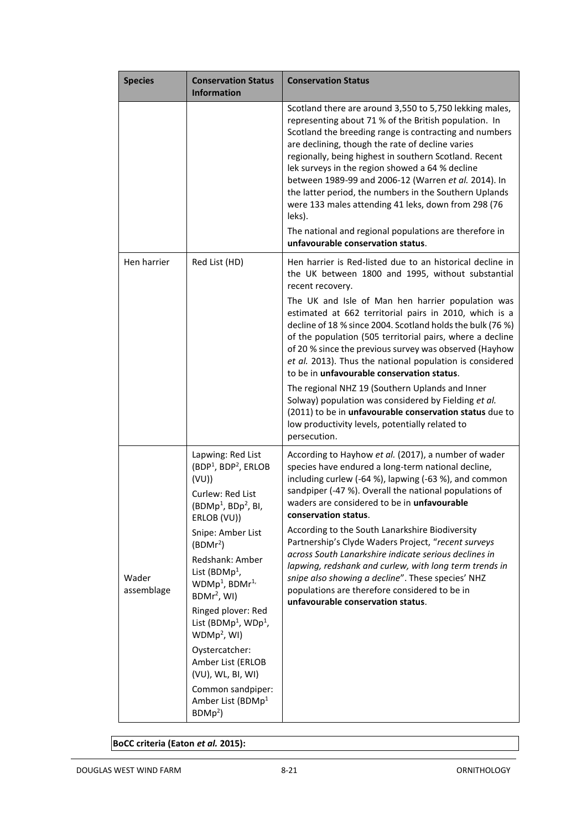| <b>Species</b>      | <b>Conservation Status</b><br><b>Information</b>                                                                  | <b>Conservation Status</b>                                                                                                                                                                                                                                                                                                                                                                                                                                                                                                                                                               |
|---------------------|-------------------------------------------------------------------------------------------------------------------|------------------------------------------------------------------------------------------------------------------------------------------------------------------------------------------------------------------------------------------------------------------------------------------------------------------------------------------------------------------------------------------------------------------------------------------------------------------------------------------------------------------------------------------------------------------------------------------|
|                     |                                                                                                                   | Scotland there are around 3,550 to 5,750 lekking males,<br>representing about 71 % of the British population. In<br>Scotland the breeding range is contracting and numbers<br>are declining, though the rate of decline varies<br>regionally, being highest in southern Scotland. Recent<br>lek surveys in the region showed a 64 % decline<br>between 1989-99 and 2006-12 (Warren et al. 2014). In<br>the latter period, the numbers in the Southern Uplands<br>were 133 males attending 41 leks, down from 298 (76<br>leks).<br>The national and regional populations are therefore in |
|                     |                                                                                                                   | unfavourable conservation status.                                                                                                                                                                                                                                                                                                                                                                                                                                                                                                                                                        |
| Hen harrier         | Red List (HD)                                                                                                     | Hen harrier is Red-listed due to an historical decline in<br>the UK between 1800 and 1995, without substantial<br>recent recovery.                                                                                                                                                                                                                                                                                                                                                                                                                                                       |
|                     |                                                                                                                   | The UK and Isle of Man hen harrier population was<br>estimated at 662 territorial pairs in 2010, which is a<br>decline of 18 % since 2004. Scotland holds the bulk (76 %)<br>of the population (505 territorial pairs, where a decline<br>of 20 % since the previous survey was observed (Hayhow<br>et al. 2013). Thus the national population is considered<br>to be in unfavourable conservation status.                                                                                                                                                                               |
|                     |                                                                                                                   | The regional NHZ 19 (Southern Uplands and Inner<br>Solway) population was considered by Fielding et al.<br>(2011) to be in unfavourable conservation status due to<br>low productivity levels, potentially related to<br>persecution.                                                                                                                                                                                                                                                                                                                                                    |
|                     | Lapwing: Red List<br>$(BDP1, BDP2, ERLOB)$<br>(VU))                                                               | According to Hayhow et al. (2017), a number of wader<br>species have endured a long-term national decline,<br>including curlew (-64 %), lapwing (-63 %), and common                                                                                                                                                                                                                                                                                                                                                                                                                      |
|                     | Curlew: Red List<br>(BDMp <sup>1</sup> , BDp <sup>2</sup> , BI,<br>ERLOB (VU))                                    | sandpiper (-47 %). Overall the national populations of<br>waders are considered to be in unfavourable<br>conservation status.                                                                                                                                                                                                                                                                                                                                                                                                                                                            |
|                     | Snipe: Amber List<br>(BDMr <sup>2</sup> )                                                                         | According to the South Lanarkshire Biodiversity<br>Partnership's Clyde Waders Project, "recent surveys                                                                                                                                                                                                                                                                                                                                                                                                                                                                                   |
| Wader<br>assemblage | Redshank: Amber<br>List (BDMp <sup>1</sup> ,<br>WDMp <sup>1</sup> , BDMr <sup>1,</sup><br>BDMr <sup>2</sup> , WI) | across South Lanarkshire indicate serious declines in<br>lapwing, redshank and curlew, with long term trends in<br>snipe also showing a decline". These species' NHZ<br>populations are therefore considered to be in<br>unfavourable conservation status.                                                                                                                                                                                                                                                                                                                               |
|                     | Ringed plover: Red<br>List (BDMp <sup>1</sup> , WDp <sup>1</sup> ,<br>WDMp <sup>2</sup> , WI)                     |                                                                                                                                                                                                                                                                                                                                                                                                                                                                                                                                                                                          |
|                     | Oystercatcher:<br>Amber List (ERLOB<br>(VU), WL, BI, WI)                                                          |                                                                                                                                                                                                                                                                                                                                                                                                                                                                                                                                                                                          |
|                     | Common sandpiper:<br>Amber List (BDMp <sup>1</sup><br>$BDMp2$ )                                                   |                                                                                                                                                                                                                                                                                                                                                                                                                                                                                                                                                                                          |

**BoCC criteria (Eaton** *et al.* **2015):**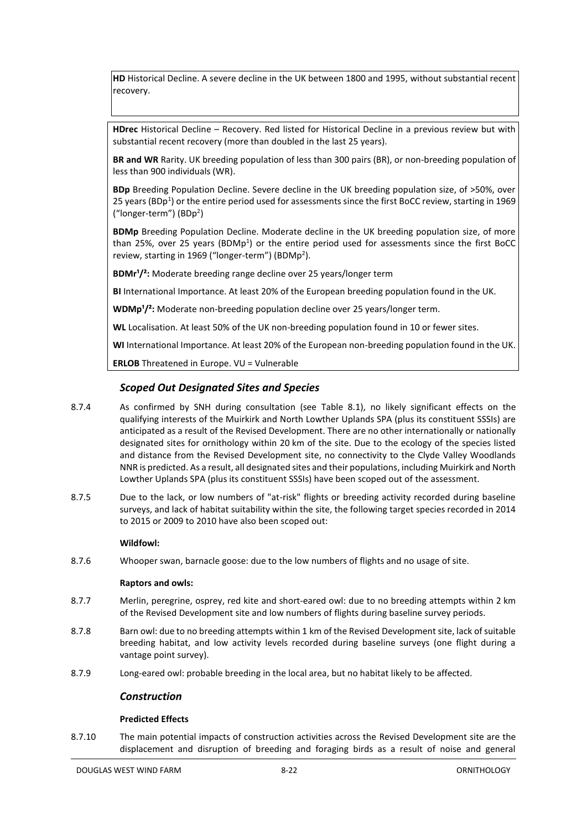**HD** Historical Decline. A severe decline in the UK between 1800 and 1995, without substantial recent recovery.

**HDrec** Historical Decline – Recovery. Red listed for Historical Decline in a previous review but with substantial recent recovery (more than doubled in the last 25 years).

**BR and WR** Rarity. UK breeding population of less than 300 pairs (BR), or non-breeding population of less than 900 individuals (WR).

**BDp** Breeding Population Decline. Severe decline in the UK breeding population size, of >50%, over 25 years (BDp<sup>1</sup>) or the entire period used for assessments since the first BoCC review, starting in 1969 ("longer-term") (BDp<sup>2</sup>)

**BDMp** Breeding Population Decline. Moderate decline in the UK breeding population size, of more than 25%, over 25 years (BDMp<sup>1</sup>) or the entire period used for assessments since the first BoCC review, starting in 1969 ("longer-term") (BDMp<sup>2</sup>).

**BDMr<sup>1</sup>/<sup>2</sup>:** Moderate breeding range decline over 25 years/longer term

**BI** International Importance. At least 20% of the European breeding population found in the UK.

WDMp<sup>1</sup>/<sup>2</sup>: Moderate non-breeding population decline over 25 years/longer term.

**WL** Localisation. At least 50% of the UK non-breeding population found in 10 or fewer sites.

**WI** International Importance. At least 20% of the European non-breeding population found in the UK.

**ERLOB** Threatened in Europe. VU = Vulnerable

# *Scoped Out Designated Sites and Species*

- 8.7.4 As confirmed by SNH during consultation (see [Table 8.1\)](#page-6-0), no likely significant effects on the qualifying interests of the Muirkirk and North Lowther Uplands SPA (plus its constituent SSSIs) are anticipated as a result of the Revised Development. There are no other internationally or nationally designated sites for ornithology within 20 km of the site. Due to the ecology of the species listed and distance from the Revised Development site, no connectivity to the Clyde Valley Woodlands NNR is predicted. As a result, all designated sites and their populations, including Muirkirk and North Lowther Uplands SPA (plus its constituent SSSIs) have been scoped out of the assessment.
- 8.7.5 Due to the lack, or low numbers of "at-risk" flights or breeding activity recorded during baseline surveys, and lack of habitat suitability within the site, the following target species recorded in 2014 to 2015 or 2009 to 2010 have also been scoped out:

#### **Wildfowl:**

8.7.6 Whooper swan, barnacle goose: due to the low numbers of flights and no usage of site.

#### **Raptors and owls:**

- 8.7.7 Merlin, peregrine, osprey, red kite and short-eared owl: due to no breeding attempts within 2 km of the Revised Development site and low numbers of flights during baseline survey periods.
- 8.7.8 Barn owl: due to no breeding attempts within 1 km of the Revised Development site, lack of suitable breeding habitat, and low activity levels recorded during baseline surveys (one flight during a vantage point survey).
- 8.7.9 Long-eared owl: probable breeding in the local area, but no habitat likely to be affected.

#### *Construction*

#### **Predicted Effects**

8.7.10 The main potential impacts of construction activities across the Revised Development site are the displacement and disruption of breeding and foraging birds as a result of noise and general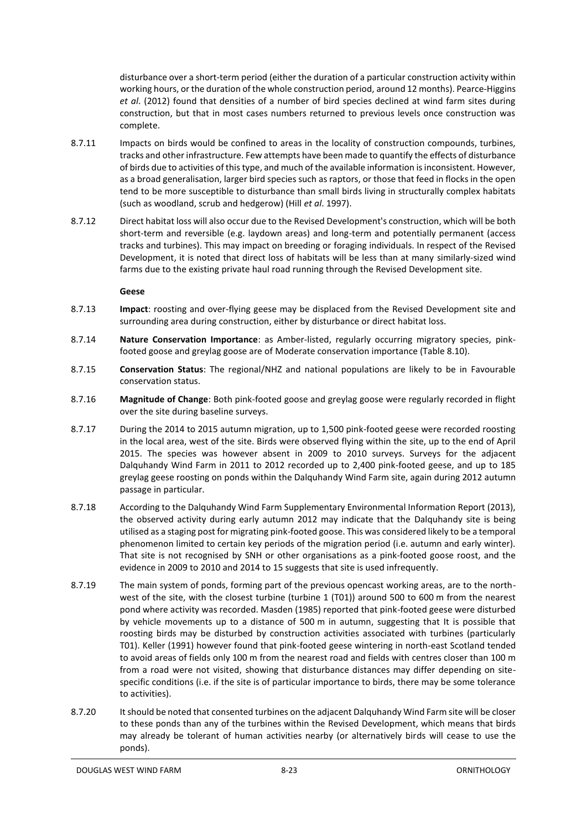disturbance over a short-term period (either the duration of a particular construction activity within working hours, or the duration of the whole construction period, around 12 months). Pearce-Higgins *et al*. (2012) found that densities of a number of bird species declined at wind farm sites during construction, but that in most cases numbers returned to previous levels once construction was complete.

- 8.7.11 Impacts on birds would be confined to areas in the locality of construction compounds, turbines, tracks and other infrastructure. Few attempts have been made to quantify the effects of disturbance of birds due to activities of this type, and much of the available information is inconsistent. However, as a broad generalisation, larger bird species such as raptors, or those that feed in flocks in the open tend to be more susceptible to disturbance than small birds living in structurally complex habitats (such as woodland, scrub and hedgerow) (Hill *et al*. 1997).
- 8.7.12 Direct habitat loss will also occur due to the Revised Development's construction, which will be both short-term and reversible (e.g. laydown areas) and long-term and potentially permanent (access tracks and turbines). This may impact on breeding or foraging individuals. In respect of the Revised Development, it is noted that direct loss of habitats will be less than at many similarly-sized wind farms due to the existing private haul road running through the Revised Development site.

#### **Geese**

- 8.7.13 **Impact**: roosting and over-flying geese may be displaced from the Revised Development site and surrounding area during construction, either by disturbance or direct habitat loss.
- 8.7.14 **Nature Conservation Importance**: as Amber-listed, regularly occurring migratory species, pinkfooted goose and greylag goose are of Moderate conservation importance (Table 8.10).
- 8.7.15 **Conservation Status**: The regional/NHZ and national populations are likely to be in Favourable conservation status.
- 8.7.16 **Magnitude of Change**: Both pink-footed goose and greylag goose were regularly recorded in flight over the site during baseline surveys.
- 8.7.17 During the 2014 to 2015 autumn migration, up to 1,500 pink-footed geese were recorded roosting in the local area, west of the site. Birds were observed flying within the site, up to the end of April 2015. The species was however absent in 2009 to 2010 surveys. Surveys for the adjacent Dalquhandy Wind Farm in 2011 to 2012 recorded up to 2,400 pink-footed geese, and up to 185 greylag geese roosting on ponds within the Dalquhandy Wind Farm site, again during 2012 autumn passage in particular.
- 8.7.18 According to the Dalquhandy Wind Farm Supplementary Environmental Information Report (2013), the observed activity during early autumn 2012 may indicate that the Dalquhandy site is being utilised as a staging post for migrating pink-footed goose. This was considered likely to be a temporal phenomenon limited to certain key periods of the migration period (i.e. autumn and early winter). That site is not recognised by SNH or other organisations as a pink-footed goose roost, and the evidence in 2009 to 2010 and 2014 to 15 suggests that site is used infrequently.
- 8.7.19 The main system of ponds, forming part of the previous opencast working areas, are to the northwest of the site, with the closest turbine (turbine 1 (T01)) around 500 to 600 m from the nearest pond where activity was recorded. Masden (1985) reported that pink-footed geese were disturbed by vehicle movements up to a distance of 500 m in autumn, suggesting that It is possible that roosting birds may be disturbed by construction activities associated with turbines (particularly T01). Keller (1991) however found that pink-footed geese wintering in north-east Scotland tended to avoid areas of fields only 100 m from the nearest road and fields with centres closer than 100 m from a road were not visited, showing that disturbance distances may differ depending on sitespecific conditions (i.e. if the site is of particular importance to birds, there may be some tolerance to activities).
- 8.7.20 It should be noted that consented turbines on the adjacent Dalquhandy Wind Farm site will be closer to these ponds than any of the turbines within the Revised Development, which means that birds may already be tolerant of human activities nearby (or alternatively birds will cease to use the ponds).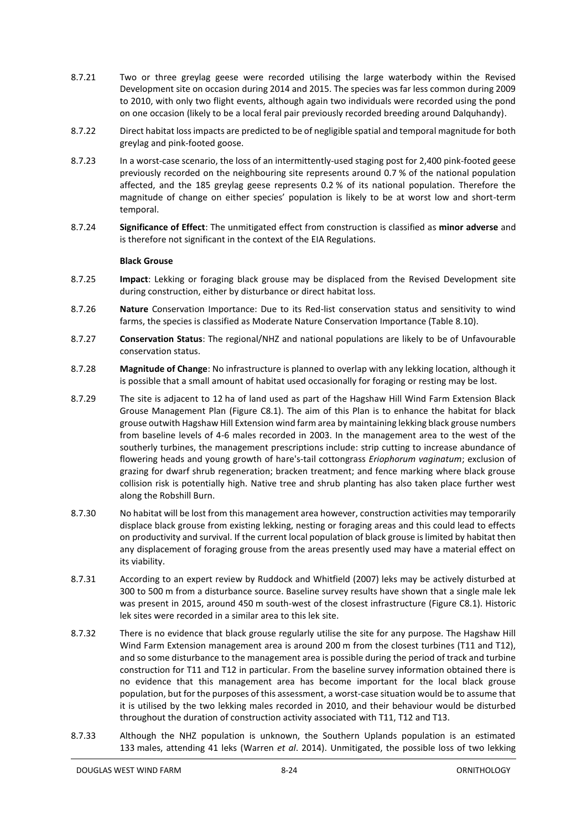- 8.7.21 Two or three greylag geese were recorded utilising the large waterbody within the Revised Development site on occasion during 2014 and 2015. The species was far less common during 2009 to 2010, with only two flight events, although again two individuals were recorded using the pond on one occasion (likely to be a local feral pair previously recorded breeding around Dalquhandy).
- 8.7.22 Direct habitat loss impacts are predicted to be of negligible spatial and temporal magnitude for both greylag and pink-footed goose.
- 8.7.23 In a worst-case scenario, the loss of an intermittently-used staging post for 2,400 pink-footed geese previously recorded on the neighbouring site represents around 0.7 % of the national population affected, and the 185 greylag geese represents 0.2 % of its national population. Therefore the magnitude of change on either species' population is likely to be at worst low and short-term temporal.
- 8.7.24 **Significance of Effect**: The unmitigated effect from construction is classified as **minor adverse** and is therefore not significant in the context of the EIA Regulations.

#### **Black Grouse**

- 8.7.25 **Impact**: Lekking or foraging black grouse may be displaced from the Revised Development site during construction, either by disturbance or direct habitat loss.
- 8.7.26 **Nature** Conservation Importance: Due to its Red-list conservation status and sensitivity to wind farms, the species is classified as Moderate Nature Conservation Importance (Table 8.10).
- 8.7.27 **Conservation Status**: The regional/NHZ and national populations are likely to be of Unfavourable conservation status.
- 8.7.28 **Magnitude of Change**: No infrastructure is planned to overlap with any lekking location, although it is possible that a small amount of habitat used occasionally for foraging or resting may be lost.
- <span id="page-25-0"></span>8.7.29 The site is adjacent to 12 ha of land used as part of the Hagshaw Hill Wind Farm Extension Black Grouse Management Plan (Figure C8.1). The aim of this Plan is to enhance the habitat for black grouse outwith Hagshaw Hill Extension wind farm area by maintaining lekking black grouse numbers from baseline levels of 4-6 males recorded in 2003. In the management area to the west of the southerly turbines, the management prescriptions include: strip cutting to increase abundance of flowering heads and young growth of hare's-tail cottongrass *Eriophorum vaginatum*; exclusion of grazing for dwarf shrub regeneration; bracken treatment; and fence marking where black grouse collision risk is potentially high. Native tree and shrub planting has also taken place further west along the Robshill Burn.
- 8.7.30 No habitat will be lost from this management area however, construction activities may temporarily displace black grouse from existing lekking, nesting or foraging areas and this could lead to effects on productivity and survival. If the current local population of black grouse is limited by habitat then any displacement of foraging grouse from the areas presently used may have a material effect on its viability.
- 8.7.31 According to an expert review by Ruddock and Whitfield (2007) leks may be actively disturbed at 300 to 500 m from a disturbance source. Baseline survey results have shown that a single male lek was present in 2015, around 450 m south-west of the closest infrastructure (Figure C8.1). Historic lek sites were recorded in a similar area to this lek site.
- 8.7.32 There is no evidence that black grouse regularly utilise the site for any purpose. The Hagshaw Hill Wind Farm Extension management area is around 200 m from the closest turbines (T11 and T12), and so some disturbance to the management area is possible during the period of track and turbine construction for T11 and T12 in particular. From the baseline survey information obtained there is no evidence that this management area has become important for the local black grouse population, but for the purposes of this assessment, a worst-case situation would be to assume that it is utilised by the two lekking males recorded in 2010, and their behaviour would be disturbed throughout the duration of construction activity associated with T11, T12 and T13.
- 8.7.33 Although the NHZ population is unknown, the Southern Uplands population is an estimated 133 males, attending 41 leks (Warren *et al*. 2014). Unmitigated, the possible loss of two lekking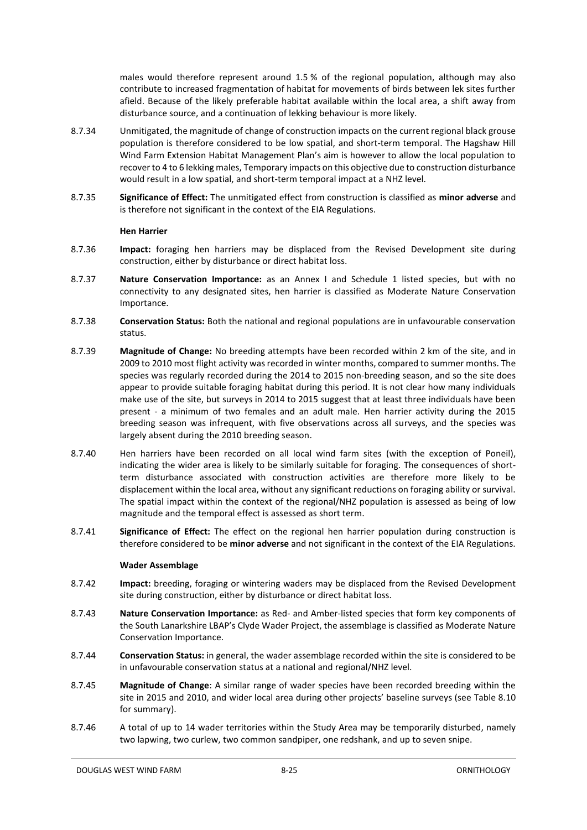males would therefore represent around 1.5 % of the regional population, although may also contribute to increased fragmentation of habitat for movements of birds between lek sites further afield. Because of the likely preferable habitat available within the local area, a shift away from disturbance source, and a continuation of lekking behaviour is more likely.

- 8.7.34 Unmitigated, the magnitude of change of construction impacts on the current regional black grouse population is therefore considered to be low spatial, and short-term temporal. The Hagshaw Hill Wind Farm Extension Habitat Management Plan's aim is however to allow the local population to recover to 4 to 6 lekking males, Temporary impacts on this objective due to construction disturbance would result in a low spatial, and short-term temporal impact at a NHZ level.
- 8.7.35 **Significance of Effect:** The unmitigated effect from construction is classified as **minor adverse** and is therefore not significant in the context of the EIA Regulations.

#### **Hen Harrier**

- 8.7.36 **Impact:** foraging hen harriers may be displaced from the Revised Development site during construction, either by disturbance or direct habitat loss.
- 8.7.37 **Nature Conservation Importance:** as an Annex I and Schedule 1 listed species, but with no connectivity to any designated sites, hen harrier is classified as Moderate Nature Conservation Importance.
- 8.7.38 **Conservation Status:** Both the national and regional populations are in unfavourable conservation status.
- 8.7.39 **Magnitude of Change:** No breeding attempts have been recorded within 2 km of the site, and in 2009 to 2010 most flight activity was recorded in winter months, compared to summer months. The species was regularly recorded during the 2014 to 2015 non-breeding season, and so the site does appear to provide suitable foraging habitat during this period. It is not clear how many individuals make use of the site, but surveys in 2014 to 2015 suggest that at least three individuals have been present - a minimum of two females and an adult male. Hen harrier activity during the 2015 breeding season was infrequent, with five observations across all surveys, and the species was largely absent during the 2010 breeding season.
- 8.7.40 Hen harriers have been recorded on all local wind farm sites (with the exception of Poneil), indicating the wider area is likely to be similarly suitable for foraging. The consequences of shortterm disturbance associated with construction activities are therefore more likely to be displacement within the local area, without any significant reductions on foraging ability or survival. The spatial impact within the context of the regional/NHZ population is assessed as being of low magnitude and the temporal effect is assessed as short term.
- 8.7.41 **Significance of Effect:** The effect on the regional hen harrier population during construction is therefore considered to be **minor adverse** and not significant in the context of the EIA Regulations.

#### **Wader Assemblage**

- 8.7.42 **Impact:** breeding, foraging or wintering waders may be displaced from the Revised Development site during construction, either by disturbance or direct habitat loss.
- 8.7.43 **Nature Conservation Importance:** as Red- and Amber-listed species that form key components of the South Lanarkshire LBAP's Clyde Wader Project, the assemblage is classified as Moderate Nature Conservation Importance.
- 8.7.44 **Conservation Status:** in general, the wader assemblage recorded within the site is considered to be in unfavourable conservation status at a national and regional/NHZ level.
- 8.7.45 **Magnitude of Change**: A similar range of wader species have been recorded breeding within the site in 2015 and 2010, and wider local area during other projects' baseline surveys (see Table 8.10 for summary).
- 8.7.46 A total of up to 14 wader territories within the Study Area may be temporarily disturbed, namely two lapwing, two curlew, two common sandpiper, one redshank, and up to seven snipe.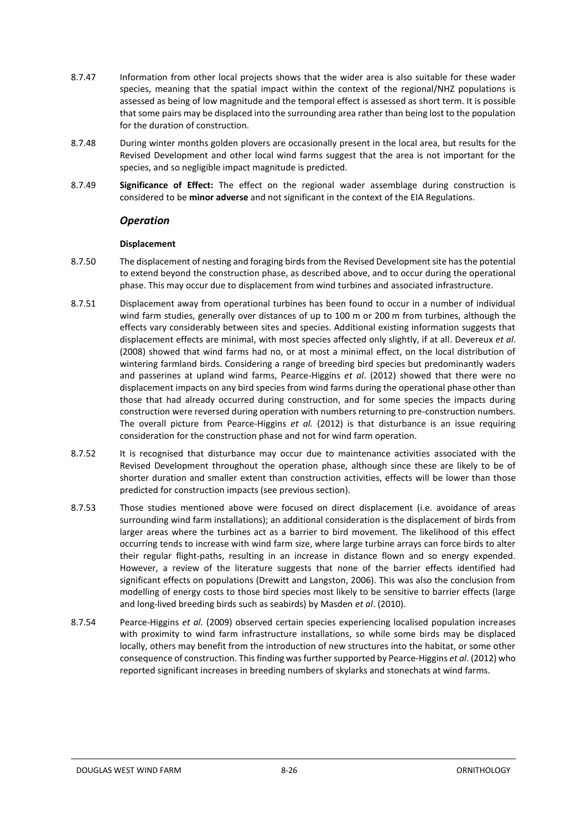- 8.7.47 Information from other local projects shows that the wider area is also suitable for these wader species, meaning that the spatial impact within the context of the regional/NHZ populations is assessed as being of low magnitude and the temporal effect is assessed as short term. It is possible that some pairs may be displaced into the surrounding area rather than being lost to the population for the duration of construction.
- 8.7.48 During winter months golden plovers are occasionally present in the local area, but results for the Revised Development and other local wind farms suggest that the area is not important for the species, and so negligible impact magnitude is predicted.
- 8.7.49 **Significance of Effect:** The effect on the regional wader assemblage during construction is considered to be **minor adverse** and not significant in the context of the EIA Regulations.

### *Operation*

#### **Displacement**

- 8.7.50 The displacement of nesting and foraging birds from the Revised Development site has the potential to extend beyond the construction phase, as described above, and to occur during the operational phase. This may occur due to displacement from wind turbines and associated infrastructure.
- 8.7.51 Displacement away from operational turbines has been found to occur in a number of individual wind farm studies, generally over distances of up to 100 m or 200 m from turbines, although the effects vary considerably between sites and species. Additional existing information suggests that displacement effects are minimal, with most species affected only slightly, if at all. Devereux *et al*. (2008) showed that wind farms had no, or at most a minimal effect, on the local distribution of wintering farmland birds. Considering a range of breeding bird species but predominantly waders and passerines at upland wind farms, Pearce-Higgins *et al*. (2012) showed that there were no displacement impacts on any bird species from wind farms during the operational phase other than those that had already occurred during construction, and for some species the impacts during construction were reversed during operation with numbers returning to pre-construction numbers. The overall picture from Pearce-Higgins *et al.* (2012) is that disturbance is an issue requiring consideration for the construction phase and not for wind farm operation.
- 8.7.52 It is recognised that disturbance may occur due to maintenance activities associated with the Revised Development throughout the operation phase, although since these are likely to be of shorter duration and smaller extent than construction activities, effects will be lower than those predicted for construction impacts (see previous section).
- 8.7.53 Those studies mentioned above were focused on direct displacement (i.e. avoidance of areas surrounding wind farm installations); an additional consideration is the displacement of birds from larger areas where the turbines act as a barrier to bird movement. The likelihood of this effect occurring tends to increase with wind farm size, where large turbine arrays can force birds to alter their regular flight-paths, resulting in an increase in distance flown and so energy expended. However, a review of the literature suggests that none of the barrier effects identified had significant effects on populations (Drewitt and Langston, 2006). This was also the conclusion from modelling of energy costs to those bird species most likely to be sensitive to barrier effects (large and long-lived breeding birds such as seabirds) by Masden *et al*. (2010).
- 8.7.54 Pearce-Higgins *et al.* (2009) observed certain species experiencing localised population increases with proximity to wind farm infrastructure installations, so while some birds may be displaced locally, others may benefit from the introduction of new structures into the habitat, or some other consequence of construction. This finding was further supported by Pearce-Higgins *et al*. (2012) who reported significant increases in breeding numbers of skylarks and stonechats at wind farms.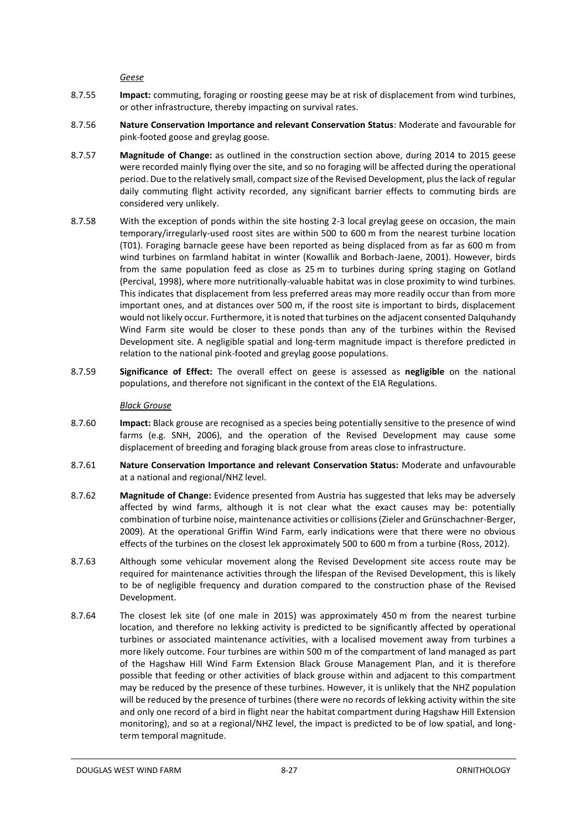*Geese*

- 8.7.55 **Impact:** commuting, foraging or roosting geese may be at risk of displacement from wind turbines, or other infrastructure, thereby impacting on survival rates.
- 8.7.56 **Nature Conservation Importance and relevant Conservation Status**: Moderate and favourable for pink-footed goose and greylag goose.
- 8.7.57 **Magnitude of Change:** as outlined in the construction section above, during 2014 to 2015 geese were recorded mainly flying over the site, and so no foraging will be affected during the operational period. Due to the relatively small, compact size of the Revised Development, plus the lack of regular daily commuting flight activity recorded, any significant barrier effects to commuting birds are considered very unlikely.
- 8.7.58 With the exception of ponds within the site hosting 2-3 local greylag geese on occasion, the main temporary/irregularly-used roost sites are within 500 to 600 m from the nearest turbine location (T01). Foraging barnacle geese have been reported as being displaced from as far as 600 m from wind turbines on farmland habitat in winter (Kowallik and Borbach-Jaene, 2001). However, birds from the same population feed as close as 25 m to turbines during spring staging on Gotland (Percival, 1998), where more nutritionally-valuable habitat was in close proximity to wind turbines. This indicates that displacement from less preferred areas may more readily occur than from more important ones, and at distances over 500 m, if the roost site is important to birds, displacement would not likely occur. Furthermore, it is noted that turbines on the adjacent consented Dalquhandy Wind Farm site would be closer to these ponds than any of the turbines within the Revised Development site. A negligible spatial and long-term magnitude impact is therefore predicted in relation to the national pink-footed and greylag goose populations.
- 8.7.59 **Significance of Effect:** The overall effect on geese is assessed as **negligible** on the national populations, and therefore not significant in the context of the EIA Regulations.

#### *Black Grouse*

- 8.7.60 **Impact:** Black grouse are recognised as a species being potentially sensitive to the presence of wind farms (e.g. SNH, 2006), and the operation of the Revised Development may cause some displacement of breeding and foraging black grouse from areas close to infrastructure.
- 8.7.61 **Nature Conservation Importance and relevant Conservation Status:** Moderate and unfavourable at a national and regional/NHZ level.
- 8.7.62 **Magnitude of Change:** Evidence presented from Austria has suggested that leks may be adversely affected by wind farms, although it is not clear what the exact causes may be: potentially combination of turbine noise, maintenance activities or collisions (Zieler and Grünschachner-Berger, 2009). At the operational Griffin Wind Farm, early indications were that there were no obvious effects of the turbines on the closest lek approximately 500 to 600 m from a turbine (Ross, 2012).
- 8.7.63 Although some vehicular movement along the Revised Development site access route may be required for maintenance activities through the lifespan of the Revised Development, this is likely to be of negligible frequency and duration compared to the construction phase of the Revised Development.
- 8.7.64 The closest lek site (of one male in 2015) was approximately 450 m from the nearest turbine location, and therefore no lekking activity is predicted to be significantly affected by operational turbines or associated maintenance activities, with a localised movement away from turbines a more likely outcome. Four turbines are within 500 m of the compartment of land managed as part of the Hagshaw Hill Wind Farm Extension Black Grouse Management Plan, and it is therefore possible that feeding or other activities of black grouse within and adjacent to this compartment may be reduced by the presence of these turbines. However, it is unlikely that the NHZ population will be reduced by the presence of turbines (there were no records of lekking activity within the site and only one record of a bird in flight near the habitat compartment during Hagshaw Hill Extension monitoring), and so at a regional/NHZ level, the impact is predicted to be of low spatial, and longterm temporal magnitude.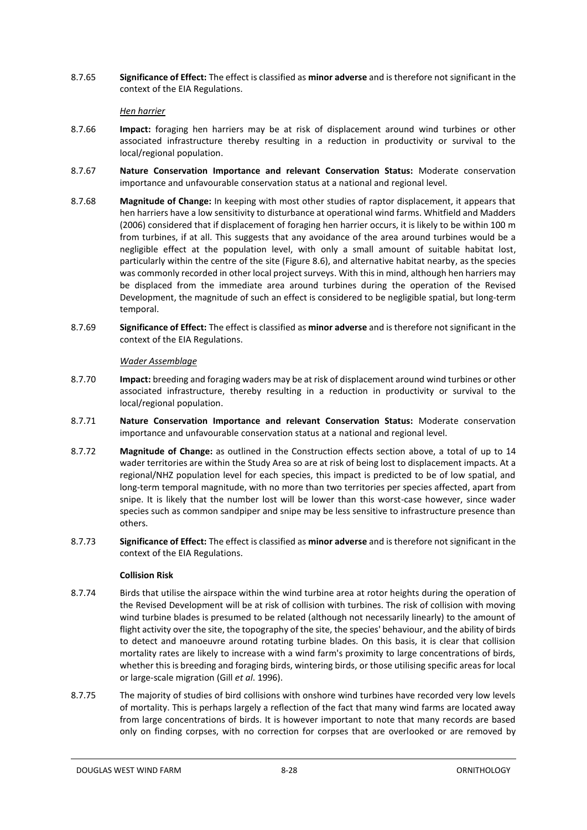8.7.65 **Significance of Effect:** The effect is classified as **minor adverse** and is therefore not significant in the context of the EIA Regulations.

#### *Hen harrier*

- 8.7.66 **Impact:** foraging hen harriers may be at risk of displacement around wind turbines or other associated infrastructure thereby resulting in a reduction in productivity or survival to the local/regional population.
- 8.7.67 **Nature Conservation Importance and relevant Conservation Status:** Moderate conservation importance and unfavourable conservation status at a national and regional level.
- 8.7.68 **Magnitude of Change:** In keeping with most other studies of raptor displacement, it appears that hen harriers have a low sensitivity to disturbance at operational wind farms. Whitfield and Madders (2006) considered that if displacement of foraging hen harrier occurs, it is likely to be within 100 m from turbines, if at all. This suggests that any avoidance of the area around turbines would be a negligible effect at the population level, with only a small amount of suitable habitat lost, particularly within the centre of the site (Figure 8.6), and alternative habitat nearby, as the species was commonly recorded in other local project surveys. With this in mind, although hen harriers may be displaced from the immediate area around turbines during the operation of the Revised Development, the magnitude of such an effect is considered to be negligible spatial, but long-term temporal.
- 8.7.69 **Significance of Effect:** The effect is classified as **minor adverse** and is therefore not significant in the context of the EIA Regulations.

#### *Wader Assemblage*

- 8.7.70 **Impact:** breeding and foraging waders may be at risk of displacement around wind turbines or other associated infrastructure, thereby resulting in a reduction in productivity or survival to the local/regional population.
- 8.7.71 **Nature Conservation Importance and relevant Conservation Status:** Moderate conservation importance and unfavourable conservation status at a national and regional level.
- 8.7.72 **Magnitude of Change:** as outlined in the Construction effects section above, a total of up to 14 wader territories are within the Study Area so are at risk of being lost to displacement impacts. At a regional/NHZ population level for each species, this impact is predicted to be of low spatial, and long-term temporal magnitude, with no more than two territories per species affected, apart from snipe. It is likely that the number lost will be lower than this worst-case however, since wader species such as common sandpiper and snipe may be less sensitive to infrastructure presence than others.
- 8.7.73 **Significance of Effect:** The effect is classified as **minor adverse** and is therefore not significant in the context of the EIA Regulations.

#### **Collision Risk**

- 8.7.74 Birds that utilise the airspace within the wind turbine area at rotor heights during the operation of the Revised Development will be at risk of collision with turbines. The risk of collision with moving wind turbine blades is presumed to be related (although not necessarily linearly) to the amount of flight activity over the site, the topography of the site, the species' behaviour, and the ability of birds to detect and manoeuvre around rotating turbine blades. On this basis, it is clear that collision mortality rates are likely to increase with a wind farm's proximity to large concentrations of birds, whether this is breeding and foraging birds, wintering birds, or those utilising specific areas for local or large-scale migration (Gill *et al*. 1996).
- 8.7.75 The majority of studies of bird collisions with onshore wind turbines have recorded very low levels of mortality. This is perhaps largely a reflection of the fact that many wind farms are located away from large concentrations of birds. It is however important to note that many records are based only on finding corpses, with no correction for corpses that are overlooked or are removed by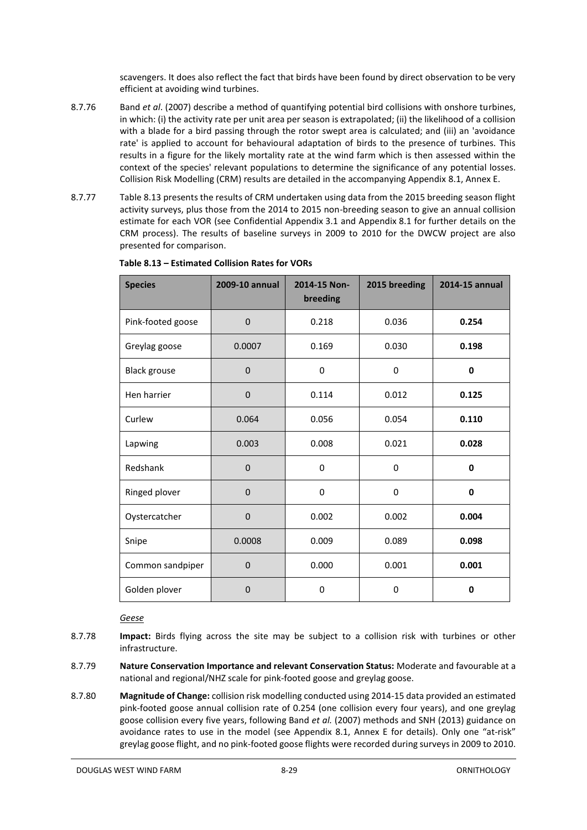scavengers. It does also reflect the fact that birds have been found by direct observation to be very efficient at avoiding wind turbines.

- 8.7.76 Band *et al*. (2007) describe a method of quantifying potential bird collisions with onshore turbines, in which: (i) the activity rate per unit area per season is extrapolated; (ii) the likelihood of a collision with a blade for a bird passing through the rotor swept area is calculated; and (iii) an 'avoidance rate' is applied to account for behavioural adaptation of birds to the presence of turbines. This results in a figure for the likely mortality rate at the wind farm which is then assessed within the context of the species' relevant populations to determine the significance of any potential losses. Collision Risk Modelling (CRM) results are detailed in the accompanying Appendix 8.1, Annex E.
- 8.7.77 Table 8.13 presents the results of CRM undertaken using data from the 2015 breeding season flight activity surveys, plus those from the 2014 to 2015 non-breeding season to give an annual collision estimate for each VOR (see Confidential Appendix 3.1 and Appendix 8.1 for further details on the CRM process). The results of baseline surveys in 2009 to 2010 for the DWCW project are also presented for comparison.

| <b>Species</b>      | 2009-10 annual | 2014-15 Non-<br>breeding | 2015 breeding | 2014-15 annual |
|---------------------|----------------|--------------------------|---------------|----------------|
| Pink-footed goose   | $\overline{0}$ | 0.218                    | 0.036         | 0.254          |
| Greylag goose       | 0.0007         | 0.169                    | 0.030         | 0.198          |
| <b>Black grouse</b> | $\overline{0}$ | 0                        | 0             | $\mathbf 0$    |
| Hen harrier         | $\mathbf 0$    | 0.114                    | 0.012         | 0.125          |
| Curlew              | 0.064          | 0.056                    | 0.054         | 0.110          |
| Lapwing             | 0.003          | 0.008                    | 0.021         | 0.028          |
| Redshank            | $\mathbf 0$    | 0                        | 0             | $\mathbf 0$    |
| Ringed plover       | 0              | 0                        | 0             | 0              |
| Oystercatcher       | 0              | 0.002                    | 0.002         | 0.004          |
| Snipe               | 0.0008         | 0.009                    | 0.089         | 0.098          |
| Common sandpiper    | 0              | 0.000                    | 0.001         | 0.001          |
| Golden plover       | $\mathbf 0$    | 0                        | 0             | 0              |

#### **Table 8.13 – Estimated Collision Rates for VORs**

#### *Geese*

- 8.7.78 **Impact:** Birds flying across the site may be subject to a collision risk with turbines or other infrastructure.
- 8.7.79 **Nature Conservation Importance and relevant Conservation Status:** Moderate and favourable at a national and regional/NHZ scale for pink-footed goose and greylag goose.
- 8.7.80 **Magnitude of Change:** collision risk modelling conducted using 2014-15 data provided an estimated pink-footed goose annual collision rate of 0.254 (one collision every four years), and one greylag goose collision every five years, following Band *et al.* (2007) methods and SNH (2013) guidance on avoidance rates to use in the model (see Appendix 8.1, Annex E for details). Only one "at-risk" greylag goose flight, and no pink-footed goose flights were recorded during surveys in 2009 to 2010.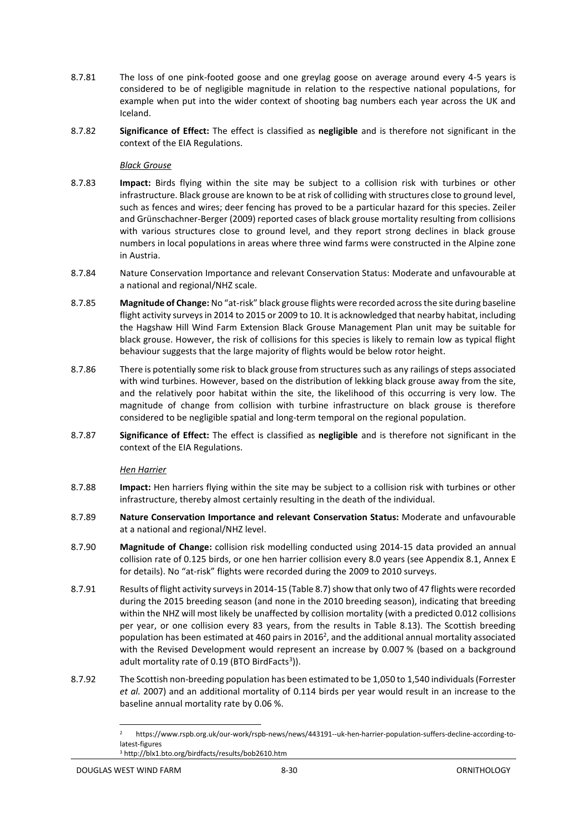- 8.7.81 The loss of one pink-footed goose and one greylag goose on average around every 4-5 years is considered to be of negligible magnitude in relation to the respective national populations, for example when put into the wider context of shooting bag numbers each year across the UK and Iceland.
- 8.7.82 **Significance of Effect:** The effect is classified as **negligible** and is therefore not significant in the context of the EIA Regulations.

#### *Black Grouse*

- 8.7.83 **Impact:** Birds flying within the site may be subject to a collision risk with turbines or other infrastructure. Black grouse are known to be at risk of colliding with structures close to ground level, such as fences and wires; deer fencing has proved to be a particular hazard for this species. Zeiler and Grünschachner-Berger (2009) reported cases of black grouse mortality resulting from collisions with various structures close to ground level, and they report strong declines in black grouse numbers in local populations in areas where three wind farms were constructed in the Alpine zone in Austria.
- 8.7.84 Nature Conservation Importance and relevant Conservation Status: Moderate and unfavourable at a national and regional/NHZ scale.
- 8.7.85 **Magnitude of Change:** No "at-risk" black grouse flights were recorded across the site during baseline flight activity surveys in 2014 to 2015 or 2009 to 10. It is acknowledged that nearby habitat, including the Hagshaw Hill Wind Farm Extension Black Grouse Management Plan unit may be suitable for black grouse. However, the risk of collisions for this species is likely to remain low as typical flight behaviour suggests that the large majority of flights would be below rotor height.
- 8.7.86 There is potentially some risk to black grouse from structures such as any railings of steps associated with wind turbines. However, based on the distribution of lekking black grouse away from the site, and the relatively poor habitat within the site, the likelihood of this occurring is very low. The magnitude of change from collision with turbine infrastructure on black grouse is therefore considered to be negligible spatial and long-term temporal on the regional population.
- 8.7.87 **Significance of Effect:** The effect is classified as **negligible** and is therefore not significant in the context of the EIA Regulations.

### *Hen Harrier*

- 8.7.88 **Impact:** Hen harriers flying within the site may be subject to a collision risk with turbines or other infrastructure, thereby almost certainly resulting in the death of the individual.
- 8.7.89 **Nature Conservation Importance and relevant Conservation Status:** Moderate and unfavourable at a national and regional/NHZ level.
- 8.7.90 **Magnitude of Change:** collision risk modelling conducted using 2014-15 data provided an annual collision rate of 0.125 birds, or one hen harrier collision every 8.0 years (see Appendix 8.1, Annex E for details). No "at-risk" flights were recorded during the 2009 to 2010 surveys.
- 8.7.91 Results of flight activity surveys in 2014-15 (Table 8.7) show that only two of 47 flights were recorded during the 2015 breeding season (and none in the 2010 breeding season), indicating that breeding within the NHZ will most likely be unaffected by collision mortality (with a predicted 0.012 collisions per year, or one collision every 83 years, from the results in Table 8.13). The Scottish breeding population has been estimated at 460 pairs in 2016<sup>2</sup>, and the additional annual mortality associated with the Revised Development would represent an increase by 0.007 % (based on a background adult mortality rate of 0.19 (BTO BirdFacts<sup>3</sup>)).
- 8.7.92 The Scottish non-breeding population has been estimated to be 1,050 to 1,540 individuals (Forrester *et al.* 2007) and an additional mortality of 0.114 birds per year would result in an increase to the baseline annual mortality rate by 0.06 %.

<sup>2</sup> https://www.rspb.org.uk/our-work/rspb-news/news/443191--uk-hen-harrier-population-suffers-decline-according-tolatest-figures

<sup>3</sup> http://blx1.bto.org/birdfacts/results/bob2610.htm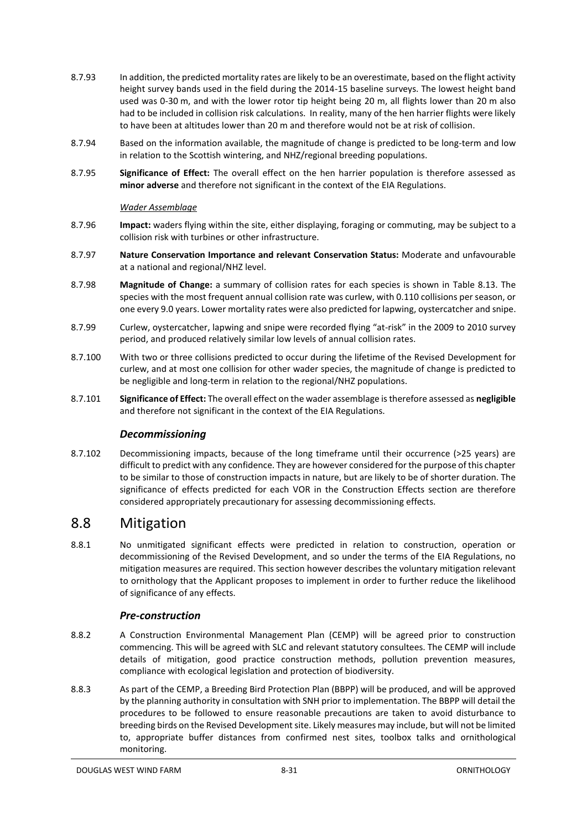- 8.7.93 In addition, the predicted mortality rates are likely to be an overestimate, based on the flight activity height survey bands used in the field during the 2014-15 baseline surveys. The lowest height band used was 0-30 m, and with the lower rotor tip height being 20 m, all flights lower than 20 m also had to be included in collision risk calculations. In reality, many of the hen harrier flights were likely to have been at altitudes lower than 20 m and therefore would not be at risk of collision.
- 8.7.94 Based on the information available, the magnitude of change is predicted to be long-term and low in relation to the Scottish wintering, and NHZ/regional breeding populations.
- 8.7.95 **Significance of Effect:** The overall effect on the hen harrier population is therefore assessed as **minor adverse** and therefore not significant in the context of the EIA Regulations.

#### *Wader Assemblage*

- 8.7.96 **Impact:** waders flying within the site, either displaying, foraging or commuting, may be subject to a collision risk with turbines or other infrastructure.
- 8.7.97 **Nature Conservation Importance and relevant Conservation Status:** Moderate and unfavourable at a national and regional/NHZ level.
- 8.7.98 **Magnitude of Change:** a summary of collision rates for each species is shown in Table 8.13. The species with the most frequent annual collision rate was curlew, with 0.110 collisions per season, or one every 9.0 years. Lower mortality rates were also predicted for lapwing, oystercatcher and snipe.
- 8.7.99 Curlew, oystercatcher, lapwing and snipe were recorded flying "at-risk" in the 2009 to 2010 survey period, and produced relatively similar low levels of annual collision rates.
- 8.7.100 With two or three collisions predicted to occur during the lifetime of the Revised Development for curlew, and at most one collision for other wader species, the magnitude of change is predicted to be negligible and long-term in relation to the regional/NHZ populations.
- 8.7.101 **Significance of Effect:** The overall effect on the wader assemblage is therefore assessed as **negligible** and therefore not significant in the context of the EIA Regulations.

### *Decommissioning*

8.7.102 Decommissioning impacts, because of the long timeframe until their occurrence (>25 years) are difficult to predict with any confidence. They are however considered for the purpose of this chapter to be similar to those of construction impacts in nature, but are likely to be of shorter duration. The significance of effects predicted for each VOR in the Construction Effects section are therefore considered appropriately precautionary for assessing decommissioning effects.

# <span id="page-32-0"></span>8.8 Mitigation

8.8.1 No unmitigated significant effects were predicted in relation to construction, operation or decommissioning of the Revised Development, and so under the terms of the EIA Regulations, no mitigation measures are required. This section however describes the voluntary mitigation relevant to ornithology that the Applicant proposes to implement in order to further reduce the likelihood of significance of any effects.

# *Pre-construction*

- 8.8.2 A Construction Environmental Management Plan (CEMP) will be agreed prior to construction commencing. This will be agreed with SLC and relevant statutory consultees. The CEMP will include details of mitigation, good practice construction methods, pollution prevention measures, compliance with ecological legislation and protection of biodiversity.
- 8.8.3 As part of the CEMP, a Breeding Bird Protection Plan (BBPP) will be produced, and will be approved by the planning authority in consultation with SNH prior to implementation. The BBPP will detail the procedures to be followed to ensure reasonable precautions are taken to avoid disturbance to breeding birds on the Revised Development site. Likely measures may include, but will not be limited to, appropriate buffer distances from confirmed nest sites, toolbox talks and ornithological monitoring.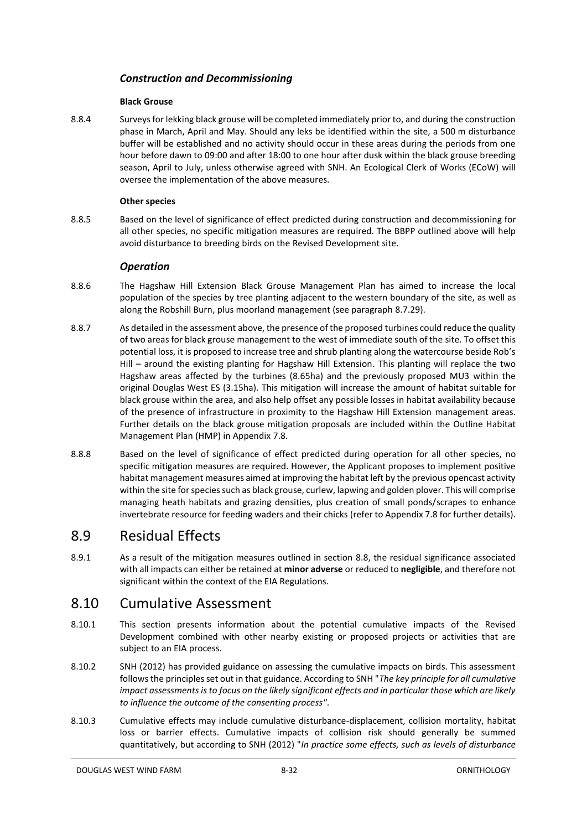# *Construction and Decommissioning*

#### **Black Grouse**

8.8.4 Surveys for lekking black grouse will be completed immediately prior to, and during the construction phase in March, April and May. Should any leks be identified within the site, a 500 m disturbance buffer will be established and no activity should occur in these areas during the periods from one hour before dawn to 09:00 and after 18:00 to one hour after dusk within the black grouse breeding season, April to July, unless otherwise agreed with SNH. An Ecological Clerk of Works (ECoW) will oversee the implementation of the above measures.

#### **Other species**

8.8.5 Based on the level of significance of effect predicted during construction and decommissioning for all other species, no specific mitigation measures are required. The BBPP outlined above will help avoid disturbance to breeding birds on the Revised Development site.

## *Operation*

- 8.8.6 The Hagshaw Hill Extension Black Grouse Management Plan has aimed to increase the local population of the species by tree planting adjacent to the western boundary of the site, as well as along the Robshill Burn, plus moorland management (see paragraph [8.7.29\)](#page-25-0).
- 8.8.7 As detailed in the assessment above, the presence of the proposed turbines could reduce the quality of two areas for black grouse management to the west of immediate south of the site. To offset this potential loss, it is proposed to increase tree and shrub planting along the watercourse beside Rob's Hill – around the existing planting for Hagshaw Hill Extension. This planting will replace the two Hagshaw areas affected by the turbines (8.65ha) and the previously proposed MU3 within the original Douglas West ES (3.15ha). This mitigation will increase the amount of habitat suitable for black grouse within the area, and also help offset any possible losses in habitat availability because of the presence of infrastructure in proximity to the Hagshaw Hill Extension management areas. Further details on the black grouse mitigation proposals are included within the Outline Habitat Management Plan (HMP) in Appendix 7.8.
- 8.8.8 Based on the level of significance of effect predicted during operation for all other species, no specific mitigation measures are required. However, the Applicant proposes to implement positive habitat management measures aimed at improving the habitat left by the previous opencast activity within the site for species such as black grouse, curlew, lapwing and golden plover. This will comprise managing heath habitats and grazing densities, plus creation of small ponds/scrapes to enhance invertebrate resource for feeding waders and their chicks (refer to Appendix 7.8 for further details).

# <span id="page-33-0"></span>8.9 Residual Effects

8.9.1 As a result of the mitigation measures outlined in section [8.8,](#page-32-0) the residual significance associated with all impacts can either be retained at **minor adverse** or reduced to **negligible**, and therefore not significant within the context of the EIA Regulations.

# <span id="page-33-1"></span>8.10 Cumulative Assessment

- 8.10.1 This section presents information about the potential cumulative impacts of the Revised Development combined with other nearby existing or proposed projects or activities that are subject to an EIA process.
- 8.10.2 SNH (2012) has provided guidance on assessing the cumulative impacts on birds. This assessment follows the principles set out in that guidance. According to SNH "*The key principle for all cumulative impact assessments is to focus on the likely significant effects and in particular those which are likely to influence the outcome of the consenting process"*.
- 8.10.3 Cumulative effects may include cumulative disturbance-displacement, collision mortality, habitat loss or barrier effects. Cumulative impacts of collision risk should generally be summed quantitatively, but according to SNH (2012) "*In practice some effects, such as levels of disturbance*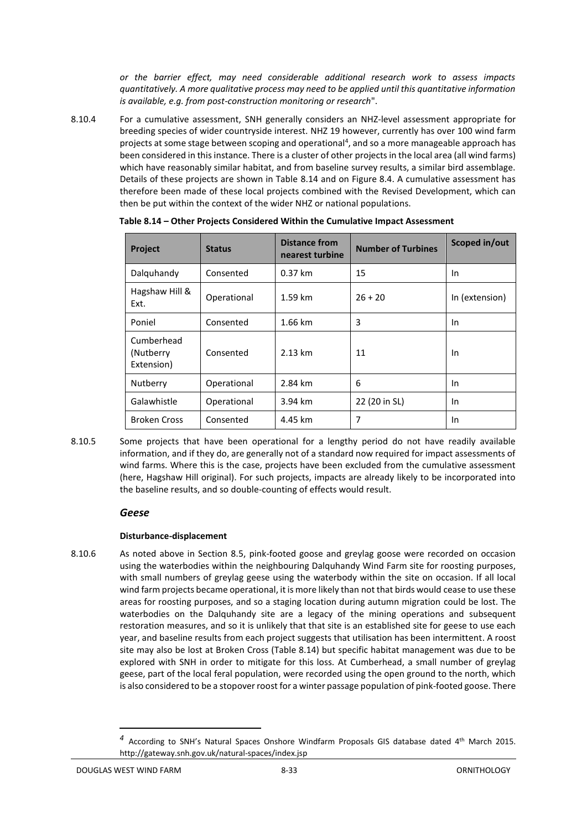*or the barrier effect, may need considerable additional research work to assess impacts quantitatively. A more qualitative process may need to be applied until this quantitative information is available, e.g. from post-construction monitoring or research*".

8.10.4 For a cumulative assessment, SNH generally considers an NHZ-level assessment appropriate for breeding species of wider countryside interest. NHZ 19 however, currently has over 100 wind farm projects at some stage between scoping and operational<sup>4</sup>, and so a more manageable approach has been considered in this instance. There is a cluster of other projects in the local area (all wind farms) which have reasonably similar habitat, and from baseline survey results, a similar bird assemblage. Details of these projects are shown in Table 8.14 and on Figure 8.4. A cumulative assessment has therefore been made of these local projects combined with the Revised Development, which can then be put within the context of the wider NHZ or national populations.

| Project                               | <b>Status</b> | <b>Distance from</b><br>nearest turbine | <b>Number of Turbines</b> | Scoped in/out  |
|---------------------------------------|---------------|-----------------------------------------|---------------------------|----------------|
| Dalquhandy                            | Consented     | $0.37$ km                               | 15                        | In.            |
| Hagshaw Hill &<br>Ext.                | Operational   | 1.59 km                                 | $26 + 20$                 | In (extension) |
| Poniel                                | Consented     | $1.66$ km                               | 3                         | In.            |
| Cumberhead<br>(Nutberry<br>Extension) | Consented     | $2.13 \text{ km}$                       | 11                        | In.            |
| Nutberry                              | Operational   | 2.84 km                                 | 6                         | In.            |
| Galawhistle                           | Operational   | 3.94 km                                 | 22 (20 in SL)             | In.            |
| <b>Broken Cross</b>                   | Consented     | 4.45 km                                 | 7                         | In.            |

**Table 8.14 – Other Projects Considered Within the Cumulative Impact Assessment**

8.10.5 Some projects that have been operational for a lengthy period do not have readily available information, and if they do, are generally not of a standard now required for impact assessments of wind farms. Where this is the case, projects have been excluded from the cumulative assessment (here, Hagshaw Hill original). For such projects, impacts are already likely to be incorporated into the baseline results, and so double-counting of effects would result.

# *Geese*

### **Disturbance-displacement**

8.10.6 As noted above in Section 8.5, pink-footed goose and greylag goose were recorded on occasion using the waterbodies within the neighbouring Dalquhandy Wind Farm site for roosting purposes, with small numbers of greylag geese using the waterbody within the site on occasion. If all local wind farm projects became operational, it is more likely than not that birds would cease to use these areas for roosting purposes, and so a staging location during autumn migration could be lost. The waterbodies on the Dalquhandy site are a legacy of the mining operations and subsequent restoration measures, and so it is unlikely that that site is an established site for geese to use each year, and baseline results from each project suggests that utilisation has been intermittent. A roost site may also be lost at Broken Cross (Table 8.14) but specific habitat management was due to be explored with SNH in order to mitigate for this loss. At Cumberhead, a small number of greylag geese, part of the local feral population, were recorded using the open ground to the north, which is also considered to be a stopover roost for a winter passage population of pink-footed goose. There

*<sup>4</sup>* According to SNH's Natural Spaces Onshore Windfarm Proposals GIS database dated 4th March 2015. http://gateway.snh.gov.uk/natural-spaces/index.jsp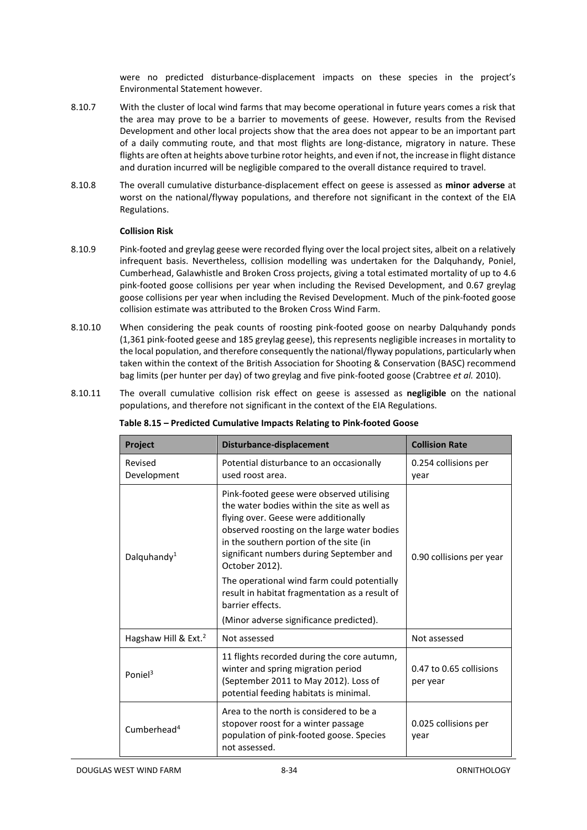were no predicted disturbance-displacement impacts on these species in the project's Environmental Statement however.

- 8.10.7 With the cluster of local wind farms that may become operational in future years comes a risk that the area may prove to be a barrier to movements of geese. However, results from the Revised Development and other local projects show that the area does not appear to be an important part of a daily commuting route, and that most flights are long-distance, migratory in nature. These flights are often at heights above turbine rotor heights, and even if not, the increase in flight distance and duration incurred will be negligible compared to the overall distance required to travel.
- 8.10.8 The overall cumulative disturbance-displacement effect on geese is assessed as **minor adverse** at worst on the national/flyway populations, and therefore not significant in the context of the EIA Regulations.

#### **Collision Risk**

- 8.10.9 Pink-footed and greylag geese were recorded flying over the local project sites, albeit on a relatively infrequent basis. Nevertheless, collision modelling was undertaken for the Dalquhandy, Poniel, Cumberhead, Galawhistle and Broken Cross projects, giving a total estimated mortality of up to 4.6 pink-footed goose collisions per year when including the Revised Development, and 0.67 greylag goose collisions per year when including the Revised Development. Much of the pink-footed goose collision estimate was attributed to the Broken Cross Wind Farm.
- 8.10.10 When considering the peak counts of roosting pink-footed goose on nearby Dalquhandy ponds (1,361 pink-footed geese and 185 greylag geese), this represents negligible increases in mortality to the local population, and therefore consequently the national/flyway populations, particularly when taken within the context of the British Association for Shooting & Conservation (BASC) recommend bag limits (per hunter per day) of two greylag and five pink-footed goose (Crabtree *et al.* 2010).
- 8.10.11 The overall cumulative collision risk effect on geese is assessed as **negligible** on the national populations, and therefore not significant in the context of the EIA Regulations.

| Project                          | Disturbance-displacement                                                                                                                                                                                                                                                                                                                                                                                                                                 | <b>Collision Rate</b>               |
|----------------------------------|----------------------------------------------------------------------------------------------------------------------------------------------------------------------------------------------------------------------------------------------------------------------------------------------------------------------------------------------------------------------------------------------------------------------------------------------------------|-------------------------------------|
| Revised<br>Development           | Potential disturbance to an occasionally<br>used roost area.                                                                                                                                                                                                                                                                                                                                                                                             | 0.254 collisions per<br>year        |
| Dalquhandy <sup>1</sup>          | Pink-footed geese were observed utilising<br>the water bodies within the site as well as<br>flying over. Geese were additionally<br>observed roosting on the large water bodies<br>in the southern portion of the site (in<br>significant numbers during September and<br>October 2012).<br>The operational wind farm could potentially<br>result in habitat fragmentation as a result of<br>barrier effects.<br>(Minor adverse significance predicted). | 0.90 collisions per year            |
| Hagshaw Hill & Ext. <sup>2</sup> | Not assessed                                                                                                                                                                                                                                                                                                                                                                                                                                             | Not assessed                        |
| Poniel $3$                       | 11 flights recorded during the core autumn,<br>winter and spring migration period<br>(September 2011 to May 2012). Loss of<br>potential feeding habitats is minimal.                                                                                                                                                                                                                                                                                     | 0.47 to 0.65 collisions<br>per year |
| Cumberhead <sup>4</sup>          | Area to the north is considered to be a<br>stopover roost for a winter passage<br>population of pink-footed goose. Species<br>not assessed.                                                                                                                                                                                                                                                                                                              | 0.025 collisions per<br>year        |

**Table 8.15 – Predicted Cumulative Impacts Relating to Pink-footed Goose**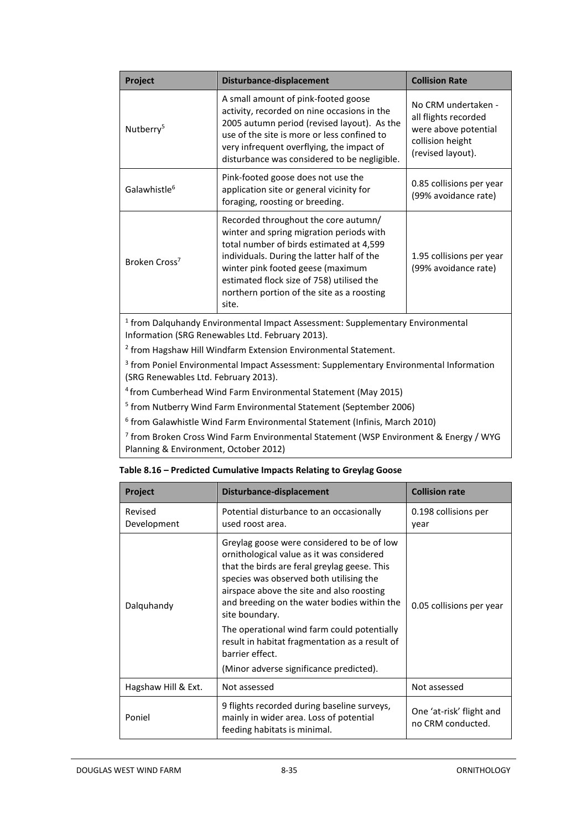| Project                                                                                                                                                                                                                                                                                                                                          | Disturbance-displacement                                                                                                                                                                                                                                                      | <b>Collision Rate</b>                                                                                        |  |  |
|--------------------------------------------------------------------------------------------------------------------------------------------------------------------------------------------------------------------------------------------------------------------------------------------------------------------------------------------------|-------------------------------------------------------------------------------------------------------------------------------------------------------------------------------------------------------------------------------------------------------------------------------|--------------------------------------------------------------------------------------------------------------|--|--|
| Nutberry <sup>5</sup>                                                                                                                                                                                                                                                                                                                            | A small amount of pink-footed goose<br>activity, recorded on nine occasions in the<br>2005 autumn period (revised layout). As the<br>use of the site is more or less confined to<br>very infrequent overflying, the impact of<br>disturbance was considered to be negligible. | No CRM undertaken -<br>all flights recorded<br>were above potential<br>collision height<br>(revised layout). |  |  |
| Galawhistle <sup>6</sup>                                                                                                                                                                                                                                                                                                                         | Pink-footed goose does not use the<br>application site or general vicinity for<br>foraging, roosting or breeding.                                                                                                                                                             | 0.85 collisions per year<br>(99% avoidance rate)                                                             |  |  |
| Recorded throughout the core autumn/<br>winter and spring migration periods with<br>total number of birds estimated at 4,599<br>individuals. During the latter half of the<br>Broken Cross <sup>7</sup><br>winter pink footed geese (maximum<br>estimated flock size of 758) utilised the<br>northern portion of the site as a roosting<br>site. |                                                                                                                                                                                                                                                                               | 1.95 collisions per year<br>(99% avoidance rate)                                                             |  |  |
| <sup>1</sup> from Dalquhandy Environmental Impact Assessment: Supplementary Environmental<br>Information (SRG Renewables Ltd. February 2013).                                                                                                                                                                                                    |                                                                                                                                                                                                                                                                               |                                                                                                              |  |  |
| <sup>2</sup> from Hagshaw Hill Windfarm Extension Environmental Statement.                                                                                                                                                                                                                                                                       |                                                                                                                                                                                                                                                                               |                                                                                                              |  |  |
| <sup>3</sup> from Poniel Environmental Impact Assessment: Supplementary Environmental Information<br>(SRG Renewables Ltd. February 2013).                                                                                                                                                                                                        |                                                                                                                                                                                                                                                                               |                                                                                                              |  |  |

<sup>4</sup>from Cumberhead Wind Farm Environmental Statement (May 2015)

5 from Nutberry Wind Farm Environmental Statement (September 2006)

6 from Galawhistle Wind Farm Environmental Statement (Infinis, March 2010)

<sup>7</sup> from Broken Cross Wind Farm Environmental Statement (WSP Environment & Energy / WYG Planning & Environment, October 2012)

| <b>Project</b>         | Disturbance-displacement                                                                                                                                                                                                                                                                                                                                                                                                                                        | <b>Collision rate</b>                         |
|------------------------|-----------------------------------------------------------------------------------------------------------------------------------------------------------------------------------------------------------------------------------------------------------------------------------------------------------------------------------------------------------------------------------------------------------------------------------------------------------------|-----------------------------------------------|
| Revised<br>Development | Potential disturbance to an occasionally<br>used roost area.                                                                                                                                                                                                                                                                                                                                                                                                    | 0.198 collisions per<br>year                  |
| Dalquhandy             | Greylag goose were considered to be of low<br>ornithological value as it was considered<br>that the birds are feral greylag geese. This<br>species was observed both utilising the<br>airspace above the site and also roosting<br>and breeding on the water bodies within the<br>site boundary.<br>The operational wind farm could potentially<br>result in habitat fragmentation as a result of<br>barrier effect.<br>(Minor adverse significance predicted). | 0.05 collisions per year                      |
| Hagshaw Hill & Ext.    | Not assessed                                                                                                                                                                                                                                                                                                                                                                                                                                                    | Not assessed                                  |
| Poniel                 | 9 flights recorded during baseline surveys,<br>mainly in wider area. Loss of potential<br>feeding habitats is minimal.                                                                                                                                                                                                                                                                                                                                          | One 'at-risk' flight and<br>no CRM conducted. |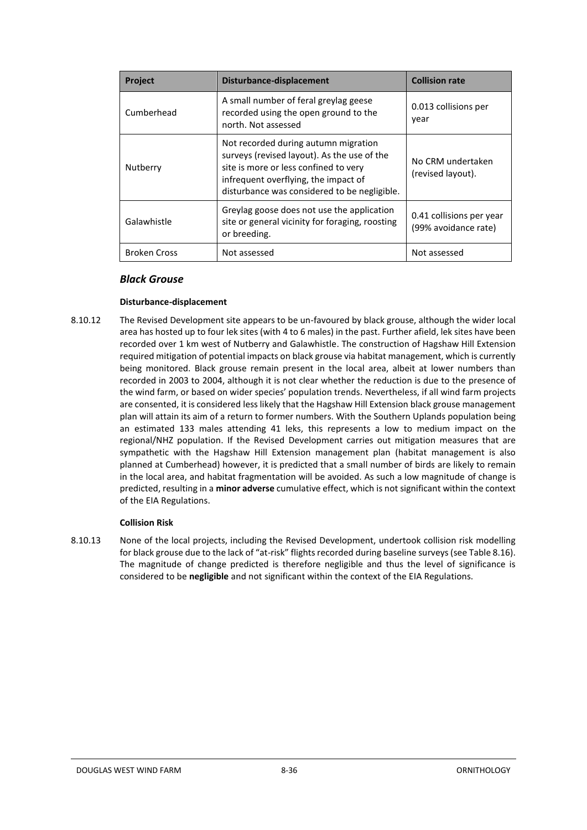| <b>Project</b>      | Disturbance-displacement                                                                                                                                                                                             | <b>Collision rate</b>                            |  |
|---------------------|----------------------------------------------------------------------------------------------------------------------------------------------------------------------------------------------------------------------|--------------------------------------------------|--|
| Cumberhead          | A small number of feral greylag geese<br>recorded using the open ground to the<br>north. Not assessed                                                                                                                | 0.013 collisions per<br>year                     |  |
| Nutberry            | Not recorded during autumn migration<br>surveys (revised layout). As the use of the<br>site is more or less confined to very<br>infrequent overflying, the impact of<br>disturbance was considered to be negligible. | No CRM undertaken<br>(revised layout).           |  |
| Galawhistle         | Greylag goose does not use the application<br>site or general vicinity for foraging, roosting<br>or breeding.                                                                                                        | 0.41 collisions per year<br>(99% avoidance rate) |  |
| <b>Broken Cross</b> | Not assessed                                                                                                                                                                                                         | Not assessed                                     |  |

## *Black Grouse*

### **Disturbance-displacement**

8.10.12 The Revised Development site appears to be un-favoured by black grouse, although the wider local area has hosted up to four lek sites (with 4 to 6 males) in the past. Further afield, lek sites have been recorded over 1 km west of Nutberry and Galawhistle. The construction of Hagshaw Hill Extension required mitigation of potential impacts on black grouse via habitat management, which is currently being monitored. Black grouse remain present in the local area, albeit at lower numbers than recorded in 2003 to 2004, although it is not clear whether the reduction is due to the presence of the wind farm, or based on wider species' population trends. Nevertheless, if all wind farm projects are consented, it is considered less likely that the Hagshaw Hill Extension black grouse management plan will attain its aim of a return to former numbers. With the Southern Uplands population being an estimated 133 males attending 41 leks, this represents a low to medium impact on the regional/NHZ population. If the Revised Development carries out mitigation measures that are sympathetic with the Hagshaw Hill Extension management plan (habitat management is also planned at Cumberhead) however, it is predicted that a small number of birds are likely to remain in the local area, and habitat fragmentation will be avoided. As such a low magnitude of change is predicted, resulting in a **minor adverse** cumulative effect, which is not significant within the context of the EIA Regulations.

### **Collision Risk**

8.10.13 None of the local projects, including the Revised Development, undertook collision risk modelling for black grouse due to the lack of "at-risk" flights recorded during baseline surveys (see Table 8.16). The magnitude of change predicted is therefore negligible and thus the level of significance is considered to be **negligible** and not significant within the context of the EIA Regulations.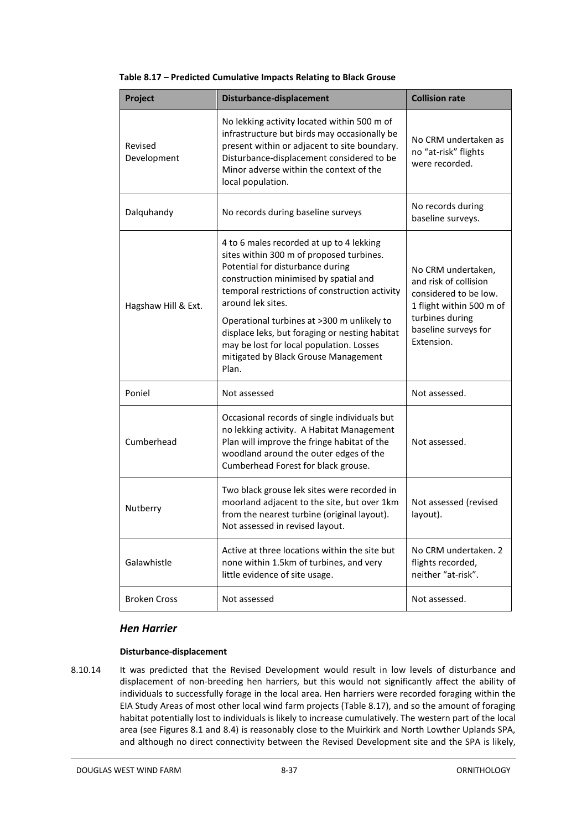| Project                | Disturbance-displacement                                                                                                                                                                                                                                                                                                                                                                                                              | <b>Collision rate</b>                                           |  |
|------------------------|---------------------------------------------------------------------------------------------------------------------------------------------------------------------------------------------------------------------------------------------------------------------------------------------------------------------------------------------------------------------------------------------------------------------------------------|-----------------------------------------------------------------|--|
| Revised<br>Development | No lekking activity located within 500 m of<br>infrastructure but birds may occasionally be<br>present within or adjacent to site boundary.<br>Disturbance-displacement considered to be<br>Minor adverse within the context of the<br>local population.                                                                                                                                                                              | No CRM undertaken as<br>no "at-risk" flights<br>were recorded.  |  |
| Dalquhandy             | No records during baseline surveys                                                                                                                                                                                                                                                                                                                                                                                                    | No records during<br>baseline surveys.                          |  |
| Hagshaw Hill & Ext.    | 4 to 6 males recorded at up to 4 lekking<br>sites within 300 m of proposed turbines.<br>Potential for disturbance during<br>construction minimised by spatial and<br>temporal restrictions of construction activity<br>around lek sites.<br>Operational turbines at >300 m unlikely to<br>displace leks, but foraging or nesting habitat<br>may be lost for local population. Losses<br>mitigated by Black Grouse Management<br>Plan. |                                                                 |  |
| Poniel                 | Not assessed                                                                                                                                                                                                                                                                                                                                                                                                                          | Not assessed.                                                   |  |
| Cumberhead             | Occasional records of single individuals but<br>no lekking activity. A Habitat Management<br>Plan will improve the fringe habitat of the<br>woodland around the outer edges of the<br>Cumberhead Forest for black grouse.                                                                                                                                                                                                             | Not assessed.                                                   |  |
| Nutberry               | Two black grouse lek sites were recorded in<br>moorland adjacent to the site, but over 1km<br>from the nearest turbine (original layout).<br>Not assessed in revised layout.                                                                                                                                                                                                                                                          | Not assessed (revised<br>layout).                               |  |
| Galawhistle            | Active at three locations within the site but<br>none within 1.5km of turbines, and very<br>little evidence of site usage.                                                                                                                                                                                                                                                                                                            | No CRM undertaken. 2<br>flights recorded,<br>neither "at-risk". |  |
| <b>Broken Cross</b>    | Not assessed                                                                                                                                                                                                                                                                                                                                                                                                                          | Not assessed.                                                   |  |

#### **Table 8.17 – Predicted Cumulative Impacts Relating to Black Grouse**

#### *Hen Harrier*

#### **Disturbance-displacement**

8.10.14 It was predicted that the Revised Development would result in low levels of disturbance and displacement of non-breeding hen harriers, but this would not significantly affect the ability of individuals to successfully forage in the local area. Hen harriers were recorded foraging within the EIA Study Areas of most other local wind farm projects (Table 8.17), and so the amount of foraging habitat potentially lost to individuals is likely to increase cumulatively. The western part of the local area (see Figures 8.1 and 8.4) is reasonably close to the Muirkirk and North Lowther Uplands SPA, and although no direct connectivity between the Revised Development site and the SPA is likely,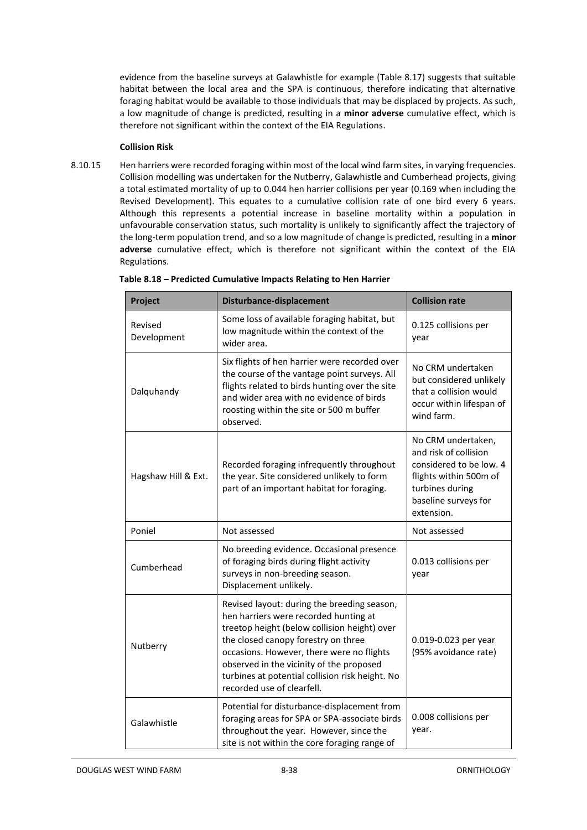evidence from the baseline surveys at Galawhistle for example (Table 8.17) suggests that suitable habitat between the local area and the SPA is continuous, therefore indicating that alternative foraging habitat would be available to those individuals that may be displaced by projects. As such, a low magnitude of change is predicted, resulting in a **minor adverse** cumulative effect, which is therefore not significant within the context of the EIA Regulations.

#### **Collision Risk**

8.10.15 Hen harriers were recorded foraging within most of the local wind farm sites, in varying frequencies. Collision modelling was undertaken for the Nutberry, Galawhistle and Cumberhead projects, giving a total estimated mortality of up to 0.044 hen harrier collisions per year (0.169 when including the Revised Development). This equates to a cumulative collision rate of one bird every 6 years. Although this represents a potential increase in baseline mortality within a population in unfavourable conservation status, such mortality is unlikely to significantly affect the trajectory of the long-term population trend, and so a low magnitude of change is predicted, resulting in a **minor adverse** cumulative effect, which is therefore not significant within the context of the EIA Regulations.

| Project                | Disturbance-displacement                                                                                                                                                                                                                                                                                                                              | <b>Collision rate</b>                        |  |  |
|------------------------|-------------------------------------------------------------------------------------------------------------------------------------------------------------------------------------------------------------------------------------------------------------------------------------------------------------------------------------------------------|----------------------------------------------|--|--|
| Revised<br>Development | Some loss of available foraging habitat, but<br>low magnitude within the context of the<br>wider area.                                                                                                                                                                                                                                                | 0.125 collisions per<br>year                 |  |  |
| Dalquhandy             | Six flights of hen harrier were recorded over<br>the course of the vantage point surveys. All<br>flights related to birds hunting over the site<br>and wider area with no evidence of birds<br>roosting within the site or 500 m buffer<br>observed.                                                                                                  |                                              |  |  |
| Hagshaw Hill & Ext.    | Recorded foraging infrequently throughout<br>the year. Site considered unlikely to form<br>part of an important habitat for foraging.                                                                                                                                                                                                                 |                                              |  |  |
| Poniel                 | Not assessed                                                                                                                                                                                                                                                                                                                                          | Not assessed                                 |  |  |
| Cumberhead             | No breeding evidence. Occasional presence<br>of foraging birds during flight activity<br>surveys in non-breeding season.<br>Displacement unlikely.                                                                                                                                                                                                    | 0.013 collisions per<br>year                 |  |  |
| Nutberry               | Revised layout: during the breeding season,<br>hen harriers were recorded hunting at<br>treetop height (below collision height) over<br>the closed canopy forestry on three<br>occasions. However, there were no flights<br>observed in the vicinity of the proposed<br>turbines at potential collision risk height. No<br>recorded use of clearfell. | 0.019-0.023 per year<br>(95% avoidance rate) |  |  |
| Galawhistle            | Potential for disturbance-displacement from<br>foraging areas for SPA or SPA-associate birds<br>throughout the year. However, since the<br>site is not within the core foraging range of                                                                                                                                                              | 0.008 collisions per<br>year.                |  |  |

**Table 8.18 – Predicted Cumulative Impacts Relating to Hen Harrier**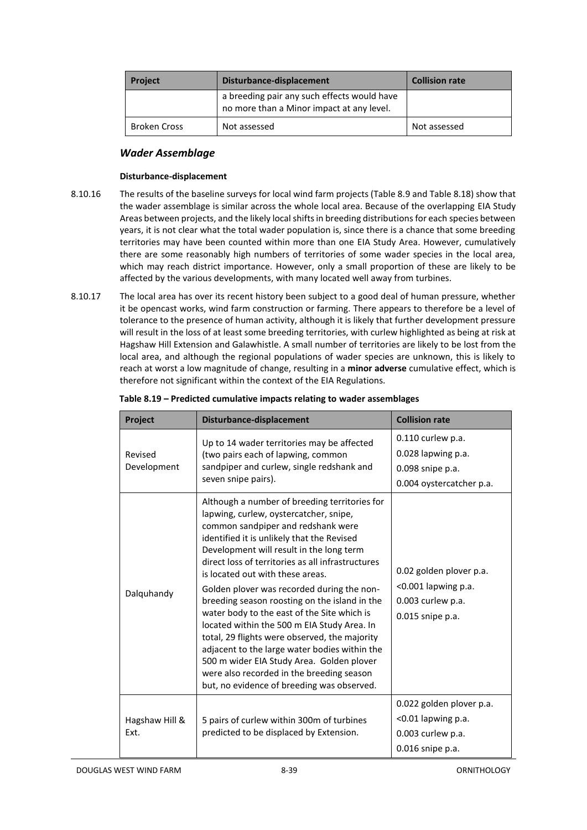| <b>Project</b>      | Disturbance-displacement                                                                 | <b>Collision rate</b> |  |  |
|---------------------|------------------------------------------------------------------------------------------|-----------------------|--|--|
|                     | a breeding pair any such effects would have<br>no more than a Minor impact at any level. |                       |  |  |
| <b>Broken Cross</b> | Not assessed                                                                             | Not assessed          |  |  |

## *Wader Assemblage*

#### **Disturbance-displacement**

- 8.10.16 The results of the baseline surveys for local wind farm projects (Table 8.9 and Table 8.18) show that the wader assemblage is similar across the whole local area. Because of the overlapping EIA Study Areas between projects, and the likely local shifts in breeding distributions for each species between years, it is not clear what the total wader population is, since there is a chance that some breeding territories may have been counted within more than one EIA Study Area. However, cumulatively there are some reasonably high numbers of territories of some wader species in the local area, which may reach district importance. However, only a small proportion of these are likely to be affected by the various developments, with many located well away from turbines.
- 8.10.17 The local area has over its recent history been subject to a good deal of human pressure, whether it be opencast works, wind farm construction or farming. There appears to therefore be a level of tolerance to the presence of human activity, although it is likely that further development pressure will result in the loss of at least some breeding territories, with curlew highlighted as being at risk at Hagshaw Hill Extension and Galawhistle. A small number of territories are likely to be lost from the local area, and although the regional populations of wader species are unknown, this is likely to reach at worst a low magnitude of change, resulting in a **minor adverse** cumulative effect, which is therefore not significant within the context of the EIA Regulations.

| Project                | Disturbance-displacement                                                                                                                                                                                                                                                                                                                                                                                                                                                                                                                                                                                                                                                                                                                                | <b>Collision rate</b>                                                                      |  |
|------------------------|---------------------------------------------------------------------------------------------------------------------------------------------------------------------------------------------------------------------------------------------------------------------------------------------------------------------------------------------------------------------------------------------------------------------------------------------------------------------------------------------------------------------------------------------------------------------------------------------------------------------------------------------------------------------------------------------------------------------------------------------------------|--------------------------------------------------------------------------------------------|--|
| Revised<br>Development | Up to 14 wader territories may be affected<br>(two pairs each of lapwing, common<br>sandpiper and curlew, single redshank and<br>seven snipe pairs).                                                                                                                                                                                                                                                                                                                                                                                                                                                                                                                                                                                                    | 0.110 curlew p.a.<br>0.028 lapwing p.a.<br>0.098 snipe p.a.<br>0.004 oystercatcher p.a.    |  |
| Dalquhandy             | Although a number of breeding territories for<br>lapwing, curlew, oystercatcher, snipe,<br>common sandpiper and redshank were<br>identified it is unlikely that the Revised<br>Development will result in the long term<br>direct loss of territories as all infrastructures<br>is located out with these areas.<br>Golden plover was recorded during the non-<br>breeding season roosting on the island in the<br>water body to the east of the Site which is<br>located within the 500 m EIA Study Area. In<br>total, 29 flights were observed, the majority<br>adjacent to the large water bodies within the<br>500 m wider EIA Study Area. Golden plover<br>were also recorded in the breeding season<br>but, no evidence of breeding was observed. | 0.02 golden plover p.a.<br>$<$ 0.001 lapwing p.a.<br>0.003 curlew p.a.<br>0.015 snipe p.a. |  |
| Hagshaw Hill &<br>Ext. | 5 pairs of curlew within 300m of turbines<br>predicted to be displaced by Extension.                                                                                                                                                                                                                                                                                                                                                                                                                                                                                                                                                                                                                                                                    | 0.022 golden plover p.a.<br><0.01 lapwing p.a.<br>0.003 curlew p.a.<br>0.016 snipe p.a.    |  |

**Table 8.19 – Predicted cumulative impacts relating to wader assemblages**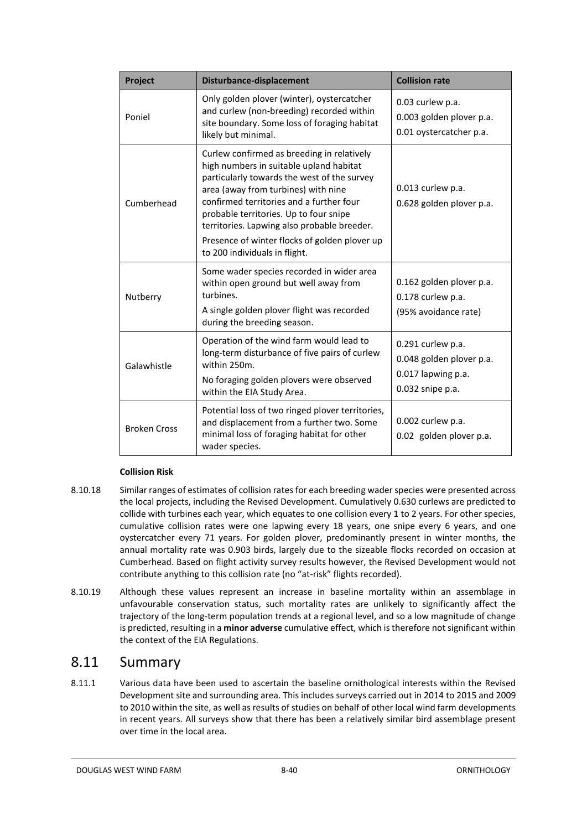| Project             | Disturbance-displacement                                                                                                                                                                                                                                                                                                                                          | <b>Collision rate</b>                                                                   |  |  |
|---------------------|-------------------------------------------------------------------------------------------------------------------------------------------------------------------------------------------------------------------------------------------------------------------------------------------------------------------------------------------------------------------|-----------------------------------------------------------------------------------------|--|--|
| Poniel              | Only golden plover (winter), oystercatcher<br>and curlew (non-breeding) recorded within<br>site boundary. Some loss of foraging habitat<br>likely but minimal.                                                                                                                                                                                                    | 0.03 curlew p.a.<br>0.003 golden plover p.a.<br>0.01 oystercatcher p.a.                 |  |  |
| Cumberhead          | Curlew confirmed as breeding in relatively<br>high numbers in suitable upland habitat<br>particularly towards the west of the survey<br>area (away from turbines) with nine<br>confirmed territories and a further four<br>probable territories. Up to four snipe<br>territories. Lapwing also probable breeder.<br>Presence of winter flocks of golden plover up | 0.013 curlew p.a.<br>0.628 golden plover p.a.                                           |  |  |
|                     | to 200 individuals in flight.                                                                                                                                                                                                                                                                                                                                     |                                                                                         |  |  |
| Nutberry            | Some wader species recorded in wider area<br>within open ground but well away from<br>turbines.<br>A single golden plover flight was recorded<br>during the breeding season.                                                                                                                                                                                      | 0.162 golden plover p.a.<br>0.178 curlew p.a.<br>(95% avoidance rate)                   |  |  |
| Galawhistle         | Operation of the wind farm would lead to<br>long-term disturbance of five pairs of curlew<br>within 250m.<br>No foraging golden plovers were observed<br>within the EIA Study Area.                                                                                                                                                                               | 0.291 curlew p.a.<br>0.048 golden plover p.a.<br>0.017 lapwing p.a.<br>0.032 snipe p.a. |  |  |
| <b>Broken Cross</b> | Potential loss of two ringed plover territories,<br>and displacement from a further two. Some<br>minimal loss of foraging habitat for other<br>wader species.                                                                                                                                                                                                     | 0.002 curlew p.a.<br>0.02 golden plover p.a.                                            |  |  |

# **Collision Risk**

- 8.10.18 Similar ranges of estimates of collision rates for each breeding wader species were presented across the local projects, including the Revised Development. Cumulatively 0.630 curlews are predicted to collide with turbines each year, which equates to one collision every 1 to 2 years. For other species, cumulative collision rates were one lapwing every 18 years, one snipe every 6 years, and one oystercatcher every 71 years. For golden plover, predominantly present in winter months, the annual mortality rate was 0.903 birds, largely due to the sizeable flocks recorded on occasion at Cumberhead. Based on flight activity survey results however, the Revised Development would not contribute anything to this collision rate (no "at-risk" flights recorded).
- 8.10.19 Although these values represent an increase in baseline mortality within an assemblage in unfavourable conservation status, such mortality rates are unlikely to significantly affect the trajectory of the long-term population trends at a regional level, and so a low magnitude of change is predicted, resulting in a **minor adverse** cumulative effect, which is therefore not significant within the context of the EIA Regulations.

# <span id="page-41-0"></span>8.11 Summary

8.11.1 Various data have been used to ascertain the baseline ornithological interests within the Revised Development site and surrounding area. This includes surveys carried out in 2014 to 2015 and 2009 to 2010 within the site, as well as results of studies on behalf of other local wind farm developments in recent years. All surveys show that there has been a relatively similar bird assemblage present over time in the local area.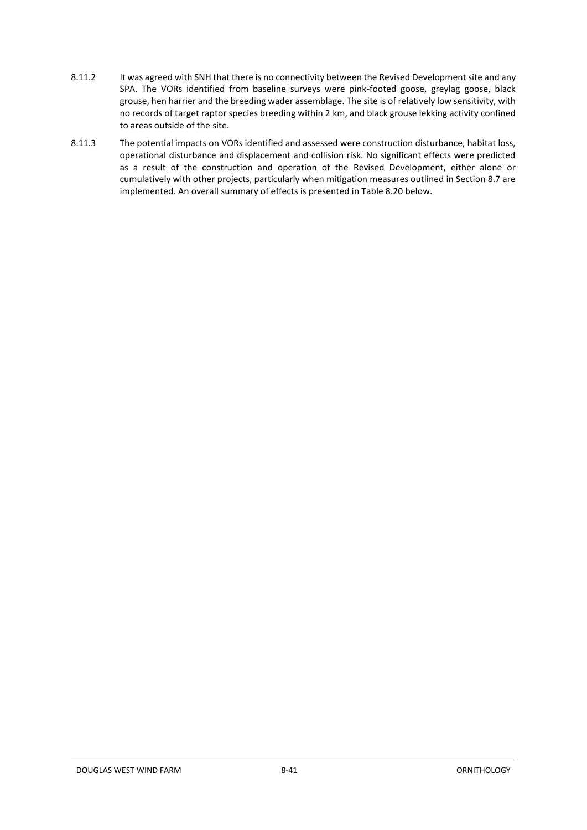- 8.11.2 It was agreed with SNH that there is no connectivity between the Revised Development site and any SPA. The VORs identified from baseline surveys were pink-footed goose, greylag goose, black grouse, hen harrier and the breeding wader assemblage. The site is of relatively low sensitivity, with no records of target raptor species breeding within 2 km, and black grouse lekking activity confined to areas outside of the site.
- 8.11.3 The potential impacts on VORs identified and assessed were construction disturbance, habitat loss, operational disturbance and displacement and collision risk. No significant effects were predicted as a result of the construction and operation of the Revised Development, either alone or cumulatively with other projects, particularly when mitigation measures outlined in Section 8.7 are implemented. An overall summary of effects is presented in Table 8.20 below.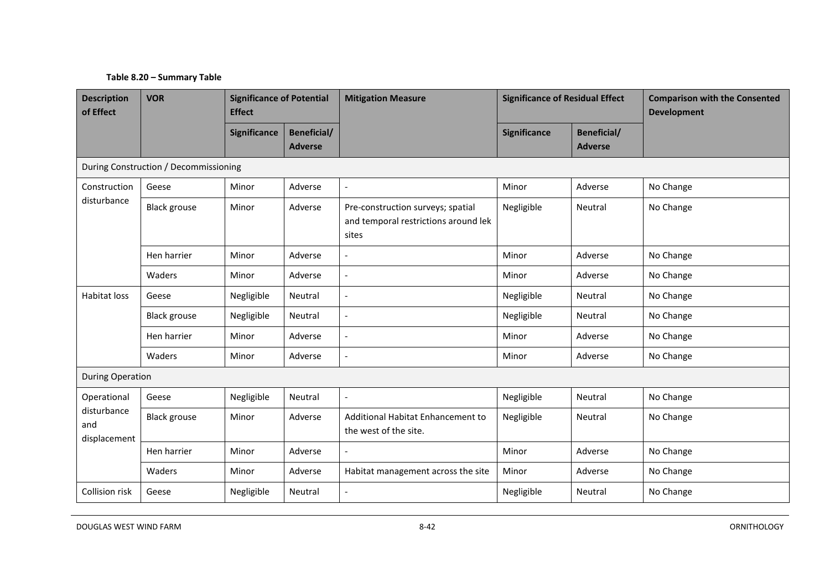#### **Table 8.20 – Summary Table**

| <b>Description</b><br>of Effect       | <b>VOR</b>          | <b>Significance of Potential</b><br><b>Effect</b> |                                      | <b>Mitigation Measure</b>                                                          | <b>Significance of Residual Effect</b> |                                      | <b>Comparison with the Consented</b><br><b>Development</b> |
|---------------------------------------|---------------------|---------------------------------------------------|--------------------------------------|------------------------------------------------------------------------------------|----------------------------------------|--------------------------------------|------------------------------------------------------------|
|                                       |                     | Significance                                      | <b>Beneficial/</b><br><b>Adverse</b> |                                                                                    | <b>Significance</b>                    | <b>Beneficial/</b><br><b>Adverse</b> |                                                            |
| During Construction / Decommissioning |                     |                                                   |                                      |                                                                                    |                                        |                                      |                                                            |
| Construction                          | Geese               | Minor                                             | Adverse                              | $\overline{\phantom{a}}$                                                           | Minor                                  | Adverse                              | No Change                                                  |
| disturbance                           | <b>Black grouse</b> | Minor                                             | Adverse                              | Pre-construction surveys; spatial<br>and temporal restrictions around lek<br>sites | Negligible                             | Neutral                              | No Change                                                  |
|                                       | Hen harrier         | Minor                                             | Adverse                              |                                                                                    | Minor                                  | Adverse                              | No Change                                                  |
|                                       | Waders              | Minor                                             | Adverse                              |                                                                                    | Minor                                  | Adverse                              | No Change                                                  |
| Habitat loss                          | Geese               | Negligible                                        | Neutral                              |                                                                                    | Negligible                             | Neutral                              | No Change                                                  |
|                                       | <b>Black grouse</b> | Negligible                                        | Neutral                              | $\overline{\phantom{a}}$                                                           | Negligible                             | Neutral                              | No Change                                                  |
|                                       | Hen harrier         | Minor                                             | Adverse                              |                                                                                    | Minor                                  | Adverse                              | No Change                                                  |
|                                       | Waders              | Minor                                             | Adverse                              | $\overline{\phantom{a}}$                                                           | Minor                                  | Adverse                              | No Change                                                  |
| <b>During Operation</b>               |                     |                                                   |                                      |                                                                                    |                                        |                                      |                                                            |
| Operational                           | Geese               | Negligible                                        | Neutral                              | $\overline{\phantom{a}}$                                                           | Negligible                             | Neutral                              | No Change                                                  |
| disturbance<br>and<br>displacement    | <b>Black grouse</b> | Minor                                             | Adverse                              | Additional Habitat Enhancement to<br>the west of the site.                         | Negligible                             | Neutral                              | No Change                                                  |
|                                       | Hen harrier         | Minor                                             | Adverse                              |                                                                                    | Minor                                  | Adverse                              | No Change                                                  |
|                                       | Waders              | Minor                                             | Adverse                              | Habitat management across the site                                                 | Minor                                  | Adverse                              | No Change                                                  |
| Collision risk                        | Geese               | Negligible                                        | Neutral                              |                                                                                    | Negligible                             | Neutral                              | No Change                                                  |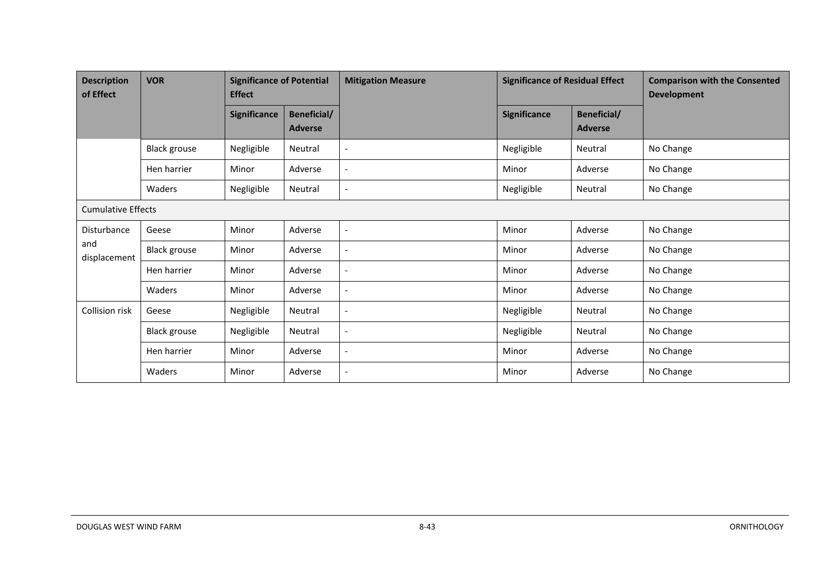| <b>Description</b><br>of Effect | <b>VOR</b>          | <b>Significance of Potential</b><br><b>Effect</b> |                                      | <b>Mitigation Measure</b> | <b>Significance of Residual Effect</b> |                                      | <b>Comparison with the Consented</b><br><b>Development</b> |
|---------------------------------|---------------------|---------------------------------------------------|--------------------------------------|---------------------------|----------------------------------------|--------------------------------------|------------------------------------------------------------|
|                                 |                     | Significance                                      | <b>Beneficial/</b><br><b>Adverse</b> |                           | <b>Significance</b>                    | <b>Beneficial/</b><br><b>Adverse</b> |                                                            |
|                                 | <b>Black grouse</b> | Negligible                                        | Neutral                              |                           | Negligible                             | Neutral                              | No Change                                                  |
|                                 | Hen harrier         | Minor                                             | Adverse                              | $\overline{\phantom{a}}$  | Minor                                  | Adverse                              | No Change                                                  |
|                                 | Waders              | Negligible                                        | Neutral                              | $\overline{\phantom{a}}$  | Negligible                             | Neutral                              | No Change                                                  |
| <b>Cumulative Effects</b>       |                     |                                                   |                                      |                           |                                        |                                      |                                                            |
| Disturbance                     | Geese               | Minor                                             | Adverse                              | $\overline{\phantom{a}}$  | Minor                                  | Adverse                              | No Change                                                  |
| and<br>displacement             | <b>Black grouse</b> | Minor                                             | Adverse                              | $\overline{\phantom{a}}$  | Minor                                  | Adverse                              | No Change                                                  |
|                                 | Hen harrier         | Minor                                             | Adverse                              | $\overline{\phantom{a}}$  | Minor                                  | Adverse                              | No Change                                                  |
|                                 | Waders              | Minor                                             | Adverse                              |                           | Minor                                  | Adverse                              | No Change                                                  |
| Collision risk                  | Geese               | Negligible                                        | Neutral                              | $\overline{\phantom{a}}$  | Negligible                             | Neutral                              | No Change                                                  |
|                                 | <b>Black grouse</b> | Negligible                                        | Neutral                              | $\overline{\phantom{a}}$  | Negligible                             | Neutral                              | No Change                                                  |
|                                 | Hen harrier         | Minor                                             | Adverse                              | $\overline{\phantom{a}}$  | Minor                                  | Adverse                              | No Change                                                  |
|                                 | Waders              | Minor                                             | Adverse                              | $\overline{\phantom{a}}$  | Minor                                  | Adverse                              | No Change                                                  |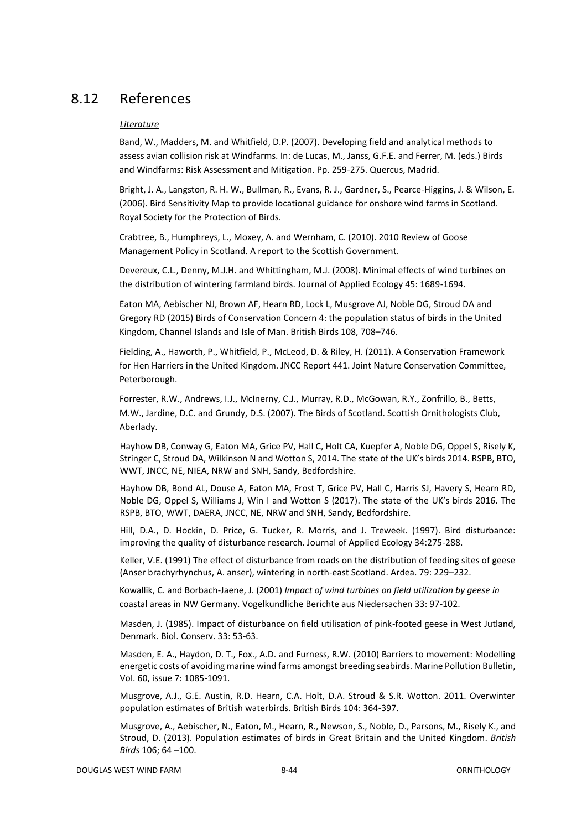# <span id="page-45-0"></span>8.12 References

#### *Literature*

Band, W., Madders, M. and Whitfield, D.P. (2007). Developing field and analytical methods to assess avian collision risk at Windfarms. In: de Lucas, M., Janss, G.F.E. and Ferrer, M. (eds.) Birds and Windfarms: Risk Assessment and Mitigation. Pp. 259-275. Quercus, Madrid.

Bright, J. A., Langston, R. H. W., Bullman, R., Evans, R. J., Gardner, S., Pearce-Higgins, J. & Wilson, E. (2006). Bird Sensitivity Map to provide locational guidance for onshore wind farms in Scotland. Royal Society for the Protection of Birds.

Crabtree, B., Humphreys, L., Moxey, A. and Wernham, C. (2010). 2010 Review of Goose Management Policy in Scotland. A report to the Scottish Government.

Devereux, C.L., Denny, M.J.H. and Whittingham, M.J. (2008). Minimal effects of wind turbines on the distribution of wintering farmland birds. Journal of Applied Ecology 45: 1689-1694.

Eaton MA, Aebischer NJ, Brown AF, Hearn RD, Lock L, Musgrove AJ, Noble DG, Stroud DA and Gregory RD (2015) Birds of Conservation Concern 4: the population status of birds in the United Kingdom, Channel Islands and Isle of Man. British Birds 108, 708–746.

Fielding, A., Haworth, P., Whitfield, P., McLeod, D. & Riley, H. (2011). A Conservation Framework for Hen Harriers in the United Kingdom. JNCC Report 441. Joint Nature Conservation Committee, Peterborough.

Forrester, R.W., Andrews, I.J., McInerny, C.J., Murray, R.D., McGowan, R.Y., Zonfrillo, B., Betts, M.W., Jardine, D.C. and Grundy, D.S. (2007). The Birds of Scotland. Scottish Ornithologists Club, Aberlady.

Hayhow DB, Conway G, Eaton MA, Grice PV, Hall C, Holt CA, Kuepfer A, Noble DG, Oppel S, Risely K, Stringer C, Stroud DA, Wilkinson N and Wotton S, 2014. The state of the UK's birds 2014. RSPB, BTO, WWT, JNCC, NE, NIEA, NRW and SNH, Sandy, Bedfordshire.

Hayhow DB, Bond AL, Douse A, Eaton MA, Frost T, Grice PV, Hall C, Harris SJ, Havery S, Hearn RD, Noble DG, Oppel S, Williams J, Win I and Wotton S (2017). The state of the UK's birds 2016. The RSPB, BTO, WWT, DAERA, JNCC, NE, NRW and SNH, Sandy, Bedfordshire.

Hill, D.A., D. Hockin, D. Price, G. Tucker, R. Morris, and J. Treweek. (1997). Bird disturbance: improving the quality of disturbance research. Journal of Applied Ecology 34:275-288.

Keller, V.E. (1991) The effect of disturbance from roads on the distribution of feeding sites of geese (Anser brachyrhynchus, A. anser), wintering in north-east Scotland. Ardea. 79: 229–232.

Kowallik, C. and Borbach-Jaene, J. (2001) *Impact of wind turbines on field utilization by geese in*  coastal areas in NW Germany. Vogelkundliche Berichte aus Niedersachen 33: 97-102.

Masden, J. (1985). Impact of disturbance on field utilisation of pink-footed geese in West Jutland, Denmark. Biol. Conserv. 33: 53-63.

Masden, E. A., Haydon, D. T., Fox., A.D. and Furness, R.W. (2010) Barriers to movement: Modelling energetic costs of avoiding marine wind farms amongst breeding seabirds. Marine Pollution Bulletin, Vol. 60, issue 7: 1085-1091.

Musgrove, A.J., G.E. Austin, R.D. Hearn, C.A. Holt, D.A. Stroud & S.R. Wotton. 2011. Overwinter population estimates of British waterbirds. British Birds 104: 364-397.

Musgrove, A., Aebischer, N., Eaton, M., Hearn, R., Newson, S., Noble, D., Parsons, M., Risely K., and Stroud, D. (2013). Population estimates of birds in Great Britain and the United Kingdom. *British Birds* 106; 64 –100.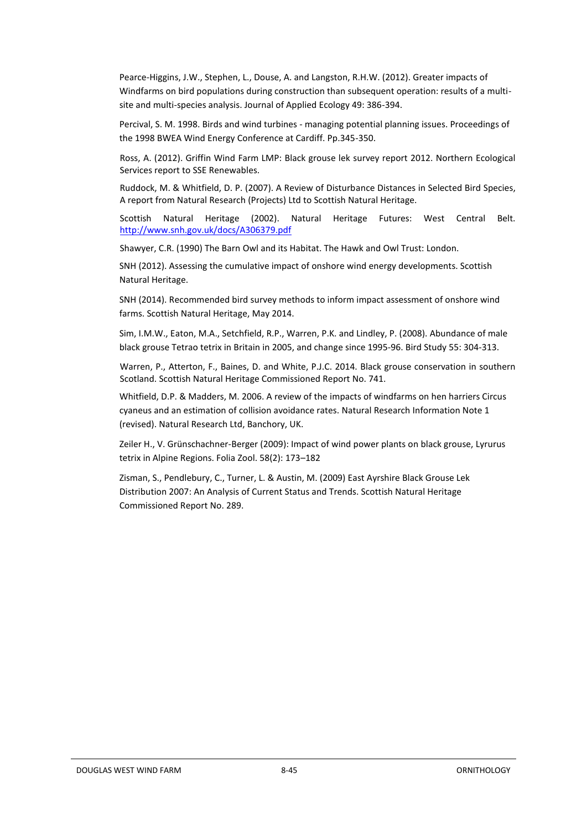Pearce-Higgins, J.W., Stephen, L., Douse, A. and Langston, R.H.W. (2012). Greater impacts of Windfarms on bird populations during construction than subsequent operation: results of a multisite and multi-species analysis. Journal of Applied Ecology 49: 386-394.

Percival, S. M. 1998. Birds and wind turbines - managing potential planning issues. Proceedings of the 1998 BWEA Wind Energy Conference at Cardiff. Pp.345-350.

Ross, A. (2012). Griffin Wind Farm LMP: Black grouse lek survey report 2012. Northern Ecological Services report to SSE Renewables.

Ruddock, M. & Whitfield, D. P. (2007). A Review of Disturbance Distances in Selected Bird Species, A report from Natural Research (Projects) Ltd to Scottish Natural Heritage.

Scottish Natural Heritage (2002). Natural Heritage Futures: West Central Belt. <http://www.snh.gov.uk/docs/A306379.pdf>

Shawyer, C.R. (1990) The Barn Owl and its Habitat. The Hawk and Owl Trust: London.

SNH (2012). Assessing the cumulative impact of onshore wind energy developments. Scottish Natural Heritage.

SNH (2014). Recommended bird survey methods to inform impact assessment of onshore wind farms. Scottish Natural Heritage, May 2014.

Sim, I.M.W., Eaton, M.A., Setchfield, R.P., Warren, P.K. and Lindley, P. (2008). Abundance of male black grouse Tetrao tetrix in Britain in 2005, and change since 1995-96. Bird Study 55: 304-313.

Warren, P., Atterton, F., Baines, D. and White, P.J.C. 2014. Black grouse conservation in southern Scotland. Scottish Natural Heritage Commissioned Report No. 741.

Whitfield, D.P. & Madders, M. 2006. A review of the impacts of windfarms on hen harriers Circus cyaneus and an estimation of collision avoidance rates. Natural Research Information Note 1 (revised). Natural Research Ltd, Banchory, UK.

Zeiler H., V. Grünschachner-Berger (2009): Impact of wind power plants on black grouse, Lyrurus tetrix in Alpine Regions. Folia Zool. 58(2): 173–182

Zisman, S., Pendlebury, C., Turner, L. & Austin, M. (2009) East Ayrshire Black Grouse Lek Distribution 2007: An Analysis of Current Status and Trends. Scottish Natural Heritage Commissioned Report No. 289.